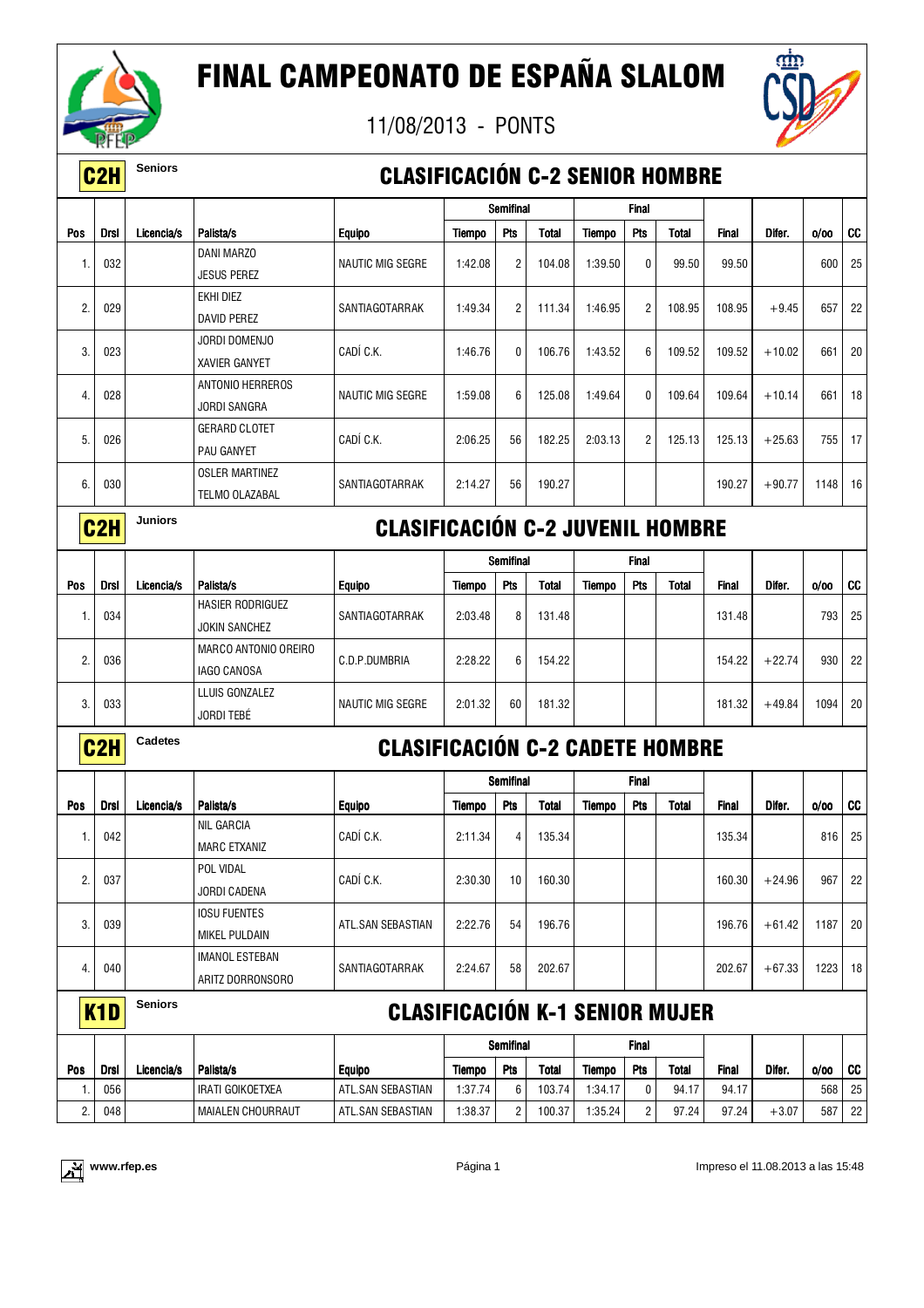



|            | C <sub>2</sub> H | <b>Seniors</b> |                                                | <b>CLASIFICACIÓN C-2 SENIOR HOMBRE</b>  |               |                  |              |               |                |              |              |          |      |           |
|------------|------------------|----------------|------------------------------------------------|-----------------------------------------|---------------|------------------|--------------|---------------|----------------|--------------|--------------|----------|------|-----------|
|            |                  |                |                                                |                                         |               | Semifinal        |              |               | Final          |              |              |          |      |           |
| <b>Pos</b> | <b>Drsl</b>      | Licencia/s     | Palista/s                                      | <b>Equipo</b>                           | <b>Tiempo</b> | Pts              | <b>Total</b> | <b>Tiempo</b> | Pts            | Total        | <b>Final</b> | Difer.   | 0/00 | <b>CC</b> |
| 1.         | 032              |                | <b>DANI MARZO</b>                              | <b>NAUTIC MIG SEGRE</b>                 | 1:42.08       | $\overline{c}$   | 104.08       | 1:39.50       | 0              | 99.50        | 99.50        |          | 600  | 25        |
|            |                  |                | <b>JESUS PEREZ</b>                             |                                         |               |                  |              |               |                |              |              |          |      |           |
| 2.         | 029              |                | EKHI DIEZ                                      | SANTIAGOTARRAK                          | 1:49.34       | $\overline{c}$   | 111.34       | 1:46.95       | $\overline{2}$ | 108.95       | 108.95       | $+9.45$  | 657  | 22        |
|            |                  |                | <b>DAVID PEREZ</b>                             |                                         |               |                  |              |               |                |              |              |          |      |           |
| 3.         | 023              |                | JORDI DOMENJO                                  | CADÍ C.K.                               | 1:46.76       | 0                | 106.76       | 1:43.52       | 6              | 109.52       | 109.52       | $+10.02$ | 661  | 20        |
|            |                  |                | <b>XAVIER GANYET</b>                           |                                         |               |                  |              |               |                |              |              |          |      |           |
| 4.         | 028              |                | <b>ANTONIO HERREROS</b><br><b>JORDI SANGRA</b> | <b>NAUTIC MIG SEGRE</b>                 | 1:59.08       | 6                | 125.08       | 1:49.64       | $\mathbf{0}$   | 109.64       | 109.64       | $+10.14$ | 661  | 18        |
| 5.         | 026              |                | <b>GERARD CLOTET</b>                           | CADÍ C.K.                               | 2:06.25       | 56               | 182.25       | 2:03.13       | $\overline{c}$ | 125.13       | 125.13       | $+25.63$ | 755  | 17        |
|            |                  |                | PAU GANYET                                     |                                         |               |                  |              |               |                |              |              |          |      |           |
| 6.         | 030              |                | <b>OSLER MARTINEZ</b>                          | SANTIAGOTARRAK                          | 2:14.27       | 56               | 190.27       |               |                |              | 190.27       | $+90.77$ | 1148 | 16        |
|            |                  |                | TELMO OLAZABAL                                 |                                         |               |                  |              |               |                |              |              |          |      |           |
|            | C <sub>2</sub> H | <b>Juniors</b> |                                                | <b>CLASIFICACIÓN C-2 JUVENIL HOMBRE</b> |               |                  |              |               |                |              |              |          |      |           |
|            |                  |                |                                                |                                         |               | <b>Semifinal</b> |              |               | Final          |              |              |          |      |           |
| Pos        | <b>Drsl</b>      | Licencia/s     | Palista/s                                      | <b>Equipo</b>                           | <b>Tiempo</b> | Pts              | <b>Total</b> | Tiempo        | Pts            | <b>Total</b> | <b>Final</b> | Difer.   | 0/00 | CC        |
|            |                  |                | <b>HASIER RODRIGUEZ</b>                        |                                         |               | 8                |              |               |                |              |              |          |      | 25        |
| 1.         | 034              |                | <b>JOKIN SANCHEZ</b>                           | SANTIAGOTARRAK                          | 2:03.48       |                  | 131.48       |               |                |              | 131.48       |          | 793  |           |
| 2.         | 036              |                | <b>MARCO ANTONIO OREIRO</b>                    | C.D.P.DUMBRIA                           | 2:28.22       | 6                | 154.22       |               |                |              | 154.22       | $+22.74$ | 930  | 22        |
|            |                  |                | IAGO CANOSA                                    |                                         |               |                  |              |               |                |              |              |          |      |           |
| 3.         | 033              |                | LLUIS GONZALEZ                                 | <b>NAUTIC MIG SEGRE</b>                 | 2:01.32       | 60               | 181.32       |               |                |              | 181.32       | $+49.84$ | 1094 | 20        |
|            |                  |                | <b>JORDI TEBÉ</b>                              |                                         |               |                  |              |               |                |              |              |          |      |           |
|            | C <sub>2</sub> H | Cadetes        |                                                | <b>CLASIFICACIÓN C-2 CADETE HOMBRE</b>  |               |                  |              |               |                |              |              |          |      |           |
|            |                  |                |                                                |                                         |               | Semifinal        |              |               | <b>Final</b>   |              |              |          |      |           |
| Pos        | <b>Drsl</b>      | Licencia/s     | Palista/s                                      | <b>Equipo</b>                           | <b>Tiempo</b> | Pts              | <b>Total</b> | <b>Tiempo</b> | Pts            | <b>Total</b> | <b>Final</b> | Difer.   | 0/00 | <b>CC</b> |
| 1.         | 042              |                | <b>NIL GARCIA</b><br><b>MARC ETXANIZ</b>       | CADÍ C.K.                               | 2:11.34       | 4                | 135.34       |               |                |              | 135.34       |          | 816  | 25        |
| 2.         | 037              |                | POL VIDAL<br><b>JORDI CADENA</b>               | CADÍ C.K.                               | 2:30.30       | 10               | 160.30       |               |                |              | 160.30       | $+24.96$ | 967  | 22        |
|            |                  |                | <b>IOSU FUENTES</b>                            |                                         |               |                  |              |               |                |              |              |          |      |           |
| 3.         | 039              |                | MIKEL PULDAIN                                  | ATL.SAN SEBASTIAN                       | 2:22.76       | 54               | 196.76       |               |                |              | 196.76       | $+61.42$ | 1187 | 20        |
| 4.         | 040              |                | <b>IMANOL ESTEBAN</b>                          | SANTIAGOTARRAK                          | 2:24.67       | 58               | 202.67       |               |                |              | 202.67       | $+67.33$ | 1223 | 18        |
|            |                  |                | ARITZ DORRONSORO                               |                                         |               |                  |              |               |                |              |              |          |      |           |
|            | K <sub>1</sub> D | <b>Seniors</b> |                                                | <b>CLASIFICACIÓN K-1 SENIOR MUJER</b>   |               |                  |              |               |                |              |              |          |      |           |
|            |                  |                |                                                |                                         |               | <b>Semifinal</b> |              |               | Final          |              |              |          |      |           |
| Pos        | <b>Drsl</b>      | Licencia/s     | Palista/s                                      | <b>Equipo</b>                           | <b>Tiempo</b> | Pts              | <b>Total</b> | <b>Tiempo</b> | Pts            | Total        | Final        | Difer.   | 0/00 | CC        |
| 1.         | 056              |                | <b>IRATI GOIKOETXEA</b>                        | ATL.SAN SEBASTIAN                       | 1:37.74       | 6                | 103.74       | 1:34.17       | 0              | 94.17        | 94.17        |          | 568  | 25        |
| 2.         | 048              |                | MAIALEN CHOURRAUT                              | ATL.SAN SEBASTIAN                       | 1:38.37       | $\overline{c}$   | 100.37       | 1:35.24       | $\overline{c}$ | 97.24        | 97.24        | $+3.07$  | 587  | 22        |

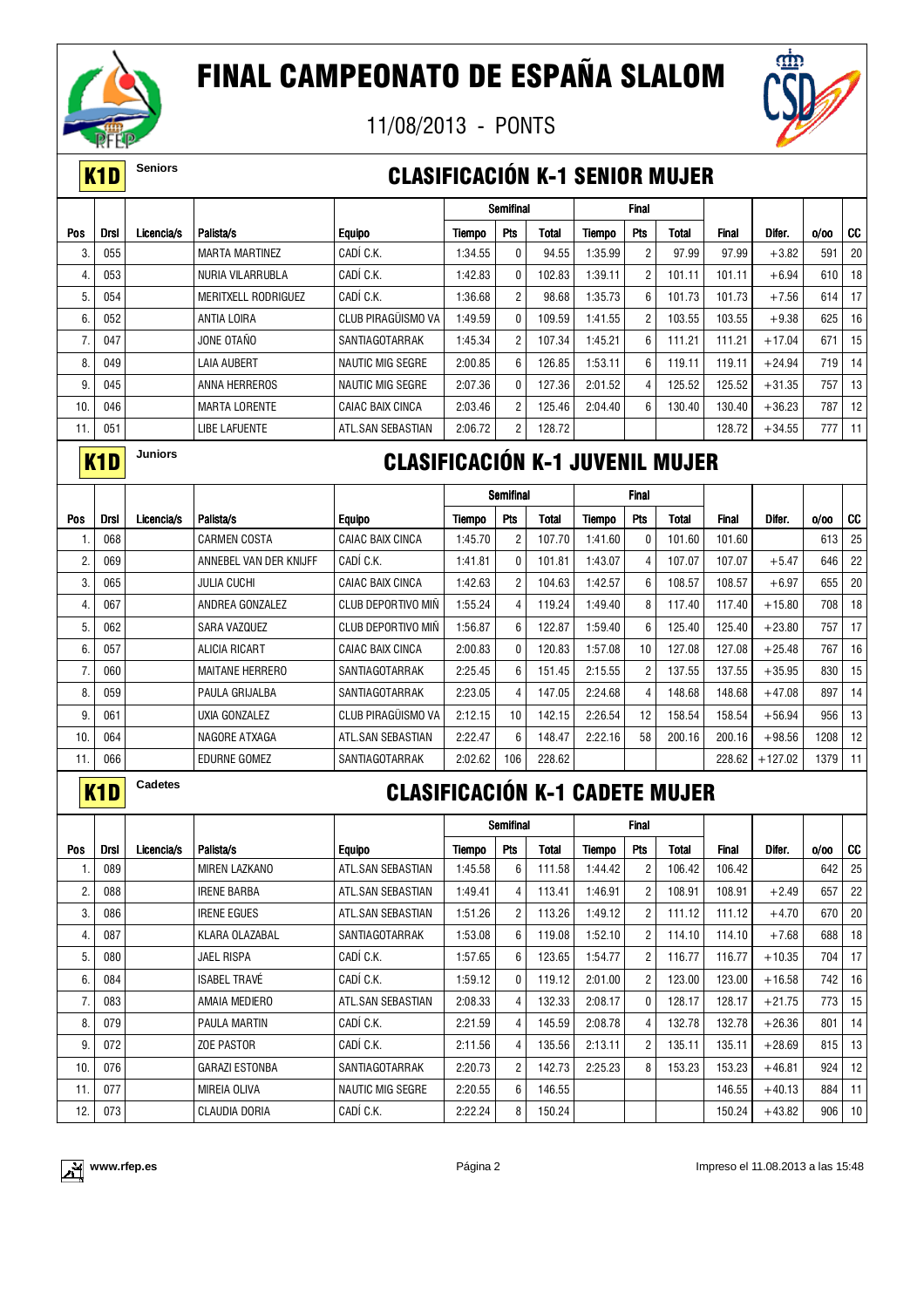

11/08/2013 - PONTS



#### K1D **Seniors** CLASIFICACIÓN K-1 SENIOR MUJER

|     |             |            |                       |                         |         | <b>Semifinal</b> |        |         | <b>Final</b>   |        |              |          |      |    |
|-----|-------------|------------|-----------------------|-------------------------|---------|------------------|--------|---------|----------------|--------|--------------|----------|------|----|
| Pos | <b>Drsl</b> | Licencia/s | Palista/s             | <b>Equipo</b>           | Tiempo  | Pts              | Total  | Tiempo  | <b>Pts</b>     | Total  | <b>Final</b> | Difer.   | 0/00 | CC |
| 3.  | 055         |            | <b>MARTA MARTINEZ</b> | CADÍ C.K.               | 1:34.55 | 0                | 94.55  | :35.99  | 2              | 97.99  | 97.99        | $+3.82$  | 591  | 20 |
| 4.  | 053         |            | NURIA VILARRUBLA      | CADÍ C.K.               | 1:42.83 | 0                | 102.83 | 1:39.11 | $\overline{c}$ | 101.11 | 101.11       | $+6.94$  | 610  | 18 |
| 5.  | 054         |            | MERITXELL RODRIGUEZ   | CADÍ C.K.               | 1:36.68 | $\overline{2}$   | 98.68  | 1:35.73 | 6              | 101.73 | 101.73       | $+7.56$  | 614  | 17 |
| 6.  | 052         |            | ANTIA LOIRA           | CLUB PIRAGÜISMO VA      | 1:49.59 | $\mathbf{0}$     | 109.59 | 1:41.55 | $\overline{c}$ | 103.55 | 103.55       | $+9.38$  | 625  | 16 |
| 7.  | 047         |            | JONE OTAÑO            | SANTIAGOTARRAK          | 1:45.34 | $\overline{2}$   | 107.34 | 1:45.21 | 6              | 111.21 | 111.21       | $+17.04$ | 671  | 15 |
| 8.  | 049         |            | <b>LAIA AUBERT</b>    | <b>NAUTIC MIG SEGRE</b> | 2:00.85 | 6                | 126.85 | 1:53.11 | 6              | 119.11 | 119.11       | $+24.94$ | 719  | 14 |
| 9.  | 045         |            | ANNA HERREROS         | <b>NAUTIC MIG SEGRE</b> | 2:07.36 | $\mathbf{0}$     | 127.36 | 2:01.52 | 4              | 125.52 | 125.52       | $+31.35$ | 757  | 13 |
| 10. | 046         |            | <b>MARTA LORENTE</b>  | <b>CAIAC BAIX CINCA</b> | 2:03.46 | $\overline{2}$   | 125.46 | 2:04.40 | 6              | 130.40 | 130.40       | $+36.23$ | 787  | 12 |
| 11. | 051         |            | <b>LIBE LAFUENTE</b>  | ATL.SAN SEBASTIAN       | 2:06.72 | $\overline{2}$   | 128.72 |         |                |        | 128.72       | $+34.55$ | 777  | 11 |

### K1D **Juniors** CLASIFICACIÓN K-1 JUVENIL MUJER

|     |             |            |                        |                           |         | Semifinal       |        |         | <b>Final</b> |        |              |           |      |    |
|-----|-------------|------------|------------------------|---------------------------|---------|-----------------|--------|---------|--------------|--------|--------------|-----------|------|----|
| Pos | <b>Drsl</b> | Licencia/s | Palista/s              | <b>Equipo</b>             | Tiempo  | Pts             | Total  | Tiempo  | Pts          | Total  | <b>Final</b> | Difer.    | 0/00 | CC |
|     | 068         |            | <b>CARMEN COSTA</b>    | <b>CAIAC BAIX CINCA</b>   | 1:45.70 | 2               | 107.70 | 1:41.60 | $\mathbf{0}$ | 101.60 | 101.60       |           | 613  | 25 |
| 2.  | 069         |            | ANNEBEL VAN DER KNIJFF | CADÍ C.K.                 | 1:41.81 | 0               | 101.81 | 1:43.07 | 4            | 107.07 | 107.07       | $+5.47$   | 646  | 22 |
| 3   | 065         |            | <b>JULIA CUCHI</b>     | CAIAC BAIX CINCA          | 1:42.63 | $\overline{2}$  | 104.63 | 1:42.57 | 6            | 108.57 | 108.57       | $+6.97$   | 655  | 20 |
| 4.  | 067         |            | ANDREA GONZALEZ        | <b>CLUB DEPORTIVO MIN</b> | 1:55.24 | $\overline{4}$  | 119.24 | 1:49.40 | 8            | 117.40 | 117.40       | $+15.80$  | 708  | 18 |
| 5.  | 062         |            | SARA VAZQUEZ           | <b>CLUB DEPORTIVO MIN</b> | 1:56.87 | 6               | 122.87 | 1:59.40 | 6            | 125.40 | 125.40       | $+23.80$  | 757  | 17 |
| 6.  | 057         |            | ALICIA RICART          | <b>CAIAC BAIX CINCA</b>   | 2:00.83 | 0               | 120.83 | 1:57.08 | 10           | 127.08 | 127.08       | $+25.48$  | 767  | 16 |
| 7.  | 060         |            | <b>MAITANE HERRERO</b> | SANTIAGOTARRAK            | 2:25.45 | 6               | 151.45 | 2:15.55 | 2            | 137.55 | 137.55       | $+35.95$  | 830  | 15 |
| 8   | 059         |            | PAULA GRIJALBA         | SANTIAGOTARRAK            | 2:23.05 | 4               | 147.05 | 2:24.68 | 4            | 148.68 | 148.68       | $+47.08$  | 897  | 14 |
| 9   | 061         |            | UXIA GONZALEZ          | CLUB PIRAGÜISMO VA        | 2:12.15 | 10 <sup>1</sup> | 142.15 | 2:26.54 | 12           | 158.54 | 158.54       | $+56.94$  | 956  | 13 |
| 10. | 064         |            | NAGORE ATXAGA          | ATL.SAN SEBASTIAN         | 2:22.47 | 6               | 148.47 | 2:22.16 | 58           | 200.16 | 200.16       | $+98.56$  | 1208 | 12 |
| 11. | 066         |            | EDURNE GOMEZ           | SANTIAGOTARRAK            | 2:02.62 | 106             | 228.62 |         |              |        | 228.62       | $+127.02$ | 1379 | 11 |

#### **K1D** Cadetes **CLASIFICACIÓN K-1 CADETE MUJER**

|                |             |            |                       |                         |         | <b>Semifinal</b> |        |         | <b>Final</b>   |        |              |          |       |    |
|----------------|-------------|------------|-----------------------|-------------------------|---------|------------------|--------|---------|----------------|--------|--------------|----------|-------|----|
| Pos            | <b>Drsl</b> | Licencia/s | Palista/s             | <b>Equipo</b>           | Tiempo  | Pts              | Total  | Tiempo  | Pts            | Total  | <b>Final</b> | Difer.   | 0/00  | CC |
|                | 089         |            | <b>MIREN LAZKANO</b>  | ATL.SAN SEBASTIAN       | 1:45.58 | 6                | 111.58 | 1:44.42 | 2              | 106.42 | 106.42       |          | 642   | 25 |
| $\overline{2}$ | 088         |            | <b>IRENE BARBA</b>    | ATL.SAN SEBASTIAN       | 1:49.41 | 4                | 113.41 | 1:46.91 | 2              | 108.91 | 108.91       | $+2.49$  | 657   | 22 |
| 3              | 086         |            | <b>IRENE EGUES</b>    | ATL.SAN SEBASTIAN       | 1:51.26 | $\overline{c}$   | 113.26 | 1:49.12 | 2              | 111.12 | 111.12       | $+4.70$  | 670   | 20 |
| 4              | 087         |            | KLARA OLAZABAL        | SANTIAGOTARRAK          | 1:53.08 | 6                | 119.08 | 1:52.10 | $\overline{2}$ | 114.10 | 114.10       | $+7.68$  | 688   | 18 |
| 5.             | 080         |            | <b>JAEL RISPA</b>     | CADÍ C.K.               | 1:57.65 | 6                | 123.65 | 1:54.77 | 2              | 116.77 | 116.77       | $+10.35$ | 704   | 17 |
| 6.             | 084         |            | <b>ISABEL TRAVÉ</b>   | CADÍ C.K.               | 1:59.12 | 0                | 119.12 | 2:01.00 | 2              | 123.00 | 123.00       | $+16.58$ | 742   | 16 |
| $\overline{7}$ | 083         |            | AMAIA MEDIERO         | ATL.SAN SEBASTIAN       | 2:08.33 | 4                | 132.33 | 2:08.17 | $\mathbf{0}$   | 128.17 | 128.17       | $+21.75$ | 773 l | 15 |
| 8.             | 079         |            | PAULA MARTIN          | CADÍ C.K.               | 2:21.59 | 4                | 145.59 | 2:08.78 | 4              | 132.78 | 132.78       | $+26.36$ | 801   | 14 |
| 9              | 072         |            | <b>ZOE PASTOR</b>     | CADÍ C.K.               | 2:11.56 | 4                | 135.56 | 2:13.11 | 2              | 135.11 | 135.11       | $+28.69$ | 815   | 13 |
| 10.            | 076         |            | <b>GARAZI ESTONBA</b> | SANTIAGOTARRAK          | 2:20.73 | 2                | 142.73 | 2:25.23 | 8              | 153.23 | 153.23       | $+46.81$ | 924   | 12 |
| 11.            | 077         |            | MIREIA OLIVA          | <b>NAUTIC MIG SEGRE</b> | 2:20.55 | 6                | 146.55 |         |                |        | 146.55       | $+40.13$ | 884   | 11 |
| 12.            | 073         |            | CLAUDIA DORIA         | CADÍ C.K.               | 2:22.24 | 8                | 150.24 |         |                |        | 150.24       | $+43.82$ | 906   | 10 |

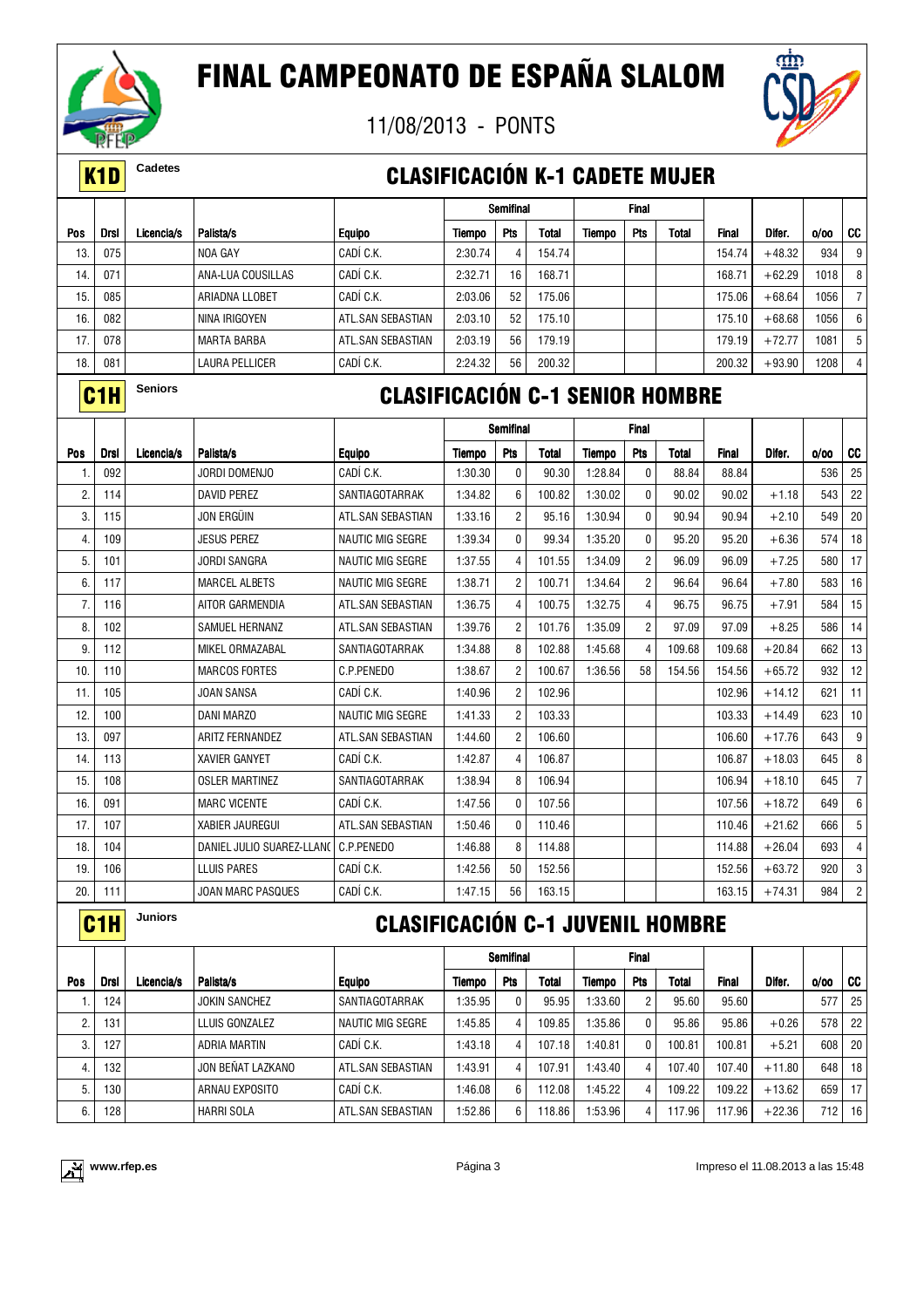

11/08/2013 - PONTS



#### **K1D** Cadetes **CLASIFICACIÓN K-1 CADETE MUJER**

|     |                  |                |                       |                                        |         | <b>Semifinal</b> |              |               | <b>Final</b>   |              |              |          |      |                |
|-----|------------------|----------------|-----------------------|----------------------------------------|---------|------------------|--------------|---------------|----------------|--------------|--------------|----------|------|----------------|
| Pos | <b>Drsl</b>      | Licencia/s     | Palista/s             | <b>Equipo</b>                          | Tiempo  | Pts              | <b>Total</b> | <b>Tiempo</b> | Pts            | <b>Total</b> | <b>Final</b> | Difer.   | 0/00 | CC             |
| 13. | 075              |                | NOA GAY               | CADÍ C.K.                              | 2:30.74 | $\overline{4}$   | 154.74       |               |                |              | 154.74       | $+48.32$ | 934  | 9              |
| 14. | 071              |                | ANA-LUA COUSILLAS     | CADÍ C.K.                              | 2:32.71 | 16               | 168.71       |               |                |              | 168.71       | $+62.29$ | 1018 | 8              |
| 15. | 085              |                | ARIADNA LLOBET        | CADÍ C.K.                              | 2:03.06 | 52               | 175.06       |               |                |              | 175.06       | $+68.64$ | 1056 | 7 <sup>1</sup> |
| 16. | 082              |                | NINA IRIGOYEN         | ATL.SAN SEBASTIAN                      | 2:03.10 | 52               | 175.10       |               |                |              | 175.10       | $+68.68$ | 1056 | 6              |
| 17. | 078              |                | <b>MARTA BARBA</b>    | ATL.SAN SEBASTIAN                      | 2:03.19 | 56               | 179.19       |               |                |              | 179.19       | $+72.77$ | 1081 | 5              |
| 18. | 081              |                | <b>LAURA PELLICER</b> | CADÍ C.K.                              | 2:24.32 | 56               | 200.32       |               |                |              | 200.32       | $+93.90$ | 1208 | 4 <sup>1</sup> |
|     | C <sub>1</sub> H | <b>Seniors</b> |                       | <b>CLASIFICACIÓN C-1 SENIOR HOMBRE</b> |         |                  |              |               |                |              |              |          |      |                |
|     |                  |                |                       |                                        |         |                  |              |               |                |              |              |          |      |                |
|     |                  |                |                       |                                        |         | <b>Semifinal</b> |              |               | <b>Final</b>   |              |              |          |      |                |
| Pos | Drsl             | Licencia/s     | Palista/s             | <b>Equipo</b>                          | Tiempo  | <b>Pts</b>       | <b>Total</b> | Tiempo        | <b>Pts</b>     | Total        | <b>Final</b> | Difer.   | 0/00 | cc             |
| 1.  | 092              |                | JORDI DOMENJO         | CADÍ C.K.                              | 1:30.30 | $\mathbf{0}$     | 90.30        | 1:28.84       | 0              | 88.84        | 88.84        |          | 536  | 25             |
| 2.  | 114              |                | <b>DAVID PEREZ</b>    | SANTIAGOTARRAK                         | 1:34.82 | 6                | 100.82       | 1:30.02       | 0              | 90.02        | 90.02        | $+1.18$  | 543  | 22             |
| 3.  | 115              |                | JON ERGÜIN            | ATL.SAN SEBASTIAN                      | 1:33.16 | $\overline{c}$   | 95.16        | 1:30.94       | 0              | 90.94        | 90.94        | $+2.10$  | 549  | 20             |
| 4.  | 109              |                | <b>JESUS PEREZ</b>    | NAUTIC MIG SEGRE                       | 1:39.34 | $\mathbf{0}$     | 99.34        | 1:35.20       | $\mathbf{0}$   | 95.20        | 95.20        | $+6.36$  | 574  | 18             |
| 5.  | 101              |                | <b>JORDI SANGRA</b>   | <b>NAUTIC MIG SEGRE</b>                | 1:37.55 | $\overline{4}$   | 101.55       | 1:34.09       | $\overline{2}$ | 96.09        | 96.09        | $+7.25$  | 580  | 17             |
| 6.  | 117              |                | <b>MARCEL ALBETS</b>  | <b>NAUTIC MIG SEGRE</b>                | 1:38.71 | $\overline{2}$   | 100.71       | 1:34.64       | $\overline{2}$ | 96.64        | 96.64        | $+7.80$  | 583  | 16             |
| 7.  | 116              |                | AITOR GARMENDIA       | ATL.SAN SEBASTIAN                      | 1:36.75 | $\overline{4}$   | 100.75       | 1:32.75       | 4              | 96.75        | 96.75        | $+7.91$  | 584  | 15             |
| 8.  | 102              |                | SAMUEL HERNANZ        | ATL.SAN SEBASTIAN                      | 1:39.76 | $\overline{2}$   | 101.76       | 1:35.09       | $\overline{2}$ | 97.09        | 97.09        | $+8.25$  | 586  | 14             |
| 9.  | 112              |                | MIKEL ORMAZABAL       | SANTIAGOTARRAK                         | 1:34.88 | 8                | 102.88       | 1:45.68       | $\overline{4}$ | 109.68       | 109.68       | $+20.84$ | 662  | 13             |
| 10. | 110              |                | <b>MARCOS FORTES</b>  | C.P.PENEDO                             | 1:38.67 | $\overline{2}$   | 100.67       | 1:36.56       | 58             | 154.56       | 154.56       | $+65.72$ | 932  | 12             |
| 11. | 105              |                | <b>JOAN SANSA</b>     | CADÍ C.K.                              | 1:40.96 | $\overline{2}$   | 102.96       |               |                |              | 102.96       | $+14.12$ | 621  | 11             |
| 12. | 100              |                | <b>DANI MARZO</b>     | <b>NAUTIC MIG SEGRE</b>                | 1:41.33 | $\overline{2}$   | 103.33       |               |                |              | 103.33       | $+14.49$ | 623  | 10             |
| 13. | 097              |                | ARITZ FERNANDEZ       | ATL.SAN SEBASTIAN                      | 1:44.60 | $\overline{2}$   | 106.60       |               |                |              | 106.60       | $+17.76$ | 643  | 9              |
| 14. | 113              |                | <b>XAVIER GANYET</b>  | CADÍ C.K.                              | 1:42.87 | $\overline{4}$   | 106.87       |               |                |              | 106.87       | $+18.03$ | 645  | 8              |
| 15. | 108              |                | <b>OSLER MARTINEZ</b> | SANTIAGOTARRAK                         | 1:38.94 | 8                | 106.94       |               |                |              | 106.94       | $+18.10$ | 645  | 7 <sup>1</sup> |
|     |                  |                |                       |                                        |         |                  |              |               |                |              |              |          |      |                |



#### **C1H** Juniors **CLASIFICACIÓN C-1 JUVENIL HOMBRE**

|            |             |            |                      |                   |         | Semifinal |        |         | <b>Final</b>   |        |        |          |      |                 |
|------------|-------------|------------|----------------------|-------------------|---------|-----------|--------|---------|----------------|--------|--------|----------|------|-----------------|
| <b>Pos</b> | <b>Drsl</b> | Licencia/s | Palista/s            | <b>Equipo</b>     | Tiempo  | Pts       | Total  | Tiempo  | <b>Pts</b>     | Total  | Final  | Difer.   | 0/00 | CC              |
|            | 124         |            | <b>JOKIN SANCHEZ</b> | SANTIAGOTARRAK    | 1:35.95 | 0         | 95.95  | 1:33.60 | $\overline{2}$ | 95.60  | 95.60  |          | 577  | 25              |
| ۷.         | 131         |            | LLUIS GONZALEZ       | NAUTIC MIG SEGRE  | 1:45.85 | 4         | 109.85 | 1:35.86 | 0              | 95.86  | 95.86  | $+0.26$  | 578  | 22              |
| . ა.       | 127         |            | <b>ADRIA MARTIN</b>  | CADÍ C.K.         | 1:43.18 | 4         | 107.18 | 1:40.81 | 0              | 100.81 | 100.81 | $+5.21$  | 608  | 20 <sup>1</sup> |
| 4.         | 132         |            | JON BENAT LAZKANO    | ATL.SAN SEBASTIAN | 1:43.91 | 4         | 107.91 | 1:43.40 | 4              | 107.40 | 107.40 | $+11.80$ | 648  | 18 <sup>1</sup> |
| 5          | 130         |            | ARNAU EXPOSITO       | CADI C.K.         | 1:46.08 | 6         | 12.08  | 1:45.22 | 4              | 109.22 | 109.22 | $+13.62$ | 659  | 17 <sup>1</sup> |
| 6.         | 128         |            | <b>HARRI SOLA</b>    | ATL.SAN SEBASTIAN | 1:52.86 | 6         | 18.86  | 1:53.96 | 4              | 17.96  | 117.96 | $+22.36$ | 712  | 16 <sup>1</sup> |

16. | 091 | | MARC VICENTE | CADÍ C.K. | 1:47.56 | 0 | 107.56 | | | | 107.56 | +18.72 | 649 | 6 17. 107 XABIER JAUREGUI ATL.SAN SEBASTIAN 1:50.46 0 110.46 110.46 110.46 +21.62 666 5 18. 104 DANIEL JULIO SUAREZ-LLAN(C.P.PENEDO 1:46.88 8 114.88 114.88 114.88 114.88 +26.04 693 4 19. | 106 | LLUIS PARES | CADI C.K. | 1:42.56 | 50 | 152.56 | | | | | 152.56 | +63.72 | 920 |

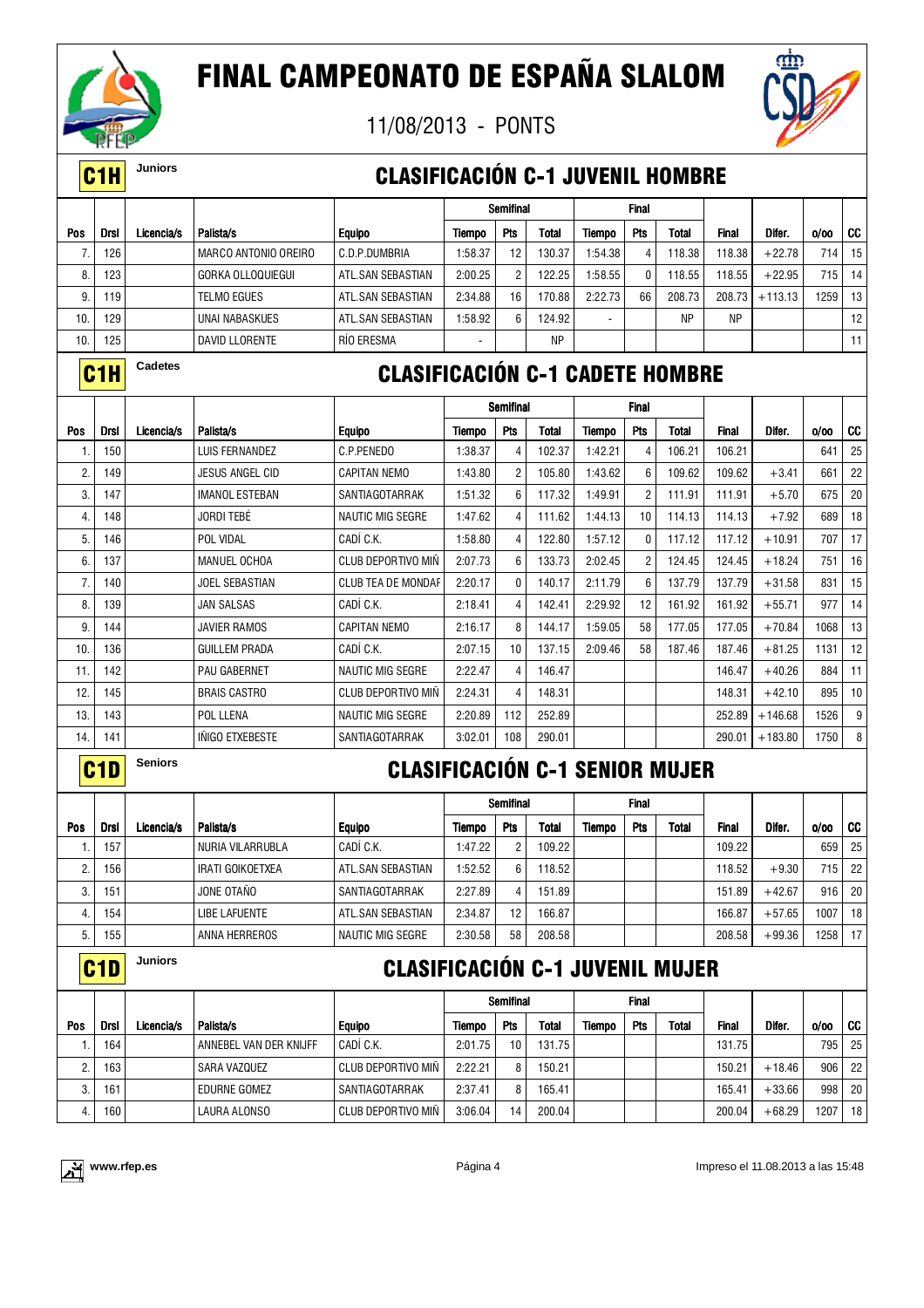

11/08/2013 - PONTS



#### C1H **Juniors** CLASIFICACIÓN C-1 JUVENIL HOMBRE

|                 |                  |            |                       |                                        |               | <b>Semifinal</b> |           |                          | <b>Final</b> |           |              |           |       |                 |
|-----------------|------------------|------------|-----------------------|----------------------------------------|---------------|------------------|-----------|--------------------------|--------------|-----------|--------------|-----------|-------|-----------------|
| <b>Pos</b>      | <b>Drsl</b>      | Licencia/s | Palista/s             | <b>Equipo</b>                          | Tiempo        | Pts              | Total     | Tiempo                   | Pts          | Total     | <b>Final</b> | Difer.    | 0/00  | CC              |
| 7.              | 126              |            | MARCO ANTONIO OREIRO  | C.D.P.DUMBRIA                          | 1:58.37       | 12               | 130.37    | 1:54.38                  | 4            | 118.38    | 118.38       | $+22.78$  | 714   | 15              |
| 8               | 123              |            | GORKA OLLOQUIEGUI     | ATL.SAN SEBASTIAN                      | 2:00.25       | 2                | 122.25    | 1:58.55                  | 0            | 118.55    | 118.55       | $+22.95$  | 715 I | 14              |
| 9               | 119              |            | TELMO EGUES           | ATL.SAN SEBASTIAN                      | 2:34.88       | 16               | 170.88    | 2:22.73                  | 66           | 208.73    | 208.73       | $+113.13$ | 1259  | 13              |
| 10 <sub>1</sub> | 129              |            | <b>UNAI NABASKUES</b> | ATL.SAN SEBASTIAN                      | 1:58.92       | 6                | 124.92    | $\overline{\phantom{a}}$ |              | <b>NP</b> | NP           |           |       | 12 <sub>1</sub> |
| 10.             | 125              |            | <b>DAVID LLORENTE</b> | RÍO ERESMA                             |               |                  | <b>NP</b> |                          |              |           |              |           |       | 11              |
|                 | C <sub>1</sub> H | Cadetes    |                       | <b>CLASIFICACIÓN C-1 CADETE HOMBRE</b> |               |                  |           |                          |              |           |              |           |       |                 |
|                 |                  |            |                       |                                        |               | <b>Semifinal</b> |           |                          | <b>Final</b> |           |              |           |       |                 |
| <b>Pos</b>      | <b>Drsl</b>      | Licencia/s | Palista/s             | <b>Equipo</b>                          | <b>Tiempo</b> | <b>Pts</b>       | Total     | <b>Tiempo</b>            | <b>Pts</b>   | Total     | <b>Final</b> | Difer.    | 0/00  | cc              |

|                  |             |            |                        |                           |         | ocumua          |              |         | 1 11 1 G.I     |        |              |           |      |    |
|------------------|-------------|------------|------------------------|---------------------------|---------|-----------------|--------------|---------|----------------|--------|--------------|-----------|------|----|
| Pos              | <b>Drsl</b> | Licencia/s | Palista/s              | <b>Equipo</b>             | Tiempo  | <b>Pts</b>      | <b>Total</b> | Tiempo  | <b>Pts</b>     | Total  | <b>Final</b> | Difer.    | 0/00 | CC |
|                  | 150         |            | LUIS FERNANDEZ         | C.P.PENEDO                | 1:38.37 | 4               | 102.37       | 1:42.21 | 4              | 106.21 | 106.21       |           | 641  | 25 |
| $\overline{2}$ . | 149         |            | <b>JESUS ANGEL CID</b> | <b>CAPITAN NEMO</b>       | 1:43.80 | $\overline{2}$  | 105.80       | 1:43.62 | 6              | 109.62 | 109.62       | $+3.41$   | 661  | 22 |
| 3.               | 147         |            | <b>IMANOL ESTEBAN</b>  | SANTIAGOTARRAK            | 1:51.32 | 6               | 117.32       | 1:49.91 | $\overline{2}$ | 111.91 | 111.91       | $+5.70$   | 675  | 20 |
| 4.               | 148         |            | JORDI TEBĖ             | <b>NAUTIC MIG SEGRE</b>   | 1:47.62 | 4               | 111.62       | 1:44.13 | 10             | 114.13 | 114.13       | $+7.92$   | 689  | 18 |
| 5.               | 146         |            | POL VIDAL              | CADÍ C.K.                 | 1:58.80 | 4               | 122.80       | 1:57.12 | $\mathbf{0}$   | 117.12 | 117.12       | $+10.91$  | 707  | 17 |
| 6.               | 137         |            | MANUEL OCHOA           | <b>CLUB DEPORTIVO MIN</b> | 2:07.73 | 6               | 133.73       | 2:02.45 | $\overline{2}$ | 124.45 | 124.45       | $+18.24$  | 751  | 16 |
|                  | 140         |            | <b>JOEL SEBASTIAN</b>  | <b>CLUB TEA DE MONDAF</b> | 2:20.17 | 0               | 140.17       | 2:11.79 | 6              | 137.79 | 137.79       | $+31.58$  | 831  | 15 |
| 8.               | 139         |            | JAN SALSAS             | CADÍ C.K.                 | 2:18.41 | 4               | 142.41       | 2:29.92 | 12             | 161.92 | 161.92       | $+55.71$  | 977  | 14 |
| 9.               | 144         |            | <b>JAVIER RAMOS</b>    | <b>CAPITAN NEMO</b>       | 2:16.17 | 8               | 144.17       | 1:59.05 | 58             | 177.05 | 177.05       | $+70.84$  | 1068 | 13 |
| 10.              | 136         |            | <b>GUILLEM PRADA</b>   | CADÍ C.K.                 | 2:07.15 | 10 <sup>1</sup> | 137.15       | 2:09.46 | 58             | 187.46 | 187.46       | $+81.25$  | 1131 | 12 |
| 11.              | 142         |            | <b>PAU GABERNET</b>    | NAUTIC MIG SEGRE          | 2:22.47 | 4               | 146.47       |         |                |        | 146.47       | $+40.26$  | 884  | 11 |
| 12.              | 145         |            | <b>BRAIS CASTRO</b>    | <b>CLUB DEPORTIVO MIN</b> | 2:24.31 | 4               | 148.31       |         |                |        | 148.31       | $+42.10$  | 895  | 10 |
| 13.              | 143         |            | POL LLENA              | NAUTIC MIG SEGRE          | 2:20.89 | 112             | 252.89       |         |                |        | 252.89       | $+146.68$ | 1526 | 9  |
| 14.              | 141         |            | <b>INIGO ETXEBESTE</b> | SANTIAGOTARRAK            | 3:02.01 | 108             | 290.01       |         |                |        | 290.01       | $+183.80$ | 1750 |    |

### **C1D** Seniors **CLASIFICACIÓN C-1 SENIOR MUJER**

|     |             |            |                         |                         |         | <b>Semifinal</b> |        |        | <b>Final</b> |       |              |          |        |          |
|-----|-------------|------------|-------------------------|-------------------------|---------|------------------|--------|--------|--------------|-------|--------------|----------|--------|----------|
| Pos | <b>Drsl</b> | Licencia/s | Palista/s               | <b>Equipo</b>           | Tiempo  | <b>Pts</b>       | Total  | Tiempo | <b>Pts</b>   | Total | <b>Final</b> | Difer.   | 0/00   | CC       |
|     | 157         |            | NURIA VILARRUBLA        | CADI C.K.               | 1:47.22 | 2                | 109.22 |        |              |       | 109.22       |          | 659    | 25       |
| ۷.  | 156         |            | <b>IRATI GOIKOETXEA</b> | ATL.SAN SEBASTIAN       | 1:52.52 | 6                | 118.52 |        |              |       | 118.52       | $+9.30$  |        | 715 22   |
|     | 151         |            | JONE OTANO              | SANTIAGOTARRAK          | 2:27.89 | 4                | 151.89 |        |              |       | 151.89       | $+42.67$ |        | $916$ 20 |
| 4.  | 154         |            | <b>LIBE LAFUENTE</b>    | ATL.SAN SEBASTIAN       | 2:34.87 | 12               | 166.87 |        |              |       | 166.87       | $+57.65$ | 1007   | 18       |
|     | 155         |            | ANNA HERREROS           | <b>NAUTIC MIG SEGRE</b> | 2:30.58 | 58               | 208.58 |        |              |       | 208.58       | $+99.36$ | 258 17 |          |

### **C1D** Juniors **CLASIFICACIÓN C-1 JUVENIL MUJER**

|     |             |            |                        |                           |         | <b>Semifinal</b> |              |        | <b>Final</b> |              |              |          |      |                 |
|-----|-------------|------------|------------------------|---------------------------|---------|------------------|--------------|--------|--------------|--------------|--------------|----------|------|-----------------|
| Pos | <b>Drsl</b> | Licencia/s | Palista/s              | <b>Equipo</b>             | Tiempo  | <b>Pts</b>       | <b>Total</b> | Tiempo | <b>Pts</b>   | <b>Total</b> | <b>Final</b> | Difer.   | 0/00 | CC I            |
|     | 164         |            | ANNEBEL VAN DER KNIJFF | CADÍ C.K.                 | 2:01.75 | 10 <sup>1</sup>  | 131.75       |        |              |              | 131.75       |          | 795  | 251             |
|     | 163         |            | SARA VAZQUEZ           | CLUB DEPORTIVO MIN        | 2:22.21 | 8                | 150.21       |        |              |              | 150.21       | $+18.46$ | 906  | 221             |
| 3.  | 161         |            | EDURNE GOMEZ           | <b>SANTIAGOTARRAK</b>     | 2:37.41 | 8                | 165.41       |        |              |              | 165.41       | $+33.66$ | 998  | 20 <sub>1</sub> |
| 4.  | 160         |            | LAURA ALONSO           | <b>CLUB DEPORTIVO MIN</b> | 3:06.04 | 14               | 200.04       |        |              |              | 200.04       | $+68.29$ | 1207 | 18 <sup>1</sup> |

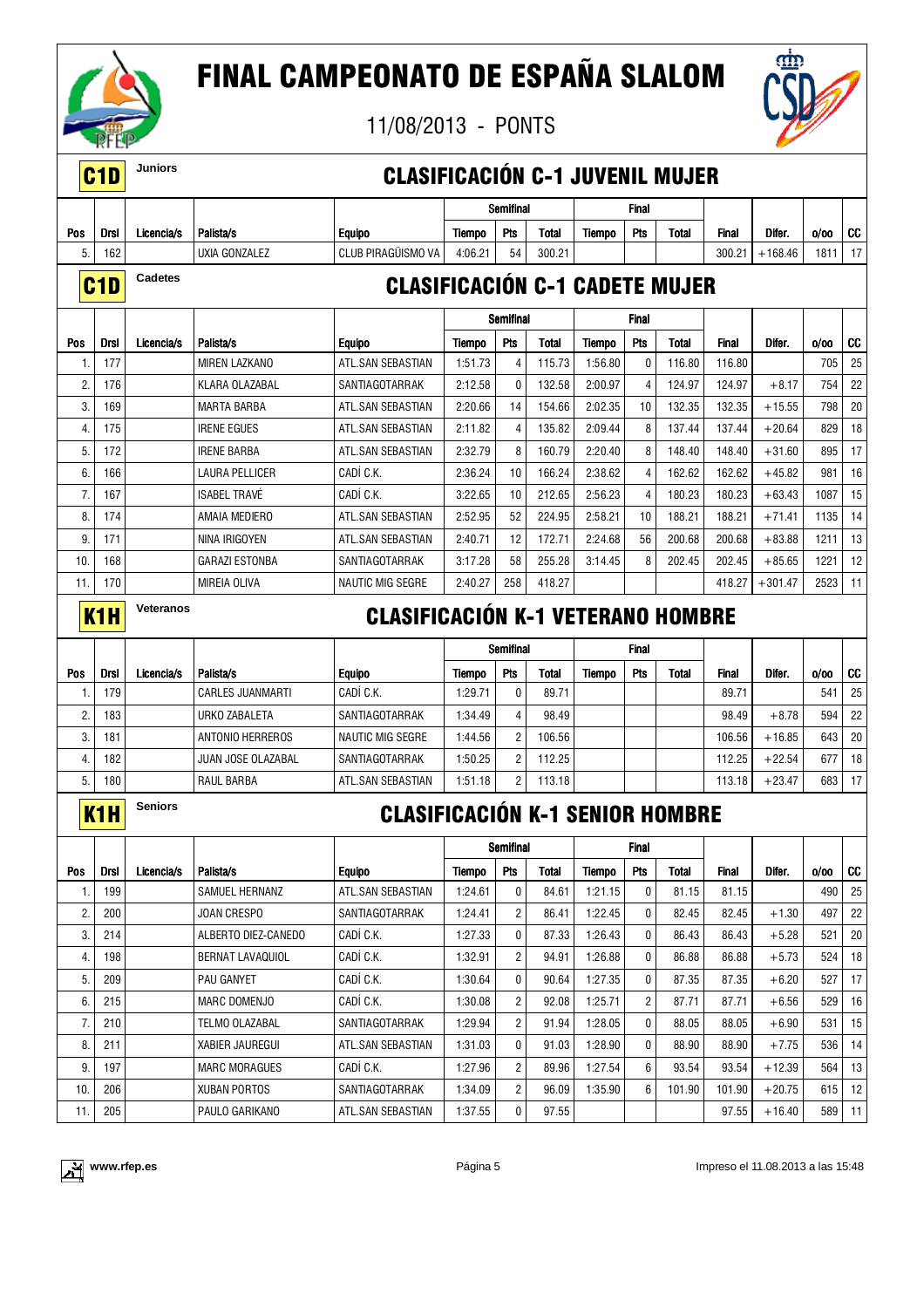



|                  | C <sub>1</sub> D | Juniors          |                                      | <b>CLASIFICACIÓN C-1 JUVENIL MUJER</b>   |                    |                                  |                |                    |                |                 |                 |                      |               |    |
|------------------|------------------|------------------|--------------------------------------|------------------------------------------|--------------------|----------------------------------|----------------|--------------------|----------------|-----------------|-----------------|----------------------|---------------|----|
|                  |                  |                  |                                      |                                          |                    | Semifinal                        |                |                    | <b>Final</b>   |                 |                 |                      |               |    |
| Pos              | <b>Drsl</b>      | Licencia/s       | Palista/s                            | <b>Equipo</b>                            | <b>Tiempo</b>      | Pts                              | <b>Total</b>   | Tiempo             | Pts            | <b>Total</b>    | <b>Final</b>    | Difer.               | 0/00          | CC |
| 5.               | 162              |                  | UXIA GONZALEZ                        | CLUB PIRAGÜISMO VA                       | 4:06.21            | 54                               | 300.21         |                    |                |                 | 300.21          | $+168.46$            | 1811          | 17 |
|                  | C <sub>1</sub> D | Cadetes          |                                      | <b>CLASIFICACIÓN C-1 CADETE MUJER</b>    |                    |                                  |                |                    |                |                 |                 |                      |               |    |
|                  |                  |                  |                                      |                                          |                    | <b>Semifinal</b>                 |                |                    | <b>Final</b>   |                 |                 |                      |               |    |
| Pos              | Drsl             | Licencia/s       | Palista/s                            | <b>Equipo</b>                            | Tiempo             | Pts                              | <b>Total</b>   | Tiempo             | Pts            | <b>Total</b>    | <b>Final</b>    | Difer.               | 0/00          | CC |
| 1.               | 177              |                  | MIREN LAZKANO                        | ATL.SAN SEBASTIAN                        | 1:51.73            | 4                                | 115.73         | 1:56.80            | 0              | 116.80          | 116.80          |                      | 705           | 25 |
| 2.               | 176              |                  | KLARA OLAZABAL                       | SANTIAGOTARRAK                           | 2:12.58            | 0                                | 132.58         | 2:00.97            | 4              | 124.97          | 124.97          | $+8.17$              | 754           | 22 |
| 3.               | 169              |                  | <b>MARTA BARBA</b>                   | ATL.SAN SEBASTIAN                        | 2:20.66            | 14                               | 154.66         | 2:02.35            | 10             | 132.35          | 132.35          | $+15.55$             | 798           | 20 |
| 4.               | 175              |                  | <b>IRENE EGUES</b>                   | ATL.SAN SEBASTIAN                        | 2:11.82            | 4                                | 135.82         | 2:09.44            | 8              | 137.44          | 137.44          | $+20.64$             | 829           | 18 |
| 5.               | 172              |                  | <b>IRENE BARBA</b>                   | ATL.SAN SEBASTIAN                        | 2:32.79            | 8                                | 160.79         | 2:20.40            | 8              | 148.40          | 148.40          | $+31.60$             | 895           | 17 |
| 6.               | 166              |                  | <b>LAURA PELLICER</b>                | CADÍ C.K.                                | 2:36.24            | 10                               | 166.24         | 2:38.62            | 4              | 162.62          | 162.62          | $+45.82$             | 981           | 16 |
| 7.               | 167              |                  | <b>ISABEL TRAVÉ</b>                  | CADÍ C.K.                                | 3:22.65            | 10                               | 212.65         | 2:56.23            | $\overline{4}$ | 180.23          | 180.23          | $+63.43$             | 1087          | 15 |
| 8.               | 174              |                  | AMAIA MEDIERO                        | ATL.SAN SEBASTIAN                        | 2:52.95            | 52                               | 224.95         | 2:58.21            | 10             | 188.21          | 188.21          | $+71.41$             | 1135          | 14 |
| 9.               | 171              |                  | NINA IRIGOYEN                        | ATL.SAN SEBASTIAN                        | 2:40.71            | 12                               | 172.71         | 2:24.68            | 56             | 200.68          | 200.68          | $+83.88$             | 1211          | 13 |
| 10.              | 168              |                  | <b>GARAZI ESTONBA</b>                | SANTIAGOTARRAK                           | 3:17.28            | 58                               | 255.28         | 3:14.45            | 8              | 202.45          | 202.45          | $+85.65$             | 1221          | 12 |
| 11               | 170              |                  | MIREIA OLIVA                         | <b>NAUTIC MIG SEGRE</b>                  | 2:40.27            | 258                              | 418.27         |                    |                |                 | 418.27          | $+301.47$            | 2523          | 11 |
|                  |                  | <b>Veteranos</b> |                                      | <b>CLASIFICACIÓN K-1 VETERANO HOMBRE</b> |                    |                                  |                |                    |                |                 |                 |                      |               |    |
|                  |                  |                  |                                      |                                          |                    |                                  |                |                    |                |                 |                 |                      |               |    |
| K <sub>1</sub> H |                  |                  |                                      |                                          |                    |                                  |                |                    |                |                 |                 |                      |               |    |
|                  |                  |                  |                                      |                                          |                    | <b>Semifinal</b>                 |                |                    | <b>Final</b>   |                 |                 |                      |               |    |
| Pos              | Drsl             | Licencia/s       | Palista/s                            | <b>Equipo</b>                            | <b>Tiempo</b>      | Pts                              | <b>Total</b>   | <b>Tiempo</b>      | Pts            | <b>Total</b>    | Final           | Difer.               | 0/00          | CC |
| 1.               | 179              |                  | <b>CARLES JUANMARTI</b>              | CADÍ C.K.                                | 1:29.71            | 0                                | 89.71          |                    |                |                 | 89.71           |                      | 541           | 25 |
| 2.               | 183              |                  | URKO ZABALETA                        | SANTIAGOTARRAK                           | 1:34.49            | 4                                | 98.49          |                    |                |                 | 98.49           | $+8.78$              | 594           | 22 |
| 3.               | 181              |                  | ANTONIO HERREROS                     | <b>NAUTIC MIG SEGRE</b>                  | 1:44.56            | $\overline{2}$                   | 106.56         |                    |                |                 | 106.56          | $+16.85$             | 643           | 20 |
| 4.               | 182              |                  | JUAN JOSE OLAZABAL                   | SANTIAGOTARRAK                           | 1:50.25            | $\overline{c}$                   | 112.25         |                    |                |                 | 112.25          | $+22.54$             | 677           | 18 |
| 5.               | 180              |                  | RAUL BARBA                           | ATL.SAN SEBASTIAN                        | 1:51.18            | 2                                | 113.18         |                    |                |                 | 113.18          | $+23.47$             | 683           | 17 |
|                  | K1H              | Seniors          |                                      | <b>CLASIFICACIÓN K-1 SENIOR HOMBRE</b>   |                    |                                  |                |                    |                |                 |                 |                      |               |    |
|                  |                  |                  |                                      |                                          |                    |                                  |                |                    |                |                 |                 |                      |               |    |
|                  |                  |                  |                                      |                                          |                    | Semifinal                        |                |                    | Final          |                 |                 |                      |               |    |
| Pos              | <b>Drsl</b>      | Licencia/s       | Palista/s                            | <b>Equipo</b>                            | <b>Tiempo</b>      | Pts                              | Total          | Tiempo             | Pts            | Total           | Final           | Difer.               | 0/00          | CC |
| 1.               | 199              |                  | SAMUEL HERNANZ                       | ATL.SAN SEBASTIAN                        | 1:24.61            | 0                                | 84.61          | 1:21.15            | 0              | 81.15           | 81.15           |                      | 490           | 25 |
| 2.               | 200              |                  | JOAN CRESPO                          | SANTIAGOTARRAK                           | 1:24.41            | 2                                | 86.41          | 1:22.45            | 0              | 82.45           | 82.45           | $+1.30$              | 497           | 22 |
| 3.               | 214              |                  | ALBERTO DIEZ-CANEDO                  | CADÍ C.K.                                | 1:27.33            | 0                                | 87.33          | 1:26.43            | 0              | 86.43           | 86.43           | $+5.28$              | 521           | 20 |
| 4.               | 198              |                  | BERNAT LAVAQUIOL                     | CADÍ C.K.                                | 1:32.91            | $\overline{c}$                   | 94.91          | 1:26.88            | 0              | 86.88           | 86.88           | $+5.73$              | 524           | 18 |
| 5.               | 209              |                  | PAU GANYET                           | CADI C.K.                                | 1:30.64            | 0                                | 90.64          | 1:27.35            | 0              | 87.35           | 87.35           | $+6.20$              | 527           | 17 |
| 6.               | 215              |                  | MARC DOMENJO                         | CADÍ C.K.                                | 1:30.08            | $\overline{c}$                   | 92.08          | 1:25.71            | 2              | 87.71           | 87.71           | $+6.56$              | 529           | 16 |
| 7.               | 210              |                  | TELMO OLAZABAL                       | SANTIAGOTARRAK                           | 1:29.94            | 2                                | 91.94          | 1:28.05            | 0              | 88.05           | 88.05           | $+6.90$              | 531           | 15 |
| 8.               | 211              |                  | XABIER JAUREGUI                      | ATL.SAN SEBASTIAN                        | 1:31.03            | 0                                | 91.03          | 1:28.90            | 0              | 88.90           | 88.90           | $+7.75$              | 536           | 14 |
| 9.<br>10.        | 197<br>206       |                  | <b>MARC MORAGUES</b><br>XUBAN PORTOS | CADÍ C.K.<br>SANTIAGOTARRAK              | 1:27.96<br>1:34.09 | $\overline{c}$<br>$\overline{c}$ | 89.96<br>96.09 | 1:27.54<br>1:35.90 | 6<br>6         | 93.54<br>101.90 | 93.54<br>101.90 | $+12.39$<br>$+20.75$ | 564<br>615 12 | 13 |

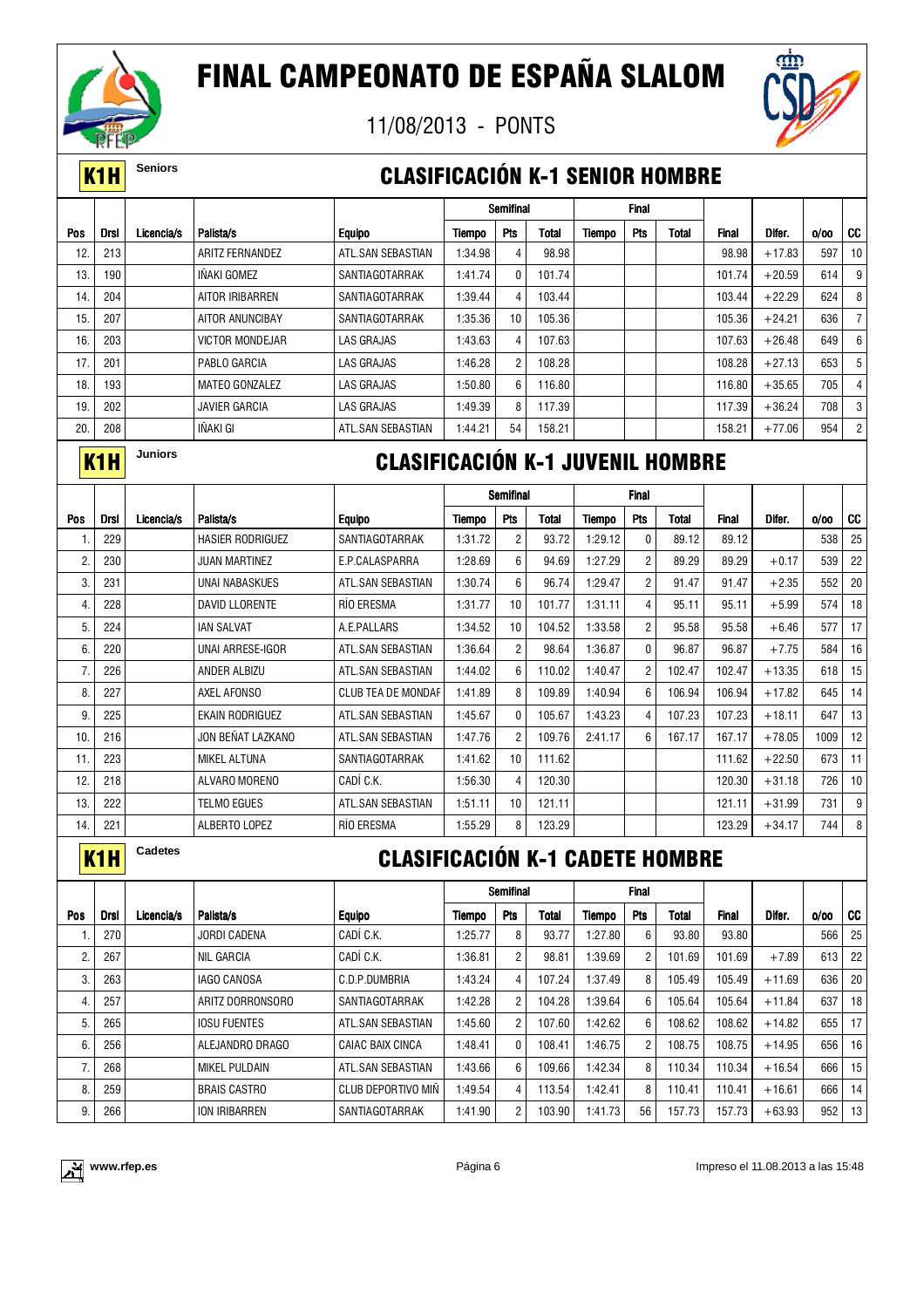

11/08/2013 - PONTS



#### **K1H** Seniors **CLASIFICACIÓN K-1 SENIOR HOMBRE**

|     |             |            |                        |                   |         | Semifinal      |        |        | Final      |       |              |          |      |                       |
|-----|-------------|------------|------------------------|-------------------|---------|----------------|--------|--------|------------|-------|--------------|----------|------|-----------------------|
| Pos | <b>Drsl</b> | Licencia/s | Palista/s              | <b>Equipo</b>     | Tiempo  | Pts            | Total  | Tiempo | <b>Pts</b> | Total | <b>Final</b> | Difer.   | 0/00 | CC                    |
| 12. | 213         |            | <b>ARITZ FERNANDEZ</b> | ATL.SAN SEBASTIAN | 1:34.98 | $\overline{4}$ | 98.98  |        |            |       | 98.98        | $+17.83$ | 597  | 10                    |
| 13. | 190         |            | <b>INAKI GOMEZ</b>     | SANTIAGOTARRAK    | 1:41.74 | 0              | 101.74 |        |            |       | 101.74       | $+20.59$ | 614  | 9                     |
| 14. | 204         |            | AITOR IRIBARREN        | SANTIAGOTARRAK    | 1:39.44 | 4              | 103.44 |        |            |       | 103.44       | $+22.29$ | 624  | 8                     |
| 15. | 207         |            | AITOR ANUNCIBAY        | SANTIAGOTARRAK    | 1:35.36 | 10             | 105.36 |        |            |       | 105.36       | $+24.21$ | 636  | 7                     |
| 16. | 203         |            | <b>VICTOR MONDEJAR</b> | LAS GRAJAS        | 1:43.63 | 4              | 107.63 |        |            |       | 107.63       | $+26.48$ | 649  | 6                     |
| 17. | 201         |            | PABLO GARCIA           | LAS GRAJAS        | 1:46.28 | $\overline{c}$ | 108.28 |        |            |       | 108.28       | $+27.13$ | 653  | 5                     |
| 18. | 193         |            | MATEO GONZALEZ         | LAS GRAJAS        | 1:50.80 | 6              | 116.80 |        |            |       | 116.80       | $+35.65$ | 705  | 4                     |
| 19. | 202         |            | <b>JAVIER GARCIA</b>   | LAS GRAJAS        | 1:49.39 | 8              | 117.39 |        |            |       | 117.39       | $+36.24$ | 708  | 3                     |
| 20. | 208         |            | IÑAKI GI               | ATL.SAN SEBASTIAN | 1:44.21 | 54             | 158.21 |        |            |       | 158.21       | $+77.06$ | 954  | $\mathbf{2}^{\prime}$ |

### K1H **Juniors** CLASIFICACIÓN K-1 JUVENIL HOMBRE

|     |             |            |                         |                           | <b>Semifinal</b> |                |        | <b>Final</b> |                |        |              |          |      |                 |
|-----|-------------|------------|-------------------------|---------------------------|------------------|----------------|--------|--------------|----------------|--------|--------------|----------|------|-----------------|
| Pos | <b>Drsl</b> | Licencia/s | Palista/s               | <b>Equipo</b>             | Tiempo           | Pts            | Total  | Tiempo       | Pts            | Total  | <b>Final</b> | Difer.   | 0/00 | <b>CC</b>       |
|     | 229         |            | <b>HASIER RODRIGUEZ</b> | SANTIAGOTARRAK            | 1:31.72          | $\overline{2}$ | 93.72  | 1:29.12      | $\mathbf{0}$   | 89.12  | 89.12        |          | 538  | 25              |
| 2.  | 230         |            | <b>JUAN MARTINEZ</b>    | E.P.CALASPARRA            | 1:28.69          | 6              | 94.69  | 1:27.29      | $\overline{c}$ | 89.29  | 89.29        | $+0.17$  | 539  | 22              |
| 3.  | 231         |            | UNAI NABASKUES          | ATL.SAN SEBASTIAN         | 1:30.74          | 6              | 96.74  | 1:29.47      | $\overline{2}$ | 91.47  | 91.47        | $+2.35$  | 552  | 20              |
| 4.  | 228         |            | DAVID LLORENTE          | <b>RIO ERESMA</b>         | 1:31.77          | 10             | 101.77 | 1:31.11      | 4              | 95.11  | 95.11        | $+5.99$  | 574  | 18              |
| 5.  | 224         |            | <b>IAN SALVAT</b>       | A.E.PALLARS               | 1:34.52          | 10             | 104.52 | 1:33.58      | $\overline{2}$ | 95.58  | 95.58        | $+6.46$  | 577  | 17              |
| 6.  | 220         |            | UNAI ARRESE-IGOR        | ATL.SAN SEBASTIAN         | 1:36.64          | $\overline{2}$ | 98.64  | 1:36.87      | 0              | 96.87  | 96.87        | $+7.75$  | 584  | 16              |
| 7.  | 226         |            | ANDER ALBIZU            | ATL.SAN SEBASTIAN         | 1:44.02          | 6              | 110.02 | 1:40.47      | $\overline{2}$ | 102.47 | 102.47       | $+13.35$ | 618  | 15              |
| 8.  | 227         |            | AXEL AFONSO             | <b>CLUB TEA DE MONDAF</b> | 1:41.89          | 8              | 109.89 | 1:40.94      | 6              | 106.94 | 106.94       | $+17.82$ | 645  | 14              |
| 9.  | 225         |            | EKAIN RODRIGUEZ         | ATL.SAN SEBASTIAN         | 1:45.67          | $\mathbf{0}$   | 105.67 | 1:43.23      | 4              | 107.23 | 107.23       | $+18.11$ | 647  | 13              |
| 10. | 216         |            | JON BEÑAT LAZKANO       | ATL.SAN SEBASTIAN         | 1:47.76          | 2              | 109.76 | 2:41.17      | 6              | 167.17 | 167.17       | $+78.05$ | 1009 | 12              |
| 11. | 223         |            | <b>MIKEL ALTUNA</b>     | SANTIAGOTARRAK            | 1:41.62          | 10             | 111.62 |              |                |        | 111.62       | $+22.50$ | 673  | 11              |
| 12. | 218         |            | ALVARO MORENO           | CADÍ C.K.                 | 1:56.30          | 4              | 120.30 |              |                |        | 120.30       | $+31.18$ | 726  | 10 <sup>1</sup> |
| 13. | 222         |            | <b>TELMO EGUES</b>      | ATL.SAN SEBASTIAN         | 1:51.11          | 10             | 121.11 |              |                |        | 121.11       | $+31.99$ | 731  | 9 <sup>1</sup>  |
| 14. | 221         |            | ALBERTO LOPEZ           | RÍO ERESMA                | 1:55.29          | 8              | 123.29 |              |                |        | 123.29       | $+34.17$ | 744  | 8 <sup>1</sup>  |

#### **K1H** Cadetes **CLASIFICACIÓN K-1 CADETE HOMBRE**

|     |             |            |                     |                           | Semifinal |                |        |         | <b>Final</b>   |        |              |          |      |     |
|-----|-------------|------------|---------------------|---------------------------|-----------|----------------|--------|---------|----------------|--------|--------------|----------|------|-----|
| Pos | <b>Drsl</b> | Licencia/s | Palista/s           | <b>Equipo</b>             | Tiempo    | <b>Pts</b>     | Total  | Tiempo  | <b>Pts</b>     | Total  | <b>Final</b> | Difer.   | 0/00 | CC. |
|     | 270         |            | <b>JORDI CADENA</b> | CADÍ C.K.                 | :25.77    | 8              | 93.77  | 1:27.80 | 6              | 93.80  | 93.80        |          | 566  | 25  |
| 2.  | 267         |            | NIL GARCIA          | CADÍ C.K.                 | 1:36.81   | 2              | 98.81  | 1:39.69 | 2              | 101.69 | 101.69       | $+7.89$  | 613  | 22  |
| 3.  | 263         |            | <b>IAGO CANOSA</b>  | C.D.P.DUMBRIA             | 1:43.24   | 4              | 107.24 | 1:37.49 | 8              | 105.49 | 105.49       | $+11.69$ | 636  | 20  |
| 4.  | 257         |            | ARITZ DORRONSORO    | <b>SANTIAGOTARRAK</b>     | 1:42.28   | $\overline{2}$ | 104.28 | 1:39.64 | 6              | 105.64 | 105.64       | $+11.84$ | 637  | 18  |
| 5.  | 265         |            | <b>IOSU FUENTES</b> | ATL.SAN SEBASTIAN         | 1:45.60   | $\overline{2}$ | 107.60 | 1:42.62 | 6              | 108.62 | 108.62       | $+14.82$ | 655  | 17  |
| 6.  | 256         |            | ALEJANDRO DRAGO     | <b>CAIAC BAIX CINCA</b>   | 1:48.41   | 0              | 108.41 | 1:46.75 | $\overline{2}$ | 108.75 | 108.75       | $+14.95$ | 656  | 16  |
| 7.  | 268         |            | MIKEL PULDAIN       | ATL.SAN SEBASTIAN         | 1:43.66   | 6              | 109.66 | 1:42.34 | 8              | 110.34 | 110.34       | $+16.54$ | 666  | 15  |
| 8.  | 259         |            | <b>BRAIS CASTRO</b> | <b>CLUB DEPORTIVO MIN</b> | 1:49.54   | 4              | 113.54 | 1:42.41 | 8              | 110.41 | 110.41       | $+16.61$ | 666  | 14  |
| 9.  | 266         |            | ION IRIBARREN       | SANTIAGOTARRAK            | 1:41.90   | $\overline{2}$ | 103.90 | 1:41.73 | 56             | 157.73 | 157.73       | $+63.93$ | 952  | 13  |

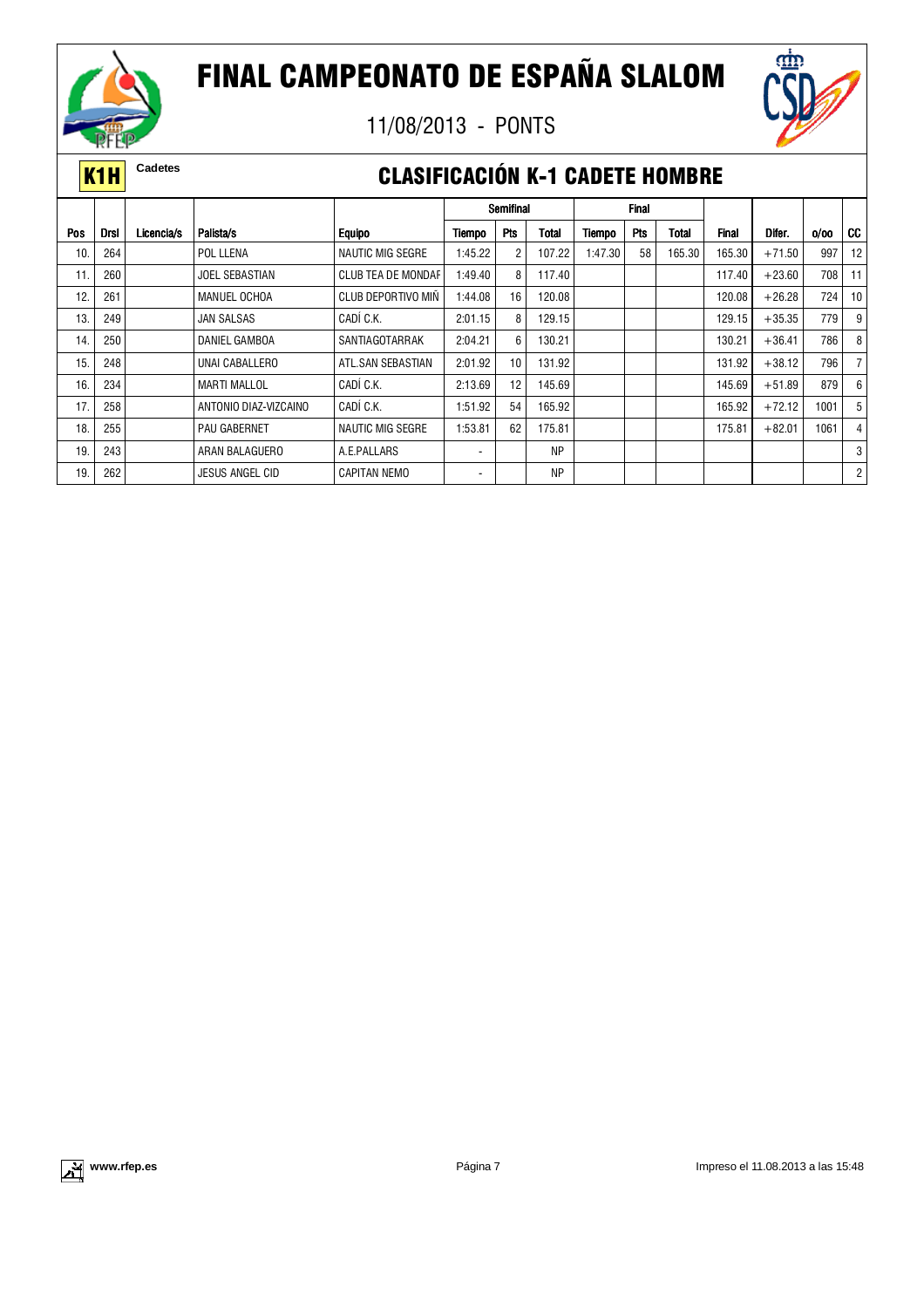

11/08/2013 - PONTS



#### **K1H** Cadetes **CLASIFICACIÓN K-1 CADETE HOMBRE**

|            |             |            |                       |                           | <b>Semifinal</b>         |                 |           | <b>Final</b> |     |        |              |          |      |                 |
|------------|-------------|------------|-----------------------|---------------------------|--------------------------|-----------------|-----------|--------------|-----|--------|--------------|----------|------|-----------------|
| <b>Pos</b> | <b>Drsl</b> | Licencia/s | Palista/s             | <b>Equipo</b>             | Tiempo                   | Pts             | Total     | Tiempo       | Pts | Total  | <b>Final</b> | Difer.   | 0/00 | CC              |
| 10         | 264         |            | POL LLENA             | <b>NAUTIC MIG SEGRE</b>   | 1:45.22                  | $\overline{c}$  | 107.22    | 1:47.30      | 58  | 165.30 | 165.30       | $+71.50$ | 997  | 12              |
| 11.        | 260         |            | <b>JOEL SEBASTIAN</b> | CLUB TEA DE MONDAF        | 1:49.40                  | 8               | 117.40    |              |     |        | 117.40       | $+23.60$ | 708  | 11              |
| 12.        | 261         |            | MANUEL OCHOA          | <b>CLUB DEPORTIVO MIN</b> | 1:44.08                  | 16              | 120.08    |              |     |        | 120.08       | $+26.28$ | 724  | 10 <sup>°</sup> |
| 13.        | 249         |            | JAN SALSAS            | CADÍ C.K.                 | 2:01.15                  | 8               | 129.15    |              |     |        | 129.15       | $+35.35$ | 779  | 9               |
| 14.        | 250         |            | <b>DANIEL GAMBOA</b>  | SANTIAGOTARRAK            | 2:04.21                  | 6               | 130.21    |              |     |        | 130.21       | $+36.41$ | 786  | 8               |
| 15.        | 248         |            | UNAI CABALLERO        | ATL.SAN SEBASTIAN         | 2:01.92                  | 10 <sup>1</sup> | 131.92    |              |     |        | 131.92       | $+38.12$ | 796  | $\overline{7}$  |
| 16.        | 234         |            | MARTI MALLOL          | CADÍ C.K.                 | 2:13.69                  | 12              | 145.69    |              |     |        | 145.69       | $+51.89$ | 879  | 6               |
| 17.        | 258         |            | ANTONIO DIAZ-VIZCAINO | CADÍ C.K.                 | 1:51.92                  | 54              | 165.92    |              |     |        | 165.92       | $+72.12$ | 1001 | 5               |
| 18.        | 255         |            | <b>PAU GABERNET</b>   | <b>NAUTIC MIG SEGRE</b>   | 1:53.81                  | 62              | 175.81    |              |     |        | 175.81       | $+82.01$ | 1061 | 4               |
| 19         | 243         |            | ARAN BALAGUERO        | A.E.PALLARS               | $\overline{\phantom{a}}$ |                 | <b>NP</b> |              |     |        |              |          |      | 3               |
| 19.        | 262         |            | JESUS ANGEL CID       | <b>CAPITAN NEMO</b>       | $\overline{\phantom{a}}$ |                 | <b>NP</b> |              |     |        |              |          |      | $\mathbf{2}$    |

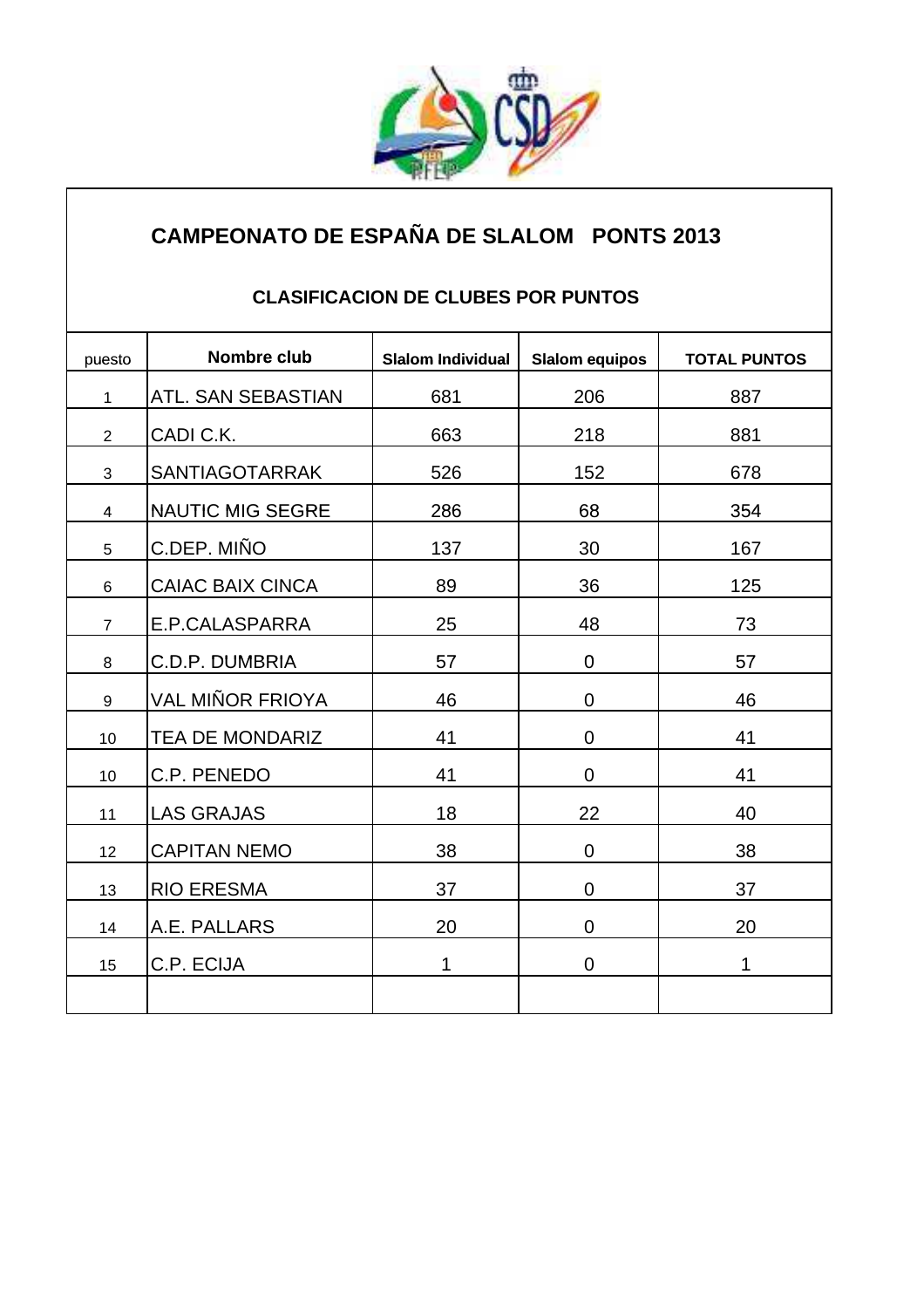

### **CAMPEONATO DE ESPAÑA DE SLALOM PONTS 2013**

#### **CLASIFICACION DE CLUBES POR PUNTOS**

| puesto          | Nombre club               | <b>Slalom Individual</b> | <b>Slalom equipos</b> | <b>TOTAL PUNTOS</b> |
|-----------------|---------------------------|--------------------------|-----------------------|---------------------|
| $\mathbf{1}$    | <b>ATL. SAN SEBASTIAN</b> | 681                      | 206                   | 887                 |
| $\overline{2}$  | CADI C.K.                 | 663                      | 218                   | 881                 |
| 3               | SANTIAGOTARRAK            | 526                      | 152                   | 678                 |
| $\overline{4}$  | <b>NAUTIC MIG SEGRE</b>   | 286                      | 68                    | 354                 |
| 5               | C.DEP. MIÑO               | 137                      | 30                    | 167                 |
| 6               | CAIAC BAIX CINCA          | 89                       | 36                    | 125                 |
| $\overline{7}$  | E.P.CALASPARRA            | 25                       | 48                    | 73                  |
| 8               | C.D.P. DUMBRIA            | 57                       | $\mathbf 0$           | 57                  |
| 9               | VAL MIÑOR FRIOYA          | 46                       | $\mathbf 0$           | 46                  |
| 10              | TEA DE MONDARIZ           | 41                       | $\mathbf 0$           | 41                  |
| 10              | C.P. PENEDO               | 41                       | $\mathbf 0$           | 41                  |
| 11              | <b>LAS GRAJAS</b>         | 18                       | 22                    | 40                  |
| 12 <sub>2</sub> | <b>CAPITAN NEMO</b>       | 38                       | $\mathbf 0$           | 38                  |
| 13              | <b>RIO ERESMA</b>         | 37                       | $\mathbf 0$           | 37                  |
| 14              | A.E. PALLARS              | 20                       | $\overline{0}$        | 20                  |
| 15              | C.P. ECIJA                | 1                        | $\mathbf 0$           | 1                   |
|                 |                           |                          |                       |                     |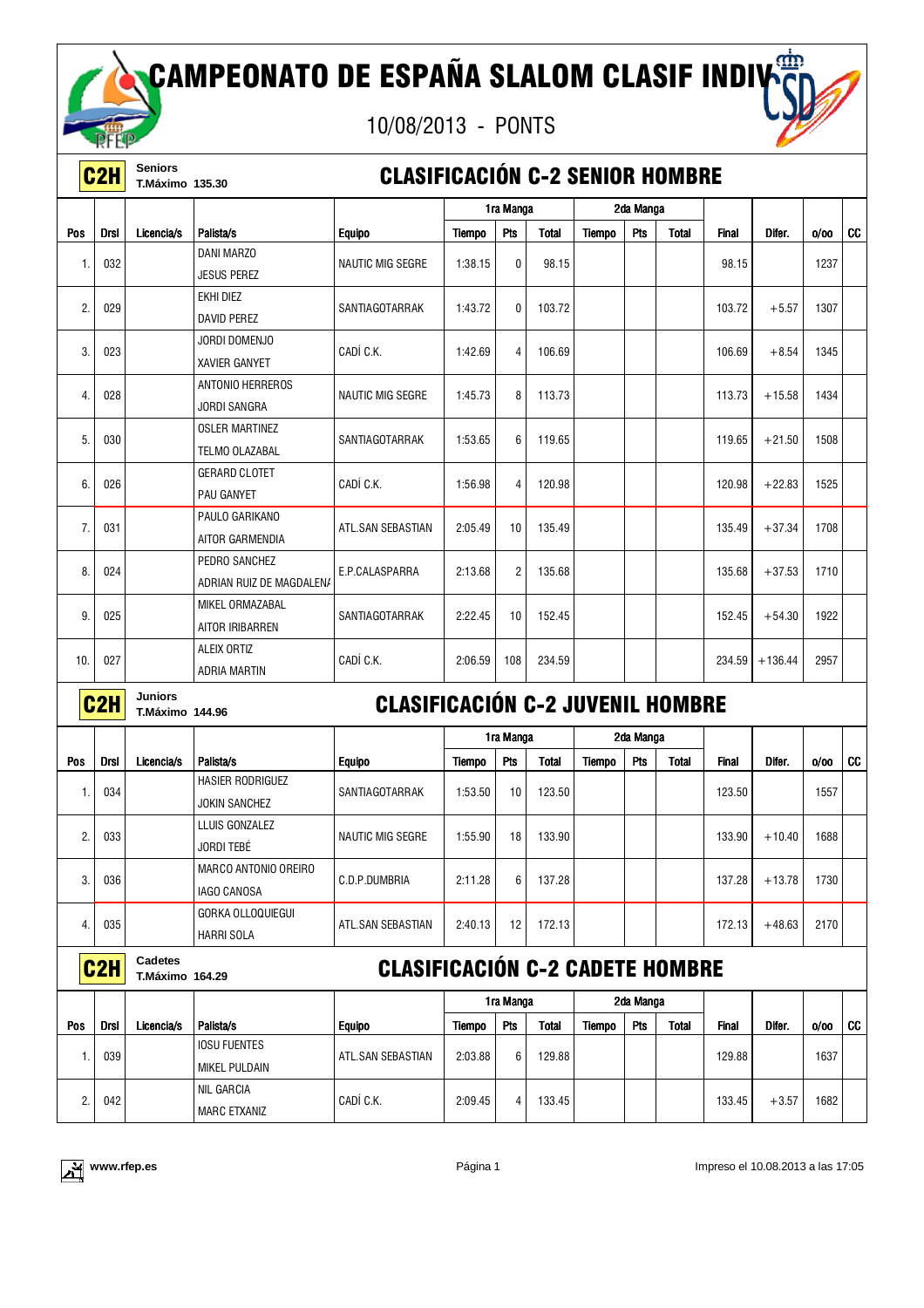

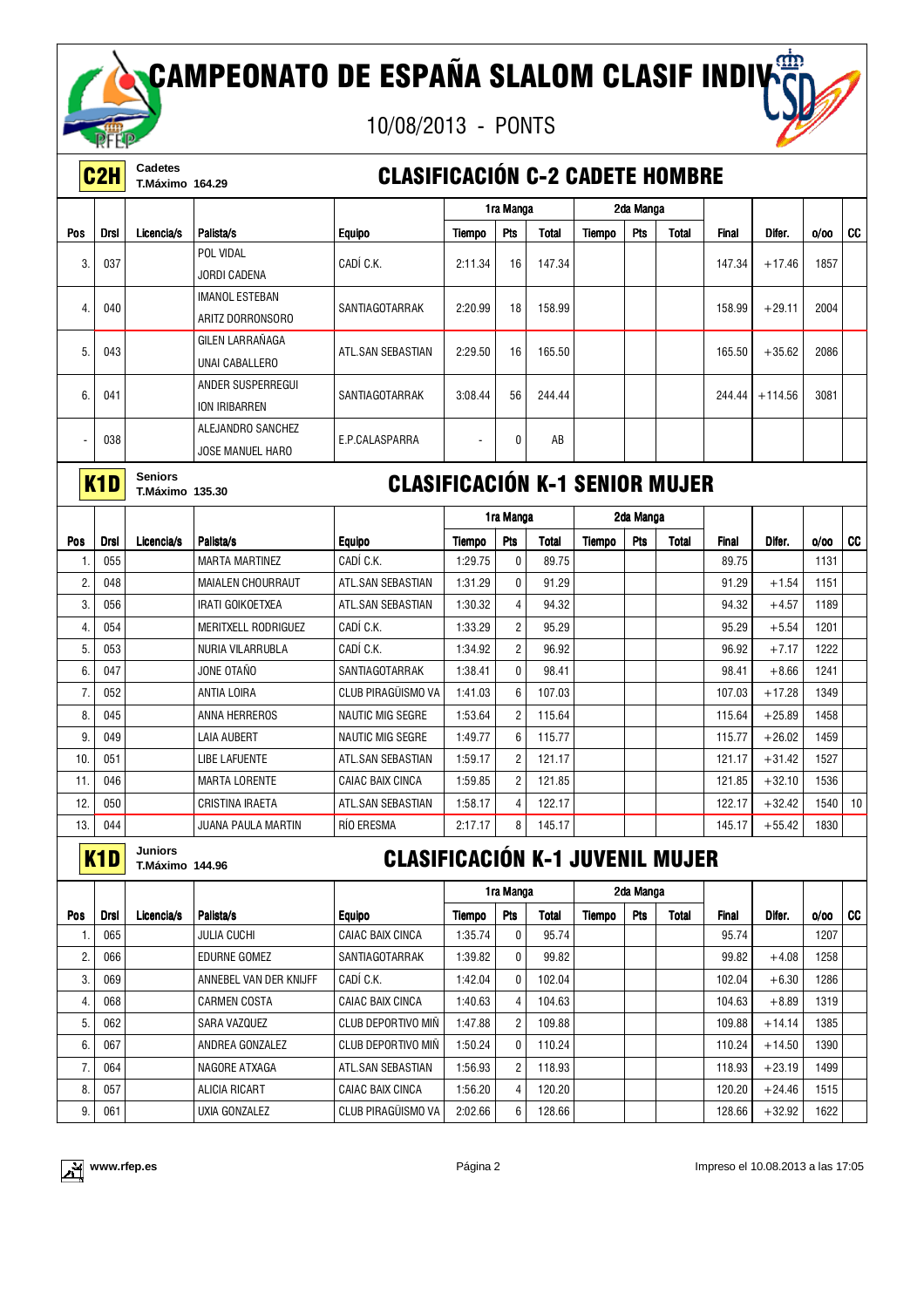

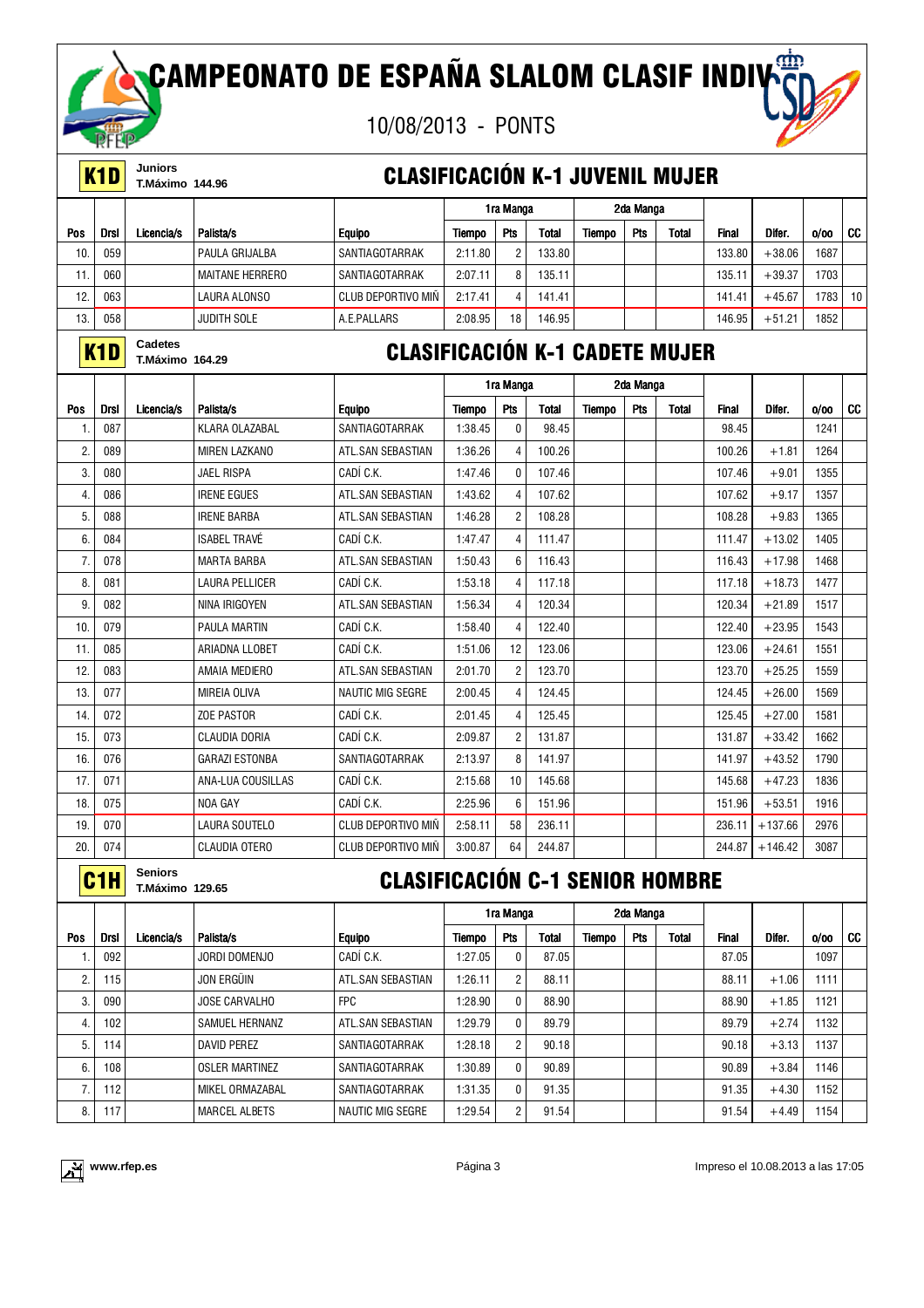10/08/2013 - PONTS



|      | אנו דאר          |                                   |                        |                                        |               |                |              |        |            |              |              |                   |      |    |
|------|------------------|-----------------------------------|------------------------|----------------------------------------|---------------|----------------|--------------|--------|------------|--------------|--------------|-------------------|------|----|
|      | K <sub>1</sub> D | Juniors<br><b>T.Máximo 144.96</b> |                        | <b>CLASIFICACIÓN K-1 JUVENIL MUJER</b> |               |                |              |        |            |              |              |                   |      |    |
|      |                  |                                   |                        |                                        |               | 1ra Manga      |              |        | 2da Manga  |              |              |                   |      |    |
| Pos  | <b>Drsl</b>      | Licencia/s                        | Palista/s              | <b>Equipo</b>                          | Tiempo        | Pts            | <b>Total</b> | Tiempo | <b>Pts</b> | <b>Total</b> | <b>Final</b> | Difer.            | 0/00 | CC |
| 10   | 059              |                                   | PAULA GRIJALBA         | SANTIAGOTARRAK                         | 2:11.80       | $\overline{2}$ | 133.80       |        |            |              | 133.80       | $+38.06$          | 1687 |    |
| 11.  | 060              |                                   | <b>MAITANE HERRERO</b> | SANTIAGOTARRAK                         | 2:07.11       | 8              | 135.11       |        |            |              | 135.11       | $+39.37$          | 1703 |    |
| 12.  | 063              |                                   | LAURA ALONSO           | <b>CLUB DEPORTIVO MIN</b>              | 2:17.41       | $\overline{4}$ | 141.41       |        |            |              | 141.41       | $+45.67$          | 1783 | 10 |
| 13.  | 058              |                                   | <b>JUDITH SOLE</b>     | A.E.PALLARS                            | 2:08.95       | 18             | 146.95       |        |            |              | 146.95       | $+51.21$          | 1852 |    |
|      | K <sub>1</sub> D | Cadetes<br><b>T.Máximo 164.29</b> |                        | <b>CLASIFICACIÓN K-1 CADETE MUJER</b>  |               |                |              |        |            |              |              |                   |      |    |
|      |                  |                                   |                        |                                        |               | 1ra Manga      |              |        | 2da Manga  |              |              |                   |      |    |
| Pos  | <b>Drsl</b>      | Licencia/s                        | Palista/s              | <b>Equipo</b>                          | Tiempo        | Pts            | Total        | Tiempo | <b>Pts</b> | Total        | <b>Final</b> | Difer.            | 0/00 | CC |
| 1.   | 087              |                                   | KLARA OLAZABAL         | SANTIAGOTARRAK                         | 1:38.45       | $\mathbf{0}$   | 98.45        |        |            |              | 98.45        |                   | 1241 |    |
| 2.   | 089              |                                   | MIREN LAZKANO          | ATL.SAN SEBASTIAN                      | 1:36.26       | $\overline{4}$ | 100.26       |        |            |              | 100.26       | $+1.81$           | 1264 |    |
| 3.   | 080              |                                   | <b>JAEL RISPA</b>      | CADÍ C.K.                              | 1:47.46       | $\mathbf{0}$   | 107.46       |        |            |              | 107.46       | $+9.01$           | 1355 |    |
| 4.   | 086              |                                   | <b>IRENE EGUES</b>     | ATL.SAN SEBASTIAN                      | 1:43.62       | $\overline{4}$ | 107.62       |        |            |              | 107.62       | $+9.17$           | 1357 |    |
| 5.   | 088              |                                   | <b>IRENE BARBA</b>     | ATL.SAN SEBASTIAN                      | 1:46.28       | $\overline{c}$ | 108.28       |        |            |              | 108.28       | $+9.83$           | 1365 |    |
| 6.   | 084              |                                   | <b>ISABEL TRAVÉ</b>    | CADÍ C.K.                              | 1:47.47       | $\overline{4}$ | 111.47       |        |            |              | 111.47       | $+13.02$          | 1405 |    |
| 7.   | 078              |                                   | <b>MARTA BARBA</b>     | ATL.SAN SEBASTIAN                      | 1:50.43       | 6              | 116.43       |        |            |              | 116.43       | $+17.98$          | 1468 |    |
| 8.   | 081              |                                   | <b>LAURA PELLICER</b>  | CADÍ C.K.                              | 1:53.18       | $\overline{4}$ | 117.18       |        |            |              | 117.18       | $+18.73$          | 1477 |    |
| 9.   | 082              |                                   | NINA IRIGOYEN          | ATL.SAN SEBASTIAN                      | 1:56.34       | 4              | 120.34       |        |            |              | 120.34       | $+21.89$          | 1517 |    |
| 10.  | 079              |                                   | <b>PAULA MARTIN</b>    | CADÍ C.K.                              | 1:58.40       | $\overline{4}$ | 122.40       |        |            |              | 122.40       | $+23.95$          | 1543 |    |
| 11.  | 085              |                                   | ARIADNA LLOBET         | CADÍ C.K.                              | 1:51.06       | 12             | 123.06       |        |            |              | 123.06       | $+24.61$          | 1551 |    |
| 12.  | 083              |                                   | AMAIA MEDIERO          | ATL.SAN SEBASTIAN                      | 2:01.70       | $\overline{2}$ | 123.70       |        |            |              | 123.70       | $+25.25$          | 1559 |    |
| 13.  | 077              |                                   | MIREIA OLIVA           | <b>NAUTIC MIG SEGRE</b>                | 2:00.45       | $\overline{4}$ | 124.45       |        |            |              | 124.45       | $+26.00$          | 1569 |    |
| 14.  | 072              |                                   | <b>ZOE PASTOR</b>      | CADÍ C.K.                              | 2:01.45       | $\overline{4}$ | 125.45       |        |            |              | 125.45       | $+27.00$          | 1581 |    |
| 15.  | 073              |                                   | <b>CLAUDIA DORIA</b>   | CADÍ C.K.                              | 2:09.87       | $\overline{2}$ | 131.87       |        |            |              | 131.87       | $+33.42$          | 1662 |    |
| 16.  | 076              |                                   | <b>GARAZI ESTONBA</b>  | SANTIAGOTARRAK                         | 2:13.97       | 8              | 141.97       |        |            |              | 141.97       | $+43.52$          | 1790 |    |
| 17.  | 071              |                                   | ANA-LUA COUSILLAS      | CADÍ C.K.                              | 2:15.68       | 10             | 145.68       |        |            |              | 145.68       | $+47.23$          | 1836 |    |
| 18.  | 075              |                                   | NOA GAY                | CADÍ C.K.                              | 2:25.96       | 6              | 151.96       |        |            |              | 151.96       | $+53.51$          | 1916 |    |
| 19.  | 070              |                                   | LAURA SOUTELO          | CLUB DEPORTIVO MIÑ                     | 2:58.11       | 58             | 236.11       |        |            |              | 236.11       | $+137.66$         | 2976 |    |
| 20.1 | 074              |                                   | CLAUDIA OTERO          | CLUB DEPORTIVO MIÑ                     | 3:00.87       | 64 I           | 244.87       |        |            |              |              | $244.87 + 146.42$ | 3087 |    |
|      | C <sub>1</sub> H | <b>Seniors</b><br>T.Máximo 129.65 |                        | <b>CLASIFICACIÓN C-1 SENIOR HOMBRE</b> |               |                |              |        |            |              |              |                   |      |    |
|      |                  |                                   |                        |                                        |               | 1ra Manga      |              |        | 2da Manga  |              |              |                   |      |    |
| Pos  | <b>Drsl</b>      | Licencia/s                        | Palista/s              | <b>Equipo</b>                          | <b>Tiempo</b> | Pts            | <b>Total</b> | Tiempo | Pts        | Total        | Final        | Difer.            | 0/00 | CC |
| 1.   | 092              |                                   | JORDI DOMENJO          | CADÍ C.K.                              | 1:27.05       | 0              | 87.05        |        |            |              | 87.05        |                   | 1097 |    |
| 2.   | 115              |                                   | JON ERGÜIN             | ATL.SAN SEBASTIAN                      | 1:26.11       | $\overline{c}$ | 88.11        |        |            |              | 88.11        | $+1.06$           | 1111 |    |
| 3.   | 090              |                                   | JOSE CARVALHO          | <b>FPC</b>                             | 1:28.90       | 0              | 88.90        |        |            |              | 88.90        | $+1.85$           | 1121 |    |



4. | 102 | SAMUEL HERNANZ | ATL.SAN SEBASTIAN | 1:29.79 | 0 | 89.79 | | | | | | | 89.79 +2.74 | 1132 5. 114 DAVID PEREZ SANTIAGOTARRAK 1:28.18 2 90.18 90.18 +3.13 1137 6. 108 OSLER MARTINEZ SANTIAGOTARRAK 1:30.89 0 90.89 10 90.89 90.89 +3.84 1146 7. | 112 | | MIKEL ORMAZABAL | SANTIAGOTARRAK | 1:31.35 | 0 | 91.35 | | | | | 91.35 | +4.30 | 1152 8. 117 MARCEL ALBETS NAUTIC MIG SEGRE 1:29.54 2 91.54 | | 91.54 +4.49 1154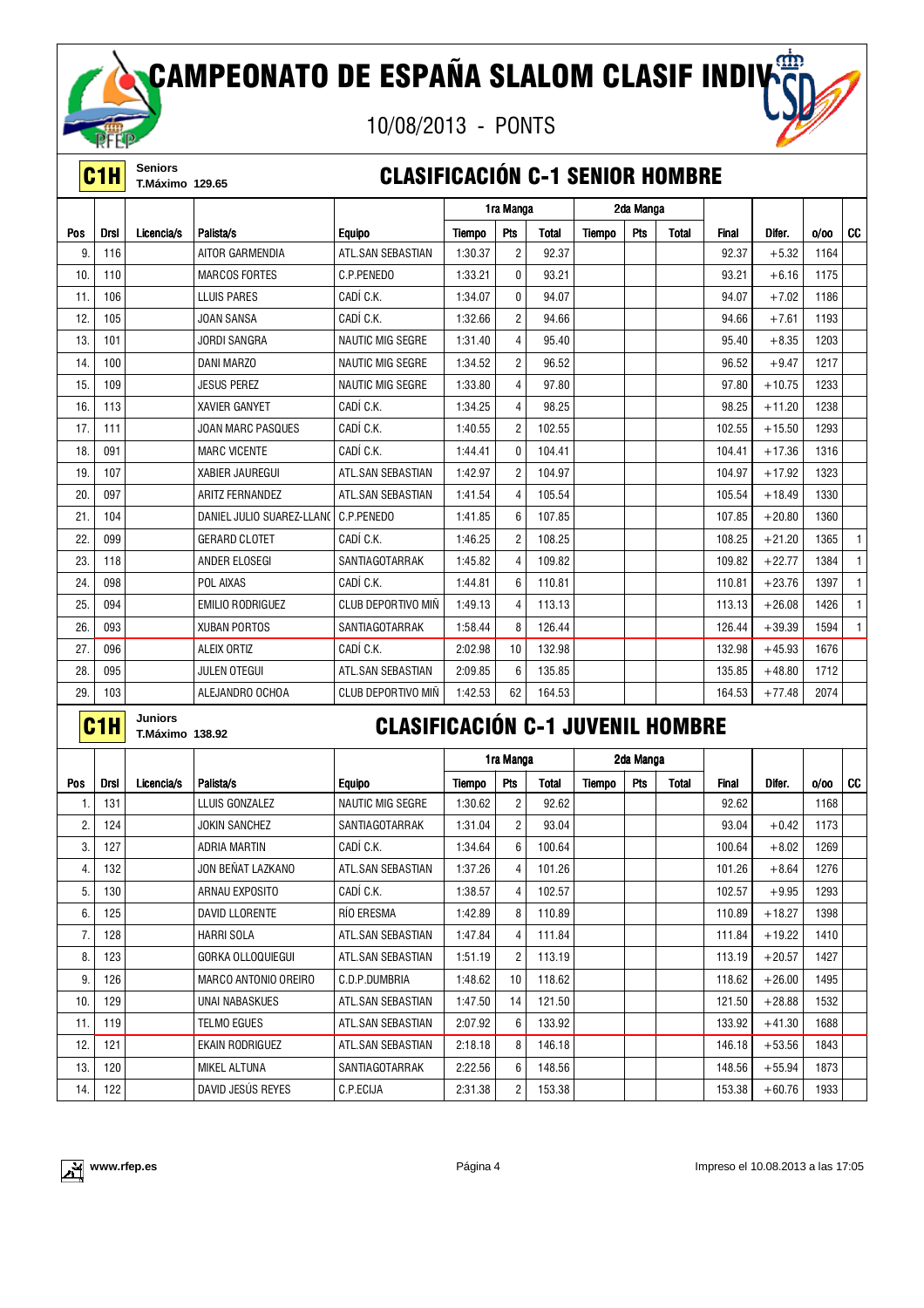10/08/2013 - PONTS



**C1H** Seniors<br>
T.Máximo 129.65

#### **CLASIFICACIÓN C-1 SENIOR HOMBRE**

|                  |                  |                                          |                           |                                         |               | 1ra Manga      |              |               | 2da Manga  |              |              |          |      |              |
|------------------|------------------|------------------------------------------|---------------------------|-----------------------------------------|---------------|----------------|--------------|---------------|------------|--------------|--------------|----------|------|--------------|
| Pos              | <b>Drsl</b>      | Licencia/s                               | Palista/s                 | <b>Equipo</b>                           | <b>Tiempo</b> | Pts            | <b>Total</b> | <b>Tiempo</b> | Pts        | Total        | <b>Final</b> | Difer.   | 0/00 | CC           |
| 9.               | 116              |                                          | AITOR GARMENDIA           | ATL.SAN SEBASTIAN                       | 1:30.37       | $\overline{2}$ | 92.37        |               |            |              | 92.37        | $+5.32$  | 1164 |              |
| 10.              | 110              |                                          | <b>MARCOS FORTES</b>      | C.P.PENEDO                              | 1:33.21       | 0              | 93.21        |               |            |              | 93.21        | $+6.16$  | 1175 |              |
| 11.              | 106              |                                          | <b>LLUIS PARES</b>        | CADÍ C.K.                               | 1:34.07       | 0              | 94.07        |               |            |              | 94.07        | $+7.02$  | 1186 |              |
| 12.              | 105              |                                          | <b>JOAN SANSA</b>         | CADÍ C.K.                               | 1:32.66       | $\overline{2}$ | 94.66        |               |            |              | 94.66        | $+7.61$  | 1193 |              |
| 13.              | 101              |                                          | <b>JORDI SANGRA</b>       | NAUTIC MIG SEGRE                        | 1:31.40       | $\overline{4}$ | 95.40        |               |            |              | 95.40        | $+8.35$  | 1203 |              |
| 14.              | 100              |                                          | <b>DANI MARZO</b>         | NAUTIC MIG SEGRE                        | 1:34.52       | $\overline{2}$ | 96.52        |               |            |              | 96.52        | $+9.47$  | 1217 |              |
| 15.              | 109              |                                          | <b>JESUS PEREZ</b>        | <b>NAUTIC MIG SEGRE</b>                 | 1:33.80       | $\overline{4}$ | 97.80        |               |            |              | 97.80        | $+10.75$ | 1233 |              |
| 16.              | 113              |                                          | <b>XAVIER GANYET</b>      | CADÍ C.K.                               | 1:34.25       | $\overline{4}$ | 98.25        |               |            |              | 98.25        | $+11.20$ | 1238 |              |
| 17.              | 111              |                                          | <b>JOAN MARC PASQUES</b>  | CADÍ C.K.                               | 1:40.55       | $\overline{2}$ | 102.55       |               |            |              | 102.55       | $+15.50$ | 1293 |              |
| 18.              | 091              |                                          | <b>MARC VICENTE</b>       | CADÍ C.K.                               | 1:44.41       | $\mathbf{0}$   | 104.41       |               |            |              | 104.41       | $+17.36$ | 1316 |              |
| 19.              | 107              |                                          | <b>XABIER JAUREGUI</b>    | ATL.SAN SEBASTIAN                       | 1:42.97       | $\overline{2}$ | 104.97       |               |            |              | 104.97       | $+17.92$ | 1323 |              |
| 20.              | 097              |                                          | <b>ARITZ FERNANDEZ</b>    | ATL.SAN SEBASTIAN                       | 1:41.54       | 4              | 105.54       |               |            |              | 105.54       | $+18.49$ | 1330 |              |
| 21.              | 104              |                                          | DANIEL JULIO SUAREZ-LLANO | C.P.PENEDO                              | 1:41.85       | 6              | 107.85       |               |            |              | 107.85       | $+20.80$ | 1360 |              |
| 22.              | 099              |                                          | <b>GERARD CLOTET</b>      | CADÍ C.K.                               | 1:46.25       | $\overline{2}$ | 108.25       |               |            |              | 108.25       | $+21.20$ | 1365 | $\mathbf{1}$ |
| 23.              | 118              |                                          | ANDER ELOSEGI             | SANTIAGOTARRAK                          | 1:45.82       | 4              | 109.82       |               |            |              | 109.82       | $+22.77$ | 1384 | $\mathbf{1}$ |
| 24.              | 098              |                                          | POL AIXAS                 | CADÍ C.K.                               | 1:44.81       | 6              | 110.81       |               |            |              | 110.81       | $+23.76$ | 1397 | $\mathbf{1}$ |
| 25.              | 094              |                                          | <b>EMILIO RODRIGUEZ</b>   | CLUB DEPORTIVO MIÑ                      | 1:49.13       | 4              | 113.13       |               |            |              | 113.13       | $+26.08$ | 1426 | $\mathbf{1}$ |
| 26.              | 093              |                                          | <b>XUBAN PORTOS</b>       | SANTIAGOTARRAK                          | 1:58.44       | 8              | 126.44       |               |            |              | 126.44       | $+39.39$ | 1594 | $\mathbf{1}$ |
| 27.              | 096              |                                          | <b>ALEIX ORTIZ</b>        | CADÍ C.K.                               | 2:02.98       | 10             | 132.98       |               |            |              | 132.98       | $+45.93$ | 1676 |              |
| 28.              | 095              |                                          | <b>JULEN OTEGUI</b>       | ATL.SAN SEBASTIAN                       | 2:09.85       | 6              | 135.85       |               |            |              | 135.85       | $+48.80$ | 1712 |              |
| 29.              | 103              |                                          | ALEJANDRO OCHOA           | <b>CLUB DEPORTIVO MIÑ</b>               | 1:42.53       | 62             | 164.53       |               |            |              | 164.53       | $+77.48$ | 2074 |              |
|                  | C <sub>1</sub> H | <b>Juniors</b><br><b>T.Máximo 138.92</b> |                           | <b>CLASIFICACIÓN C-1 JUVENIL HOMBRE</b> |               |                |              |               |            |              |              |          |      |              |
|                  |                  |                                          |                           |                                         |               | 1ra Manga      |              |               | 2da Manga  |              |              |          |      |              |
| Pos              | <b>Drsl</b>      | Licencia/s                               | Palista/s                 | <b>Equipo</b>                           | <b>Tiempo</b> | Pts            | <b>Total</b> | <b>Tiempo</b> | <b>Pts</b> | <b>Total</b> | <b>Final</b> | Difer.   | 0/00 | cc           |
| 1.               | 131              |                                          | LLUIS GONZALEZ            | <b>NAUTIC MIG SEGRE</b>                 | 1:30.62       | $\overline{c}$ | 92.62        |               |            |              | 92.62        |          | 1168 |              |
| 2.               | 124              |                                          | <b>JOKIN SANCHEZ</b>      | SANTIAGOTARRAK                          | 1:31.04       | $\overline{2}$ | 93.04        |               |            |              | 93.04        | $+0.42$  | 1173 |              |
| 3.               | 127              |                                          | <b>ADRIA MARTIN</b>       | CADÍ C.K.                               | 1:34.64       | 6              | 100.64       |               |            |              | 100.64       | $+8.02$  | 1269 |              |
| $\overline{4}$ . | 132              |                                          | JON BEÑAT LAZKANO         | ATL.SAN SEBASTIAN                       | 1:37.26       | 4              | 101.26       |               |            |              | 101.26       | $+8.64$  | 1276 |              |



5. 130 | ARNAU EXPOSITO | CADI C.K. | 1:38.57 | 4 | 102.57 | | | | | 102.57 | +9.95 | 1293 6.|125| |DAVID LLORENTE |RIO ERESMA |1:42.89| 8| 110.89| | | | | 110.89| +18.27| 1398 7. 128 HARRI SOLA ATL.SAN SEBASTIAN 1:47.84 4 111.84 111.84 +19.22 1410 8. 123 | GORKA OLLOQUIEGUI | ATL.SAN SEBASTIAN | 1:51.19 | 2 | 113.19 | | | | | | 113.19 | +20.57 | 1427 9. 126 MARCO ANTONIO OREIRO C.D.P.DUMBRIA 1:48.62 10 118.62 118.62 +26.00 1495 10. 129 UNAI NABASKUES ATL.SAN SEBASTIAN 1:47.50 14 121.50 121.50 121.50 +28.88 1532 11. | 119 | TELMO EGUES | ATL.SAN SEBASTIAN | 2:07.92 | 6 | 133.92 | | | | | | 133.92 | +41.30 | 1688 12. 121 EKAIN RODRIGUEZ ATL.SAN SEBASTIAN 2:18.18 8 146.18 | 146.18 + 53.56 1843 13. | 120 | | MIKEL ALTUNA | SANTIAGOTARRAK | 2:22.56 | 6 | 148.56 | | | 148.56 | +55.94 | 1873 14. 122 DAVID JESÚS REYES C.P.ECIJA 2:31.38 2 153.38 153.38 +60.76 1933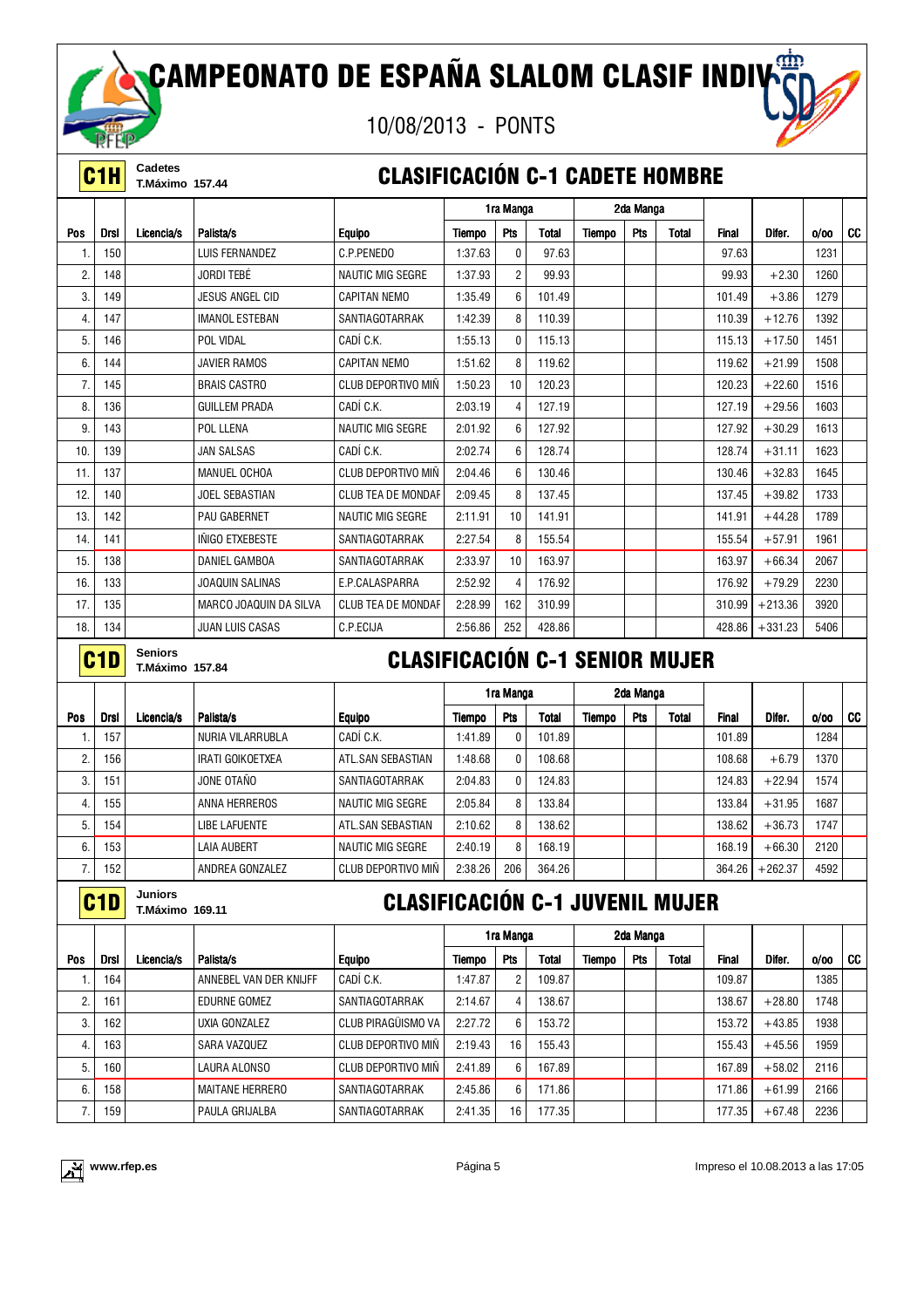## CAMPEONATO DE ESPAÑA SLALOM CLASIF INDIV<sup>em</sup>

10/08/2013 - PONTS



**C1H** Cadetes<br>
T.Máximo 157.44

#### **CLASIFICACIÓN C-1 CADETE HOMBRE**

|                |             |                |                        |                           |         | 1ra Manga      |              |                        | 2da Manga |              |              |           |      |           |
|----------------|-------------|----------------|------------------------|---------------------------|---------|----------------|--------------|------------------------|-----------|--------------|--------------|-----------|------|-----------|
| Pos            | <b>Drsl</b> | Licencia/s     | Palista/s              | <b>Equipo</b>             | Tiempo  | Pts            | <b>Total</b> | Tiempo                 | Pts       | <b>Total</b> | <b>Final</b> | Difer.    | 0/00 | <b>CC</b> |
|                | 150         |                | LUIS FERNANDEZ         | C.P.PENEDO                | 1:37.63 | $\Omega$       | 97.63        |                        |           |              | 97.63        |           | 1231 |           |
| $\overline{2}$ | 148         |                | <b>JORDI TEBÉ</b>      | <b>NAUTIC MIG SEGRE</b>   | 1:37.93 | $\overline{2}$ | 99.93        |                        |           |              | 99.93        | $+2.30$   | 1260 |           |
| 3.             | 149         |                | JESUS ANGEL CID        | <b>CAPITAN NEMO</b>       | 1:35.49 | 6              | 101.49       |                        |           |              | 101.49       | $+3.86$   | 1279 |           |
| 4.             | 147         |                | <b>IMANOL ESTEBAN</b>  | SANTIAGOTARRAK            | 1:42.39 | 8              | 110.39       |                        |           |              | 110.39       | $+12.76$  | 1392 |           |
| 5.             | 146         |                | POL VIDAL              | CADÍ C.K.                 | 1:55.13 | $\Omega$       | 115.13       |                        |           |              | 115.13       | $+17.50$  | 1451 |           |
| 6.             | 144         |                | <b>JAVIER RAMOS</b>    | <b>CAPITAN NEMO</b>       | 1:51.62 | 8              | 119.62       |                        |           |              | 119.62       | $+21.99$  | 1508 |           |
| 7.             | 145         |                | <b>BRAIS CASTRO</b>    | CLUB DEPORTIVO MIÑ        | 1:50.23 | 10             | 120.23       |                        |           |              | 120.23       | $+22.60$  | 1516 |           |
| 8.             | 136         |                | <b>GUILLEM PRADA</b>   | CADÍ C.K.                 | 2:03.19 | 4              | 127.19       |                        |           |              | 127.19       | $+29.56$  | 1603 |           |
| 9.             | 143         |                | POL LLENA              | <b>NAUTIC MIG SEGRE</b>   | 2:01.92 | 6              | 127.92       |                        |           |              | 127.92       | $+30.29$  | 1613 |           |
| 10.            | 139         |                | <b>JAN SALSAS</b>      | CADÍ C.K.                 | 2:02.74 | 6              | 128.74       |                        |           |              | 128.74       | $+31.11$  | 1623 |           |
| 11.            | 137         |                | MANUEL OCHOA           | CLUB DEPORTIVO MIÑ        | 2:04.46 | 6              | 130.46       |                        |           |              | 130.46       | $+32.83$  | 1645 |           |
| 12.            | 140         |                | <b>JOEL SEBASTIAN</b>  | <b>CLUB TEA DE MONDAF</b> | 2:09.45 | 8              | 137.45       |                        |           |              | 137.45       | $+39.82$  | 1733 |           |
| 13.            | 142         |                | <b>PAU GABERNET</b>    | <b>NAUTIC MIG SEGRE</b>   | 2:11.91 | 10             | 141.91       |                        |           |              | 141.91       | $+44.28$  | 1789 |           |
| 14.            | 141         |                | INIGO ETXEBESTE        | SANTIAGOTARRAK            | 2:27.54 | 8              | 155.54       |                        |           |              | 155.54       | $+57.91$  | 1961 |           |
| 15.            | 138         |                | DANIEL GAMBOA          | SANTIAGOTARRAK            | 2:33.97 | 10             | 163.97       |                        |           |              | 163.97       | $+66.34$  | 2067 |           |
| 16.            | 133         |                | <b>JOAQUIN SALINAS</b> | E.P.CALASPARRA            | 2:52.92 | 4              | 176.92       |                        |           |              | 176.92       | $+79.29$  | 2230 |           |
| 17.            | 135         |                | MARCO JOAQUIN DA SILVA | <b>CLUB TEA DE MONDAF</b> | 2:28.99 | 162            | 310.99       |                        |           |              | 310.99       | $+213.36$ | 3920 |           |
| 18.            | 134         |                | <b>JUAN LUIS CASAS</b> | C.P.ECIJA                 | 2:56.86 | 252            | 428.86       |                        |           |              | 428.86       | $+331.23$ | 5406 |           |
|                | 04D         | <b>Seniors</b> |                        | ALACIEIAAAIÁN A           |         |                |              | <b>4 CENIAD MILIED</b> |           |              |              |           |      |           |

**C1D** T.Máximo 157.84

### **T.Máximo 157.84** CLASIFICACIÓN C-1 SENIOR MUJER

|     |             |            |                         |                         | 1ra Manga |     | 2da Manga    |        |     |       |              |           |      |    |
|-----|-------------|------------|-------------------------|-------------------------|-----------|-----|--------------|--------|-----|-------|--------------|-----------|------|----|
| Pos | <b>Drsl</b> | Licencia/s | Palista/s               | <b>Equipo</b>           | Tiempo    | Pts | <b>Total</b> | Tiempo | Pts | Total | <b>Final</b> | Difer.    | 0/00 | CC |
| ι.  | 157         |            | NURIA VILARRUBLA        | CADI C.K.               | 1:41.89   | 0   | 101.89       |        |     |       | 101.89       |           | 1284 |    |
| 2.  | 156         |            | <b>IRATI GOIKOETXEA</b> | ATL.SAN SEBASTIAN       | 1:48.68   | 0   | 108.68       |        |     |       | 108.68       | $+6.79$   | 1370 |    |
| 3.  | 151         |            | JONE OTAÑO              | SANTIAGOTARRAK          | 2:04.83   | 0   | 124.83       |        |     |       | 124.83       | $+22.94$  | 1574 |    |
| 4.  | 155         |            | ANNA HERREROS           | <b>NAUTIC MIG SEGRE</b> | 2:05.84   | 8   | 133.84       |        |     |       | 133.84       | $+31.95$  | 1687 |    |
| 5.  | 154         |            | <b>LIBE LAFUENTE</b>    | ATL.SAN SEBASTIAN       | 2:10.62   | 8   | 138.62       |        |     |       | 138.62       | $+36.73$  | 1747 |    |
| 6.  | 153         |            | <b>LAIA AUBERT</b>      | NAUTIC MIG SEGRE        | 2:40.19   | 8   | 168.19       |        |     |       | 168.19       | $+66.30$  | 2120 |    |
| 7.  | 152         |            | ANDREA GONZALEZ         | CLUB DEPORTIVO MIN      | 2:38.26   | 206 | 364.26       |        |     |       | 364.26       | $+262.37$ | 4592 |    |

**C1D** Juniors<br>
T.Máximo 169.11

### **CLASIFICACIÓN C-1 JUVENIL MUJER**

|               |             |            |                        |                           | 1ra Manga |                |        | 2da Manga |     |       |              |          |      |    |
|---------------|-------------|------------|------------------------|---------------------------|-----------|----------------|--------|-----------|-----|-------|--------------|----------|------|----|
| Pos           | <b>Drsl</b> | Licencia/s | Palista/s              | <b>Equipo</b>             | Tiempo    | Pts            | Total  | Tiempo    | Pts | Total | <b>Final</b> | Difer.   | 0/00 | CC |
|               | 164         |            | ANNEBEL VAN DER KNIJFF | CADÍ C.K.                 | 1:47.87   | $\overline{2}$ | 109.87 |           |     |       | 109.87       |          | 1385 |    |
| 2.            | 161         |            | <b>EDURNE GOMEZ</b>    | SANTIAGOTARRAK            | 2:14.67   | 4              | 138.67 |           |     |       | 138.67       | $+28.80$ | 1748 |    |
| 3.            | 162         |            | UXIA GONZALEZ          | CLUB PIRAGÜISMO VA        | 2:27.72   | 6              | 153.72 |           |     |       | 153.72       | $+43.85$ | 1938 |    |
| 4.            | 163         |            | SARA VAZQUEZ           | <b>CLUB DEPORTIVO MIN</b> | 2:19.43   | 16             | 155.43 |           |     |       | 155.43       | $+45.56$ | 1959 |    |
| 5.            | 160         |            | LAURA ALONSO           | CLUB DEPORTIVO MIN        | 2:41.89   | 6              | 167.89 |           |     |       | 167.89       | $+58.02$ | 2116 |    |
| 6.            | 158         |            | <b>MAITANE HERRERO</b> | SANTIAGOTARRAK            | 2:45.86   | 6              | 171.86 |           |     |       | 171.86       | $+61.99$ | 2166 |    |
| $\rightarrow$ | 159         |            | PAULA GRIJALBA         | SANTIAGOTARRAK            | 2:41.35   | 16             | 177.35 |           |     |       | 177.35       | $+67.48$ | 2236 |    |

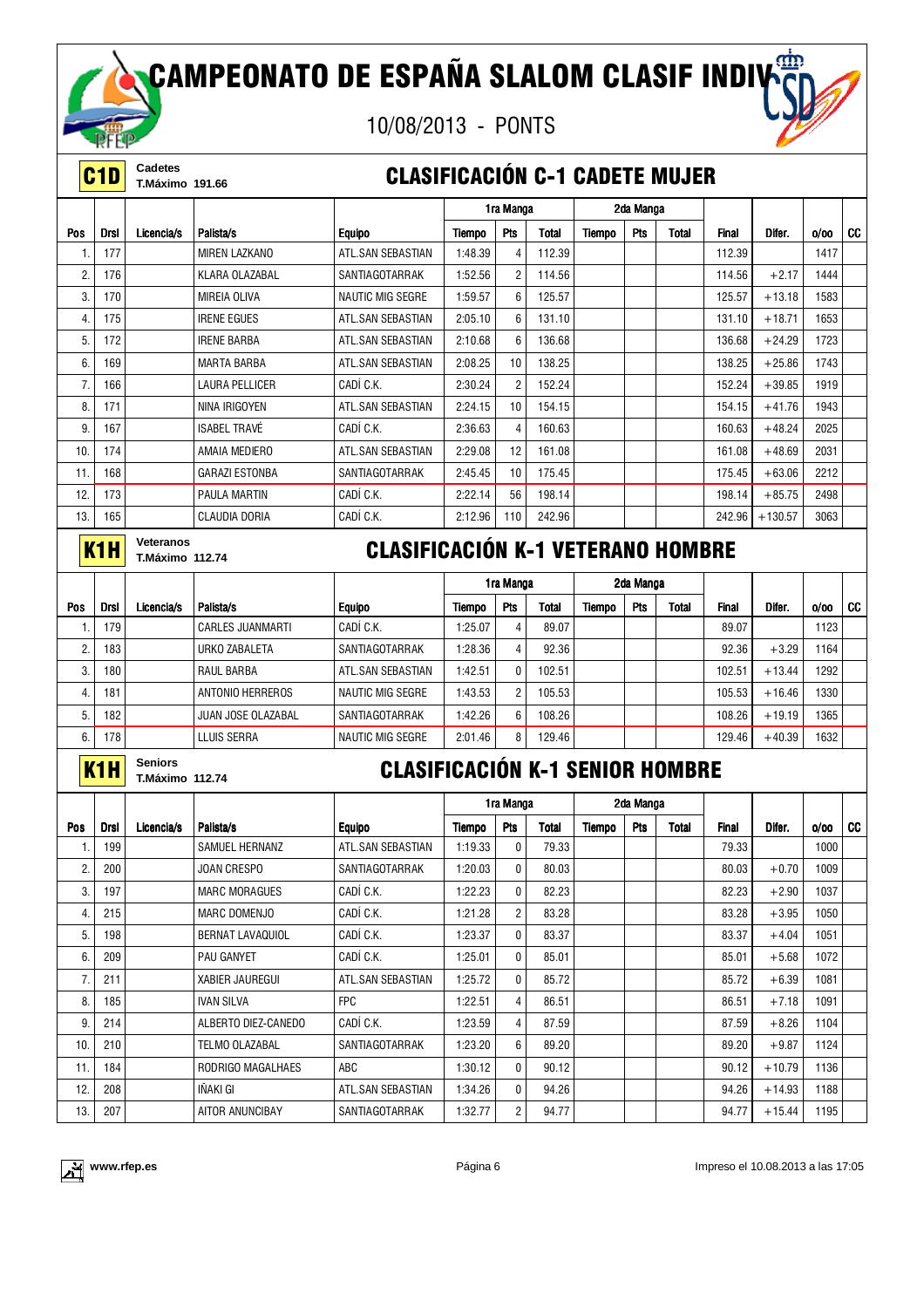## CAMPEONATO DE ESPAÑA SLALOM CLASIF INDIV<sup>eir</sup>

10/08/2013 - PONTS



| C1D | Cadetes                |  |
|-----|------------------------|--|
|     | <b>T.Máximo 191.66</b> |  |

#### **CLASIFICACIÓN C-1 CADETE MUJER**

| Pts<br>Pts<br><b>Drsl</b><br>Licencia/s<br>Palista/s<br>Tiempo<br><b>Total</b><br>Tiempo<br>Total<br><b>Final</b><br>Difer.<br>Pos<br>Equipo<br>ATL.SAN SEBASTIAN<br>177<br><b>MIREN LAZKANO</b><br>1:48.39<br>4<br>112.39<br>112.39<br>1.<br>$\overline{c}$<br>2.<br>176<br>114.56<br>KLARA OLAZABAL<br>SANTIAGOTARRAK<br>1:52.56<br>114.56<br>$+2.17$<br>3.<br>170<br>6<br>MIREIA OLIVA<br><b>NAUTIC MIG SEGRE</b><br>1:59.57<br>125.57<br>125.57<br>$+13.18$<br>175<br>6<br>4.<br><b>IRENE EGUES</b><br>ATL.SAN SEBASTIAN<br>2:05.10<br>131.10<br>131.10<br>$+18.71$<br>6<br>5.<br>172<br>136.68<br><b>IRENE BARBA</b><br>ATL.SAN SEBASTIAN<br>2:10.68<br>136.68<br>$+24.29$<br>169<br>138.25<br>6.<br><b>MARTA BARBA</b><br>ATL.SAN SEBASTIAN<br>2:08.25<br>10<br>138.25<br>$+25.86$<br>7.<br>166<br>CADÍ C.K.<br>$\overline{2}$<br>152.24<br>152.24<br>LAURA PELLICER<br>2:30.24<br>$+39.85$<br>8.<br>171<br>NINA IRIGOYEN<br>ATL.SAN SEBASTIAN<br>2:24.15<br>10<br>154.15<br>154.15<br>$+41.76$<br>CADÍ C.K.<br>9.<br>167<br><b>ISABEL TRAVÉ</b><br>$\overline{4}$<br>160.63<br>$+48.24$<br>2:36.63<br>160.63 | CC<br>0/00<br>1417<br>1444<br>1583<br>1653<br>1723<br>1743<br>1919<br>1943<br>2025<br>2031<br>2212<br>2498<br>3063 |
|---------------------------------------------------------------------------------------------------------------------------------------------------------------------------------------------------------------------------------------------------------------------------------------------------------------------------------------------------------------------------------------------------------------------------------------------------------------------------------------------------------------------------------------------------------------------------------------------------------------------------------------------------------------------------------------------------------------------------------------------------------------------------------------------------------------------------------------------------------------------------------------------------------------------------------------------------------------------------------------------------------------------------------------------------------------------------------------------------------------------|--------------------------------------------------------------------------------------------------------------------|
|                                                                                                                                                                                                                                                                                                                                                                                                                                                                                                                                                                                                                                                                                                                                                                                                                                                                                                                                                                                                                                                                                                                     |                                                                                                                    |
|                                                                                                                                                                                                                                                                                                                                                                                                                                                                                                                                                                                                                                                                                                                                                                                                                                                                                                                                                                                                                                                                                                                     |                                                                                                                    |
|                                                                                                                                                                                                                                                                                                                                                                                                                                                                                                                                                                                                                                                                                                                                                                                                                                                                                                                                                                                                                                                                                                                     |                                                                                                                    |
|                                                                                                                                                                                                                                                                                                                                                                                                                                                                                                                                                                                                                                                                                                                                                                                                                                                                                                                                                                                                                                                                                                                     |                                                                                                                    |
|                                                                                                                                                                                                                                                                                                                                                                                                                                                                                                                                                                                                                                                                                                                                                                                                                                                                                                                                                                                                                                                                                                                     |                                                                                                                    |
|                                                                                                                                                                                                                                                                                                                                                                                                                                                                                                                                                                                                                                                                                                                                                                                                                                                                                                                                                                                                                                                                                                                     |                                                                                                                    |
|                                                                                                                                                                                                                                                                                                                                                                                                                                                                                                                                                                                                                                                                                                                                                                                                                                                                                                                                                                                                                                                                                                                     |                                                                                                                    |
|                                                                                                                                                                                                                                                                                                                                                                                                                                                                                                                                                                                                                                                                                                                                                                                                                                                                                                                                                                                                                                                                                                                     |                                                                                                                    |
|                                                                                                                                                                                                                                                                                                                                                                                                                                                                                                                                                                                                                                                                                                                                                                                                                                                                                                                                                                                                                                                                                                                     |                                                                                                                    |
|                                                                                                                                                                                                                                                                                                                                                                                                                                                                                                                                                                                                                                                                                                                                                                                                                                                                                                                                                                                                                                                                                                                     |                                                                                                                    |
| 10.<br>174<br>ATL.SAN SEBASTIAN<br>2:29.08<br>12<br>161.08<br>161.08<br>$+48.69$<br>AMAIA MEDIERO                                                                                                                                                                                                                                                                                                                                                                                                                                                                                                                                                                                                                                                                                                                                                                                                                                                                                                                                                                                                                   |                                                                                                                    |
| 168<br>SANTIAGOTARRAK<br>175.45<br>175.45<br>11.<br><b>GARAZI ESTONBA</b><br>2:45.45<br>10<br>$+63.06$                                                                                                                                                                                                                                                                                                                                                                                                                                                                                                                                                                                                                                                                                                                                                                                                                                                                                                                                                                                                              |                                                                                                                    |
| 173<br>CADÍ C.K.<br>56<br>$+85.75$<br>12.<br><b>PAULA MARTIN</b><br>2:22.14<br>198.14<br>198.14                                                                                                                                                                                                                                                                                                                                                                                                                                                                                                                                                                                                                                                                                                                                                                                                                                                                                                                                                                                                                     |                                                                                                                    |
| 13.<br>165<br>CADÍ C.K.<br>110<br><b>CLAUDIA DORIA</b><br>2:12.96<br>242.96<br>242.96<br>$+130.57$                                                                                                                                                                                                                                                                                                                                                                                                                                                                                                                                                                                                                                                                                                                                                                                                                                                                                                                                                                                                                  |                                                                                                                    |
| <b>Veteranos</b><br><b>CLASIFICACIÓN K-1 VETERANO HOMBRE</b><br>K <sub>1</sub> H<br><b>T.Máximo 112.74</b>                                                                                                                                                                                                                                                                                                                                                                                                                                                                                                                                                                                                                                                                                                                                                                                                                                                                                                                                                                                                          |                                                                                                                    |
| 1ra Manga<br>2da Manga                                                                                                                                                                                                                                                                                                                                                                                                                                                                                                                                                                                                                                                                                                                                                                                                                                                                                                                                                                                                                                                                                              |                                                                                                                    |
| Pts<br><b>Drsl</b><br>Licencia/s<br>Palista/s<br><b>Equipo</b><br><b>Tiempo</b><br>Total<br>Tiempo<br>Pts<br>Total<br><b>Final</b><br>Difer.<br><b>Pos</b>                                                                                                                                                                                                                                                                                                                                                                                                                                                                                                                                                                                                                                                                                                                                                                                                                                                                                                                                                          | CC<br>0/00                                                                                                         |
| CADÍ C.K.<br>179<br><b>CARLES JUANMARTI</b><br>1:25.07<br>4<br>89.07<br>89.07<br>1.                                                                                                                                                                                                                                                                                                                                                                                                                                                                                                                                                                                                                                                                                                                                                                                                                                                                                                                                                                                                                                 | 1123                                                                                                               |
| 2.<br>183<br>URKO ZABALETA<br>SANTIAGOTARRAK<br>1:28.36<br>4<br>92.36<br>92.36<br>$+3.29$                                                                                                                                                                                                                                                                                                                                                                                                                                                                                                                                                                                                                                                                                                                                                                                                                                                                                                                                                                                                                           | 1164                                                                                                               |
| 3.<br>180<br>0<br>102.51<br>102.51<br>RAUL BARBA<br>ATL.SAN SEBASTIAN<br>1:42.51<br>$+13.44$                                                                                                                                                                                                                                                                                                                                                                                                                                                                                                                                                                                                                                                                                                                                                                                                                                                                                                                                                                                                                        | 1292                                                                                                               |
| $\overline{4}$<br>181<br>ANTONIO HERREROS<br><b>NAUTIC MIG SEGRE</b><br>1:43.53<br>2<br>105.53<br>105.53<br>$+16.46$                                                                                                                                                                                                                                                                                                                                                                                                                                                                                                                                                                                                                                                                                                                                                                                                                                                                                                                                                                                                | 1330                                                                                                               |
| 5.<br>182<br>6<br>108.26<br>JUAN JOSE OLAZABAL<br>SANTIAGOTARRAK<br>1:42.26<br>108.26<br>$+19.19$                                                                                                                                                                                                                                                                                                                                                                                                                                                                                                                                                                                                                                                                                                                                                                                                                                                                                                                                                                                                                   | 1365                                                                                                               |
| 178<br>8<br>6.<br>129.46<br>LLUIS SERRA<br><b>NAUTIC MIG SEGRE</b><br>2:01.46<br>129.46<br>$+40.39$                                                                                                                                                                                                                                                                                                                                                                                                                                                                                                                                                                                                                                                                                                                                                                                                                                                                                                                                                                                                                 | 1632                                                                                                               |
| <b>Seniors</b><br><b>CLASIFICACIÓN K-1 SENIOR HOMBRE</b><br>K <sub>1</sub> H                                                                                                                                                                                                                                                                                                                                                                                                                                                                                                                                                                                                                                                                                                                                                                                                                                                                                                                                                                                                                                        |                                                                                                                    |
| <b>T.Máximo 112.74</b>                                                                                                                                                                                                                                                                                                                                                                                                                                                                                                                                                                                                                                                                                                                                                                                                                                                                                                                                                                                                                                                                                              |                                                                                                                    |
| 1ra Manga<br>2da Manga                                                                                                                                                                                                                                                                                                                                                                                                                                                                                                                                                                                                                                                                                                                                                                                                                                                                                                                                                                                                                                                                                              |                                                                                                                    |
| Pts<br>Pts<br>Pos<br><b>Drsl</b><br>Licencia/s<br>Palista/s<br>Tiempo<br>Total<br>Tiempo<br>Total<br><b>Final</b><br>Difer.<br><b>Equipo</b><br>199<br>ATL.SAN SEBASTIAN<br>0<br>1.<br>SAMUEL HERNANZ<br>1:19.33<br>79.33<br>79.33                                                                                                                                                                                                                                                                                                                                                                                                                                                                                                                                                                                                                                                                                                                                                                                                                                                                                  | CC<br>0/00<br>1000                                                                                                 |
| 2.<br>200<br>0<br>$+0.70$<br><b>JOAN CRESPO</b><br>1:20.03<br>80.03<br>80.03<br>SANTIAGOTARRAK                                                                                                                                                                                                                                                                                                                                                                                                                                                                                                                                                                                                                                                                                                                                                                                                                                                                                                                                                                                                                      | 1009                                                                                                               |
| 3.<br>197<br>CADÍ C.K.<br>1:22.23<br><sup>0</sup><br>82.23                                                                                                                                                                                                                                                                                                                                                                                                                                                                                                                                                                                                                                                                                                                                                                                                                                                                                                                                                                                                                                                          | 1037                                                                                                               |
| 82.23<br>$+2.90$<br><b>MARC MORAGUES</b><br>$\overline{2}$<br>215<br>CADI C.K.<br>1:21.28<br>83.28<br>4.<br>MARC DOMENJO<br>83.28                                                                                                                                                                                                                                                                                                                                                                                                                                                                                                                                                                                                                                                                                                                                                                                                                                                                                                                                                                                   | 1050                                                                                                               |
| $+3.95$<br>5.<br>198<br>CADI C.K.<br>1:23.37<br>0<br>83.37<br>83.37                                                                                                                                                                                                                                                                                                                                                                                                                                                                                                                                                                                                                                                                                                                                                                                                                                                                                                                                                                                                                                                 | 1051                                                                                                               |
| BERNAT LAVAQUIOL<br>$+4.04$<br>CADÍ C.K.<br>209<br>1:25.01<br>0<br>85.01<br>85.01                                                                                                                                                                                                                                                                                                                                                                                                                                                                                                                                                                                                                                                                                                                                                                                                                                                                                                                                                                                                                                   | 1072                                                                                                               |
| 6.<br>PAU GANYET<br>$+5.68$                                                                                                                                                                                                                                                                                                                                                                                                                                                                                                                                                                                                                                                                                                                                                                                                                                                                                                                                                                                                                                                                                         |                                                                                                                    |
| 7.<br>211<br>0<br>85.72<br>XABIER JAUREGUI<br>ATL.SAN SEBASTIAN<br>1:25.72<br>85.72<br>$+6.39$<br>8.<br>185<br><b>FPC</b><br>1:22.51<br>4<br>86.51<br>86.51                                                                                                                                                                                                                                                                                                                                                                                                                                                                                                                                                                                                                                                                                                                                                                                                                                                                                                                                                         | 1081<br>1091                                                                                                       |
| IVAN SILVA<br>$+7.18$                                                                                                                                                                                                                                                                                                                                                                                                                                                                                                                                                                                                                                                                                                                                                                                                                                                                                                                                                                                                                                                                                               |                                                                                                                    |
| CADÍ C.K.<br>9.<br>214<br>4<br>ALBERTO DIEZ-CANEDO<br>1:23.59<br>87.59<br>87.59<br>$+8.26$                                                                                                                                                                                                                                                                                                                                                                                                                                                                                                                                                                                                                                                                                                                                                                                                                                                                                                                                                                                                                          | 1104                                                                                                               |
| 210<br>SANTIAGOTARRAK<br>1:23.20<br>6<br>89.20<br>10.<br>TELMO OLAZABAL<br>89.20<br>$+9.87$                                                                                                                                                                                                                                                                                                                                                                                                                                                                                                                                                                                                                                                                                                                                                                                                                                                                                                                                                                                                                         | 1124                                                                                                               |
| 0<br>11.<br>184<br>RODRIGO MAGALHAES<br>ABC<br>1:30.12<br>90.12<br>90.12<br>$+10.79$<br>0                                                                                                                                                                                                                                                                                                                                                                                                                                                                                                                                                                                                                                                                                                                                                                                                                                                                                                                                                                                                                           | 1136                                                                                                               |
| 12.<br>208<br>IÑAKI GI<br>1:34.26<br>94.26<br>ATL.SAN SEBASTIAN<br>94.26<br>$+14.93$<br>207<br>13.<br>AITOR ANUNCIBAY<br>1:32.77<br>$\overline{2}$<br>94.77<br>94.77<br>$+15.44$<br>SANTIAGOTARRAK                                                                                                                                                                                                                                                                                                                                                                                                                                                                                                                                                                                                                                                                                                                                                                                                                                                                                                                  | 1188<br>1195                                                                                                       |

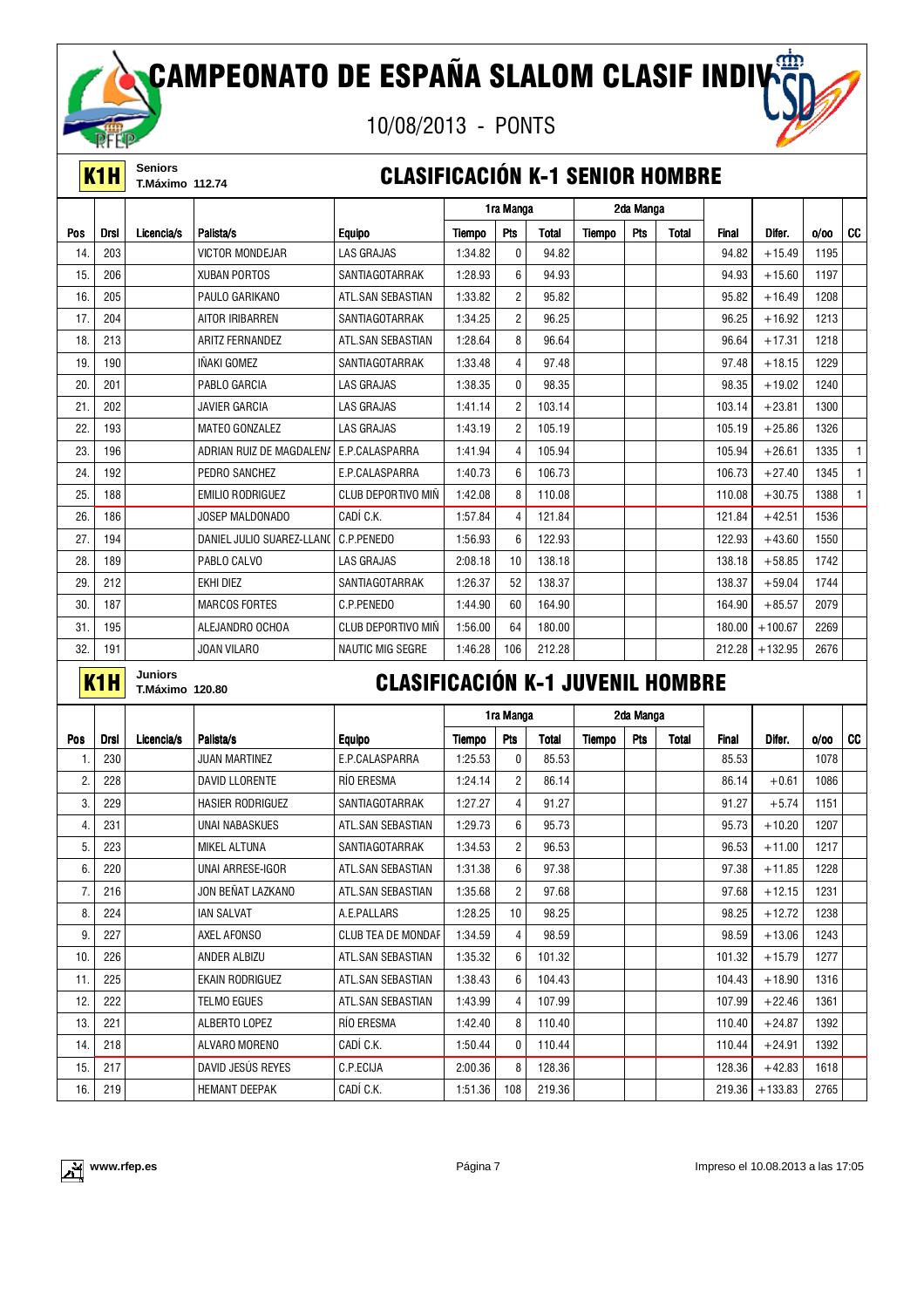10/08/2013 - PONTS



**K1H** Seniors<br>**K1H** T.Máximo 112.74

#### **CLASIFICACIÓN K-1 SENIOR HOMBRE**

|     |             |            |                           |                         | 1ra Manga |                | 2da Manga    |        |     |              |              |           |      |              |
|-----|-------------|------------|---------------------------|-------------------------|-----------|----------------|--------------|--------|-----|--------------|--------------|-----------|------|--------------|
| Pos | <b>Drsl</b> | Licencia/s | Palista/s                 | <b>Equipo</b>           | Tiempo    | Pts            | <b>Total</b> | Tiempo | Pts | <b>Total</b> | <b>Final</b> | Difer.    | 0/00 | CC           |
| 14. | 203         |            | <b>VICTOR MONDEJAR</b>    | <b>LAS GRAJAS</b>       | 1:34.82   | $\mathbf{0}$   | 94.82        |        |     |              | 94.82        | $+15.49$  | 1195 |              |
| 15. | 206         |            | <b>XUBAN PORTOS</b>       | SANTIAGOTARRAK          | 1:28.93   | 6              | 94.93        |        |     |              | 94.93        | $+15.60$  | 1197 |              |
| 16. | 205         |            | PAULO GARIKANO            | ATL.SAN SEBASTIAN       | 1:33.82   | $\overline{2}$ | 95.82        |        |     |              | 95.82        | $+16.49$  | 1208 |              |
| 17. | 204         |            | AITOR IRIBARREN           | SANTIAGOTARRAK          | 1:34.25   | $\overline{2}$ | 96.25        |        |     |              | 96.25        | $+16.92$  | 1213 |              |
| 18. | 213         |            | <b>ARITZ FERNANDEZ</b>    | ATL.SAN SEBASTIAN       | 1:28.64   | 8              | 96.64        |        |     |              | 96.64        | $+17.31$  | 1218 |              |
| 19. | 190         |            | IÑAKI GOMEZ               | SANTIAGOTARRAK          | 1:33.48   | $\overline{4}$ | 97.48        |        |     |              | 97.48        | $+18.15$  | 1229 |              |
| 20. | 201         |            | PABLO GARCIA              | <b>LAS GRAJAS</b>       | 1:38.35   | $\Omega$       | 98.35        |        |     |              | 98.35        | $+19.02$  | 1240 |              |
| 21. | 202         |            | <b>JAVIER GARCIA</b>      | <b>LAS GRAJAS</b>       | 1:41.14   | $\overline{c}$ | 103.14       |        |     |              | 103.14       | $+23.81$  | 1300 |              |
| 22. | 193         |            | <b>MATEO GONZALEZ</b>     | <b>LAS GRAJAS</b>       | 1:43.19   | $\overline{2}$ | 105.19       |        |     |              | 105.19       | $+25.86$  | 1326 |              |
| 23. | 196         |            | ADRIAN RUIZ DE MAGDALENA  | E.P.CALASPARRA          | 1:41.94   | $\overline{4}$ | 105.94       |        |     |              | 105.94       | $+26.61$  | 1335 | $\mathbf{1}$ |
| 24. | 192         |            | PEDRO SANCHEZ             | E.P.CALASPARRA          | 1:40.73   | 6              | 106.73       |        |     |              | 106.73       | $+27.40$  | 1345 | $\mathbf{1}$ |
| 25. | 188         |            | <b>EMILIO RODRIGUEZ</b>   | CLUB DEPORTIVO MIÑ      | 1:42.08   | 8              | 110.08       |        |     |              | 110.08       | $+30.75$  | 1388 | $\mathbf{1}$ |
| 26. | 186         |            | JOSEP MALDONADO           | CADÍ C.K.               | 1:57.84   | $\overline{4}$ | 121.84       |        |     |              | 121.84       | $+42.51$  | 1536 |              |
| 27. | 194         |            | DANIEL JULIO SUAREZ-LLANO | C.P.PENEDO              | 1:56.93   | 6              | 122.93       |        |     |              | 122.93       | $+43.60$  | 1550 |              |
| 28. | 189         |            | PABLO CALVO               | <b>LAS GRAJAS</b>       | 2:08.18   | 10             | 138.18       |        |     |              | 138.18       | $+58.85$  | 1742 |              |
| 29. | 212         |            | EKHI DIEZ                 | SANTIAGOTARRAK          | 1:26.37   | 52             | 138.37       |        |     |              | 138.37       | $+59.04$  | 1744 |              |
| 30. | 187         |            | <b>MARCOS FORTES</b>      | C.P.PENEDO              | 1:44.90   | 60             | 164.90       |        |     |              | 164.90       | $+85.57$  | 2079 |              |
| 31. | 195         |            | ALEJANDRO OCHOA           | CLUB DEPORTIVO MIÑ      | 1:56.00   | 64             | 180.00       |        |     |              | 180.00       | $+100.67$ | 2269 |              |
| 32. | 191         |            | JOAN VILARO               | <b>NAUTIC MIG SEGRE</b> | 1:46.28   | 106            | 212.28       |        |     |              | 212.28       | $+132.95$ | 2676 |              |

**K1H** Juniors<br>**K1H** T.Máximo 120.80

### **CLASIFICACIÓN K-1 JUVENIL HOMBRE**

|                  |      |            |                         |                           | 1ra Manga |                |        | 2da Manga |     |       |              |           |      |    |
|------------------|------|------------|-------------------------|---------------------------|-----------|----------------|--------|-----------|-----|-------|--------------|-----------|------|----|
| Pos              | Drsl | Licencia/s | Palista/s               | <b>Equipo</b>             | Tiempo    | Pts            | Total  | Tiempo    | Pts | Total | <b>Final</b> | Difer.    | 0/00 | CC |
| 1.               | 230  |            | <b>JUAN MARTINEZ</b>    | E.P.CALASPARRA            | 1:25.53   | 0              | 85.53  |           |     |       | 85.53        |           | 1078 |    |
| $\overline{2}$ . | 228  |            | <b>DAVID LLORENTE</b>   | RÍO ERESMA                | 1:24.14   | $\overline{c}$ | 86.14  |           |     |       | 86.14        | $+0.61$   | 1086 |    |
| 3.               | 229  |            | <b>HASIER RODRIGUEZ</b> | SANTIAGOTARRAK            | 1:27.27   | 4              | 91.27  |           |     |       | 91.27        | $+5.74$   | 1151 |    |
| 4.               | 231  |            | UNAI NABASKUES          | ATL.SAN SEBASTIAN         | 1:29.73   | 6              | 95.73  |           |     |       | 95.73        | $+10.20$  | 1207 |    |
| 5.               | 223  |            | <b>MIKEL ALTUNA</b>     | SANTIAGOTARRAK            | 1:34.53   | $\overline{c}$ | 96.53  |           |     |       | 96.53        | $+11.00$  | 1217 |    |
| 6.               | 220  |            | UNAI ARRESE-IGOR        | ATL.SAN SEBASTIAN         | 1:31.38   | 6              | 97.38  |           |     |       | 97.38        | $+11.85$  | 1228 |    |
| 7.               | 216  |            | JON BEÑAT LAZKANO       | ATL.SAN SEBASTIAN         | 1:35.68   | $\overline{2}$ | 97.68  |           |     |       | 97.68        | $+12.15$  | 1231 |    |
| 8.               | 224  |            | <b>IAN SALVAT</b>       | A.E.PALLARS               | 1:28.25   | 10             | 98.25  |           |     |       | 98.25        | $+12.72$  | 1238 |    |
| 9.               | 227  |            | AXEL AFONSO             | <b>CLUB TEA DE MONDAF</b> | 1:34.59   | 4              | 98.59  |           |     |       | 98.59        | $+13.06$  | 1243 |    |
| 10.              | 226  |            | ANDER ALBIZU            | ATL.SAN SEBASTIAN         | 1:35.32   | 6              | 101.32 |           |     |       | 101.32       | $+15.79$  | 1277 |    |
| 11.              | 225  |            | <b>EKAIN RODRIGUEZ</b>  | ATL.SAN SEBASTIAN         | 1:38.43   | 6              | 104.43 |           |     |       | 104.43       | $+18.90$  | 1316 |    |
| 12.              | 222  |            | TELMO EGUES             | ATL.SAN SEBASTIAN         | 1:43.99   | 4              | 107.99 |           |     |       | 107.99       | $+22.46$  | 1361 |    |
| 13.              | 221  |            | ALBERTO LOPEZ           | RÍO ERESMA                | 1:42.40   | 8              | 110.40 |           |     |       | 110.40       | $+24.87$  | 1392 |    |
| 14.              | 218  |            | ALVARO MORENO           | CADÍ C.K.                 | 1:50.44   | $\mathbf{0}$   | 110.44 |           |     |       | 110.44       | $+24.91$  | 1392 |    |
| 15.              | 217  |            | DAVID JESÚS REYES       | C.P.ECIJA                 | 2:00.36   | 8              | 128.36 |           |     |       | 128.36       | $+42.83$  | 1618 |    |
| 16.              | 219  |            | <b>HEMANT DEEPAK</b>    | CADÍ C.K.                 | 1.51.36   | 108            | 219.36 |           |     |       | 219.36       | $+133.83$ | 2765 |    |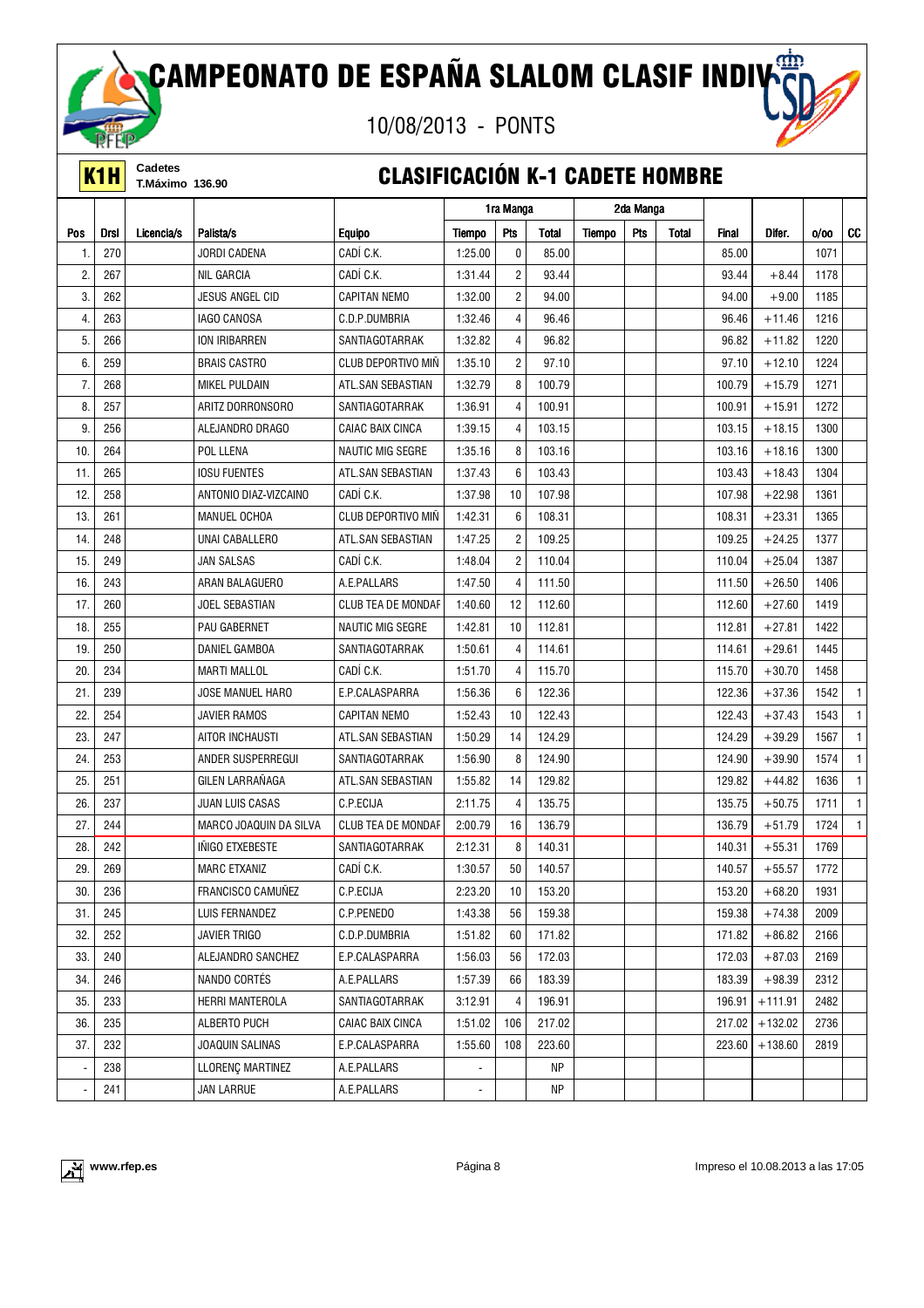10/08/2013 - PONTS



**K1H** Cadetes<br>**K1H** T.Máximo 136.90

#### **CLASIFICACIÓN K-1 CADETE HOMBRE**

|                          |             |            |                        |                           | 1ra Manga |                | 2da Manga    |        |            |       |              |           |      |              |
|--------------------------|-------------|------------|------------------------|---------------------------|-----------|----------------|--------------|--------|------------|-------|--------------|-----------|------|--------------|
| Pos                      | <b>Drsl</b> | Licencia/s | Palista/s              | <b>Equipo</b>             | Tiempo    | Pts            | <b>Total</b> | Tiempo | <b>Pts</b> | Total | <b>Final</b> | Difer.    | 0/00 | CC           |
| $\mathbf{1}$             | 270         |            | <b>JORDI CADENA</b>    | CADÍ C.K.                 | 1:25.00   | $\mathbf 0$    | 85.00        |        |            |       | 85.00        |           | 1071 |              |
| 2.                       | 267         |            | <b>NIL GARCIA</b>      | CADÍ C.K.                 | 1:31.44   | $\overline{2}$ | 93.44        |        |            |       | 93.44        | $+8.44$   | 1178 |              |
| 3.                       | 262         |            | <b>JESUS ANGEL CID</b> | <b>CAPITAN NEMO</b>       | 1:32.00   | $\overline{2}$ | 94.00        |        |            |       | 94.00        | $+9.00$   | 1185 |              |
| 4.                       | 263         |            | <b>IAGO CANOSA</b>     | C.D.P.DUMBRIA             | 1:32.46   | $\overline{4}$ | 96.46        |        |            |       | 96.46        | $+11.46$  | 1216 |              |
| 5.                       | 266         |            | <b>ION IRIBARREN</b>   | SANTIAGOTARRAK            | 1:32.82   | $\overline{4}$ | 96.82        |        |            |       | 96.82        | $+11.82$  | 1220 |              |
| 6.                       | 259         |            | <b>BRAIS CASTRO</b>    | <b>CLUB DEPORTIVO MIN</b> | 1:35.10   | $\overline{2}$ | 97.10        |        |            |       | 97.10        | $+12.10$  | 1224 |              |
| 7.                       | 268         |            | <b>MIKEL PULDAIN</b>   | ATL.SAN SEBASTIAN         | 1:32.79   | 8              | 100.79       |        |            |       | 100.79       | $+15.79$  | 1271 |              |
| 8.                       | 257         |            | ARITZ DORRONSORO       | SANTIAGOTARRAK            | 1:36.91   | $\overline{4}$ | 100.91       |        |            |       | 100.91       | $+15.91$  | 1272 |              |
| 9.                       | 256         |            | ALEJANDRO DRAGO        | <b>CAIAC BAIX CINCA</b>   | 1:39.15   | $\overline{4}$ | 103.15       |        |            |       | 103.15       | $+18.15$  | 1300 |              |
| 10.                      | 264         |            | POL LLENA              | <b>NAUTIC MIG SEGRE</b>   | 1:35.16   | 8              | 103.16       |        |            |       | 103.16       | $+18.16$  | 1300 |              |
| 11.                      | 265         |            | <b>IOSU FUENTES</b>    | ATL.SAN SEBASTIAN         | 1:37.43   | 6              | 103.43       |        |            |       | 103.43       | $+18.43$  | 1304 |              |
| 12.                      | 258         |            | ANTONIO DIAZ-VIZCAINO  | CADÍ C.K.                 | 1:37.98   | 10             | 107.98       |        |            |       | 107.98       | $+22.98$  | 1361 |              |
| 13.                      | 261         |            | MANUEL OCHOA           | CLUB DEPORTIVO MIÑ        | 1:42.31   | 6              | 108.31       |        |            |       | 108.31       | $+23.31$  | 1365 |              |
| 14.                      | 248         |            | UNAI CABALLERO         | ATL.SAN SEBASTIAN         | 1:47.25   | $\overline{2}$ | 109.25       |        |            |       | 109.25       | $+24.25$  | 1377 |              |
| 15.                      | 249         |            | JAN SALSAS             | CADÍ C.K.                 | 1:48.04   | $\overline{2}$ | 110.04       |        |            |       | 110.04       | $+25.04$  | 1387 |              |
| 16.                      | 243         |            | ARAN BALAGUERO         | A.E.PALLARS               | 1:47.50   | $\overline{4}$ | 111.50       |        |            |       | 111.50       | $+26.50$  | 1406 |              |
| 17.                      | 260         |            | <b>JOEL SEBASTIAN</b>  | <b>CLUB TEA DE MONDAF</b> | 1:40.60   | 12             | 112.60       |        |            |       | 112.60       | $+27.60$  | 1419 |              |
| 18.                      | 255         |            | PAU GABERNET           | <b>NAUTIC MIG SEGRE</b>   | 1:42.81   | 10             | 112.81       |        |            |       | 112.81       | $+27.81$  | 1422 |              |
| 19.                      | 250         |            | DANIEL GAMBOA          | SANTIAGOTARRAK            | 1:50.61   | $\overline{4}$ | 114.61       |        |            |       | 114.61       | $+29.61$  | 1445 |              |
| 20.                      | 234         |            | <b>MARTI MALLOL</b>    | CADÍ C.K.                 | 1:51.70   | $\overline{4}$ | 115.70       |        |            |       | 115.70       | $+30.70$  | 1458 |              |
| 21.                      | 239         |            | JOSE MANUEL HARO       | E.P.CALASPARRA            | 1:56.36   | 6              | 122.36       |        |            |       | 122.36       | $+37.36$  | 1542 | $\mathbf{1}$ |
| 22.                      | 254         |            | <b>JAVIER RAMOS</b>    | <b>CAPITAN NEMO</b>       | 1:52.43   | 10             | 122.43       |        |            |       | 122.43       | $+37.43$  | 1543 | $\mathbf{1}$ |
| 23.                      | 247         |            | <b>AITOR INCHAUSTI</b> | ATL.SAN SEBASTIAN         | 1:50.29   | 14             | 124.29       |        |            |       | 124.29       | $+39.29$  | 1567 | $\mathbf{1}$ |
| 24.                      | 253         |            | ANDER SUSPERREGUI      | SANTIAGOTARRAK            | 1:56.90   | 8              | 124.90       |        |            |       | 124.90       | $+39.90$  | 1574 | $\mathbf{1}$ |
| 25.                      | 251         |            | GILEN LARRAÑAGA        | ATL.SAN SEBASTIAN         | 1:55.82   | 14             | 129.82       |        |            |       | 129.82       | $+44.82$  | 1636 | $\mathbf{1}$ |
| 26.                      | 237         |            | <b>JUAN LUIS CASAS</b> | C.P.ECIJA                 | 2:11.75   | $\overline{4}$ | 135.75       |        |            |       | 135.75       | $+50.75$  | 1711 | $\mathbf{1}$ |
| 27.                      | 244         |            | MARCO JOAQUIN DA SILVA | <b>CLUB TEA DE MONDAF</b> | 2:00.79   | 16             | 136.79       |        |            |       | 136.79       | $+51.79$  | 1724 | $\mathbf{1}$ |
| 28.                      | 242         |            | <b>INIGO ETXEBESTE</b> | SANTIAGOTARRAK            | 2:12.31   | 8              | 140.31       |        |            |       | 140.31       | $+55.31$  | 1769 |              |
| 29.                      | 269         |            | <b>MARC ETXANIZ</b>    | CADÍ C.K.                 | 1:30.57   | 50             | 140.57       |        |            |       | 140.57       | $+55.57$  | 1772 |              |
| 30.                      | 236         |            | FRANCISCO CAMUÑEZ      | C.P.ECIJA                 | 2:23.20   | 10             | 153.20       |        |            |       | 153.20       | $+68.20$  | 1931 |              |
| 31.                      | 245         |            | LUIS FERNANDEZ         | C.P.PENEDO                | 1:43.38   | 56             | 159.38       |        |            |       | 159.38       | $+74.38$  | 2009 |              |
| 32.                      | 252         |            | <b>JAVIER TRIGO</b>    | C.D.P.DUMBRIA             | 1:51.82   | 60             | 171.82       |        |            |       | 171.82       | $+86.82$  | 2166 |              |
| 33.                      | 240         |            | ALEJANDRO SANCHEZ      | E.P.CALASPARRA            | 1:56.03   | 56             | 172.03       |        |            |       | 172.03       | $+87.03$  | 2169 |              |
| 34.                      | 246         |            | NANDO CORTÉS           | A.E.PALLARS               | 1:57.39   | 66             | 183.39       |        |            |       | 183.39       | $+98.39$  | 2312 |              |
| 35.                      | 233         |            | HERRI MANTEROLA        | SANTIAGOTARRAK            | 3:12.91   | $\overline{4}$ | 196.91       |        |            |       | 196.91       | $+111.91$ | 2482 |              |
| 36.                      | 235         |            | ALBERTO PUCH           | CAIAC BAIX CINCA          | 1:51.02   | 106            | 217.02       |        |            |       | 217.02       | $+132.02$ | 2736 |              |
| 37.                      | 232         |            | JOAQUIN SALINAS        | E.P.CALASPARRA            | 1:55.60   | 108            | 223.60       |        |            |       | 223.60       | $+138.60$ | 2819 |              |
|                          | 238         |            | LLORENC MARTINEZ       | A.E.PALLARS               |           |                | ΝP           |        |            |       |              |           |      |              |
| $\overline{\phantom{a}}$ | 241         |            | JAN LARRUE             | A.E.PALLARS               |           |                | ΝP           |        |            |       |              |           |      |              |

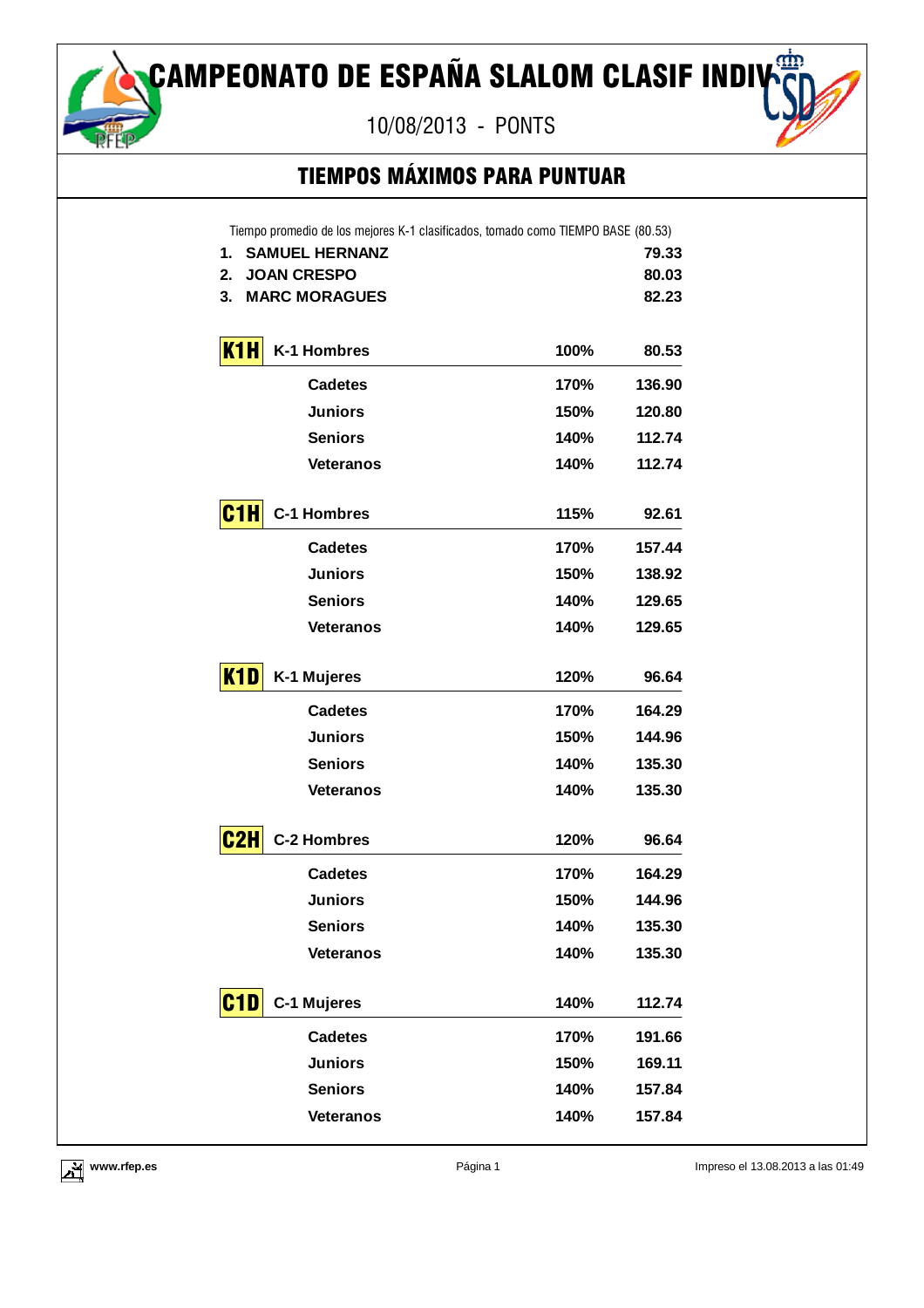CAMPEONATO DE ESPAÑA SLALOM CLASIF INDIV<sup>em</sup>

10/08/2013 - PONTS

#### TIEMPOS MÁXIMOS PARA PUNTUAR

| 1. SAMUEL HERNANZ                     |      | 79.33  |
|---------------------------------------|------|--------|
| <b>JOAN CRESPO</b><br>2.              |      | 80.03  |
| <b>MARC MORAGUES</b><br>3.            |      | 82.23  |
| K1H<br>K-1 Hombres                    | 100% | 80.53  |
| <b>Cadetes</b>                        | 170% | 136.90 |
| <b>Juniors</b>                        | 150% | 120.80 |
| <b>Seniors</b>                        | 140% | 112.74 |
| <b>Veteranos</b>                      | 140% | 112.74 |
| C1H<br><b>C-1 Hombres</b>             | 115% | 92.61  |
| <b>Cadetes</b>                        | 170% | 157.44 |
| <b>Juniors</b>                        | 150% | 138.92 |
| <b>Seniors</b>                        | 140% | 129.65 |
| <b>Veteranos</b>                      | 140% | 129.65 |
| K1D<br>K-1 Mujeres                    | 120% | 96.64  |
| <b>Cadetes</b>                        | 170% | 164.29 |
| <b>Juniors</b>                        | 150% | 144.96 |
| <b>Seniors</b>                        | 140% | 135.30 |
| <b>Veteranos</b>                      | 140% | 135.30 |
| C <sub>2H</sub><br><b>C-2 Hombres</b> | 120% | 96.64  |
| <b>Cadetes</b>                        | 170% | 164.29 |
| <b>Juniors</b>                        | 150% | 144.96 |
| <b>Seniors</b>                        | 140% | 135.30 |
| <b>Veteranos</b>                      | 140% | 135.30 |
| C1D <br>C-1 Mujeres                   | 140% | 112.74 |
| <b>Cadetes</b>                        | 170% | 191.66 |
| <b>Juniors</b>                        | 150% | 169.11 |
| <b>Seniors</b>                        | 140% | 157.84 |
| <b>Veteranos</b>                      | 140% | 157.84 |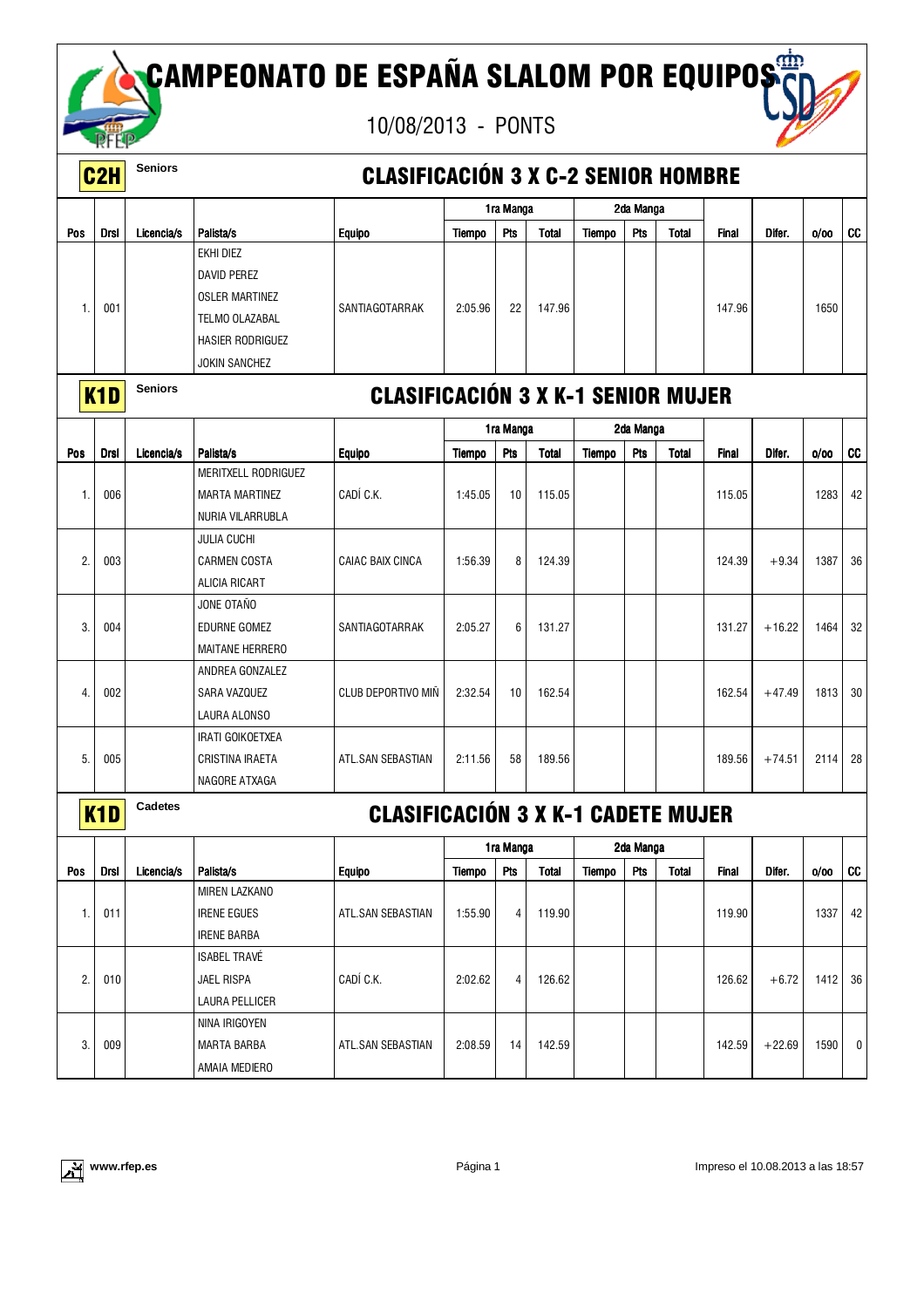### CAMPEONATO DE ESPAÑA SLALOM POR EQUIPOST



|                  | C <sub>2</sub> H | <b>Seniors</b> | <b>CLASIFICACIÓN 3 X C-2 SENIOR HOMBRE</b> |                                           |               |           |              |               |            |              |              |          |      |                |
|------------------|------------------|----------------|--------------------------------------------|-------------------------------------------|---------------|-----------|--------------|---------------|------------|--------------|--------------|----------|------|----------------|
|                  |                  |                |                                            |                                           |               | 1ra Manga |              |               | 2da Manga  |              |              |          |      |                |
| Pos              | <b>Drsl</b>      | Licencia/s     | Palista/s                                  | <b>Equipo</b>                             | <b>Tiempo</b> | Pts       | <b>Total</b> | <b>Tiempo</b> | <b>Pts</b> | <b>Total</b> | Final        | Difer.   | 0/00 | CC             |
|                  |                  |                | EKHI DIEZ                                  |                                           |               |           |              |               |            |              |              |          |      |                |
|                  |                  |                | <b>DAVID PEREZ</b>                         |                                           |               |           |              |               |            |              |              |          |      |                |
| 1.               | 001              |                | <b>OSLER MARTINEZ</b>                      | SANTIAGOTARRAK                            | 2:05.96       | 22        | 147.96       |               |            |              | 147.96       |          | 1650 |                |
|                  |                  |                | TELMO OLAZABAL                             |                                           |               |           |              |               |            |              |              |          |      |                |
|                  |                  |                | <b>HASIER RODRIGUEZ</b>                    |                                           |               |           |              |               |            |              |              |          |      |                |
|                  |                  |                | <b>JOKIN SANCHEZ</b>                       |                                           |               |           |              |               |            |              |              |          |      |                |
|                  | K <sub>1</sub> D | <b>Seniors</b> |                                            | <b>CLASIFICACIÓN 3 X K-1 SENIOR MUJER</b> |               |           |              |               |            |              |              |          |      |                |
|                  |                  |                |                                            |                                           | 1ra Manga     |           |              | 2da Manga     |            |              |              |          |      |                |
| Pos              | Drsl             | Licencia/s     | Palista/s                                  | <b>Equipo</b>                             | Tiempo        | Pts       | <b>Total</b> | <b>Tiempo</b> | Pts        | <b>Total</b> | <b>Final</b> | Difer.   | 0/00 | CC             |
|                  |                  |                | MERITXELL RODRIGUEZ                        |                                           |               |           |              |               |            |              |              |          |      |                |
| $\mathbf{1}$     | 006              |                | <b>MARTA MARTINEZ</b>                      | CADÍ C.K.                                 | 1:45.05       | 10        | 115.05       |               |            |              | 115.05       |          | 1283 | 42             |
|                  |                  |                | NURIA VILARRUBLA                           |                                           |               |           |              |               |            |              |              |          |      |                |
|                  |                  |                | <b>JULIA CUCHI</b>                         |                                           |               |           |              |               |            |              |              |          |      |                |
| 2.               | 003              |                | <b>CARMEN COSTA</b>                        | <b>CAIAC BAIX CINCA</b>                   | 1:56.39       | 8         | 124.39       |               |            |              | 124.39       | $+9.34$  | 1387 | 36             |
|                  |                  |                | <b>ALICIA RICART</b>                       |                                           |               |           |              |               |            |              |              |          |      |                |
|                  |                  |                | JONE OTAÑO                                 |                                           |               |           |              |               |            |              |              |          |      |                |
| 3.               | 004              |                | EDURNE GOMEZ                               | SANTIAGOTARRAK                            | 2:05.27       | 6         | 131.27       |               |            |              | 131.27       | $+16.22$ | 1464 | 32             |
|                  |                  |                | <b>MAITANE HERRERO</b>                     |                                           |               |           |              |               |            |              |              |          |      |                |
|                  |                  |                | ANDREA GONZALEZ                            |                                           |               |           |              |               |            |              |              |          |      |                |
| $\overline{4}$ . | 002              |                | SARA VAZQUEZ                               | <b>CLUB DEPORTIVO MIN</b>                 | 2:32.54       | 10        | 162.54       |               |            |              | 162.54       | $+47.49$ | 1813 | 30             |
|                  |                  |                | LAURA ALONSO                               |                                           |               |           |              |               |            |              |              |          |      |                |
|                  |                  |                | <b>IRATI GOIKOETXEA</b>                    |                                           |               |           |              |               |            |              |              |          |      |                |
| 5.               | 005              |                | <b>CRISTINA IRAETA</b>                     | ATL.SAN SEBASTIAN                         | 2:11.56       | 58        | 189.56       |               |            |              | 189.56       | $+74.51$ | 2114 | 28             |
|                  |                  |                | NAGORE ATXAGA                              |                                           |               |           |              |               |            |              |              |          |      |                |
|                  | K <sub>1</sub> D | Cadetes        |                                            | <b>CLASIFICACIÓN 3 X K-1 CADETE MUJER</b> |               |           |              |               |            |              |              |          |      |                |
|                  |                  |                |                                            |                                           |               | 1ra Manga |              |               | 2da Manga  |              |              |          |      |                |
| Pos              | <b>Drsl</b>      | Licencia/s     | Palista/s                                  | <b>Equipo</b>                             | <b>Tiempo</b> | Pts       | <b>Total</b> | <b>Tiempo</b> | Pts        | <b>Total</b> | <b>Final</b> | Difer.   | 0/00 | cc             |
|                  |                  |                | MIREN LAZKANO                              |                                           |               |           |              |               |            |              |              |          |      |                |
| 1.               | 011              |                | <b>IRENE EGUES</b>                         | ATL.SAN SEBASTIAN                         | 1:55.90       | 4         | 119.90       |               |            |              | 119.90       |          | 1337 | 42             |
|                  |                  |                | <b>IRENE BARBA</b>                         |                                           |               |           |              |               |            |              |              |          |      |                |
|                  |                  |                | <b>ISABEL TRAVÉ</b>                        |                                           |               |           |              |               |            |              |              |          |      |                |
| 2.               | 010              |                | JAEL RISPA                                 | CADÍ C.K.                                 | 2:02.62       | 4         | 126.62       |               |            |              | 126.62       | $+6.72$  | 1412 | 36             |
|                  |                  |                | LAURA PELLICER                             |                                           |               |           |              |               |            |              |              |          |      |                |
|                  |                  |                | NINA IRIGOYEN                              |                                           |               |           |              |               |            |              |              |          |      |                |
| 3.               | 009              |                | <b>MARTA BARBA</b>                         | ATL.SAN SEBASTIAN                         | 2:08.59       | 14        | 142.59       |               |            |              | 142.59       | $+22.69$ | 1590 | $\overline{0}$ |
|                  |                  |                | AMAIA MEDIERO                              |                                           |               |           |              |               |            |              |              |          |      |                |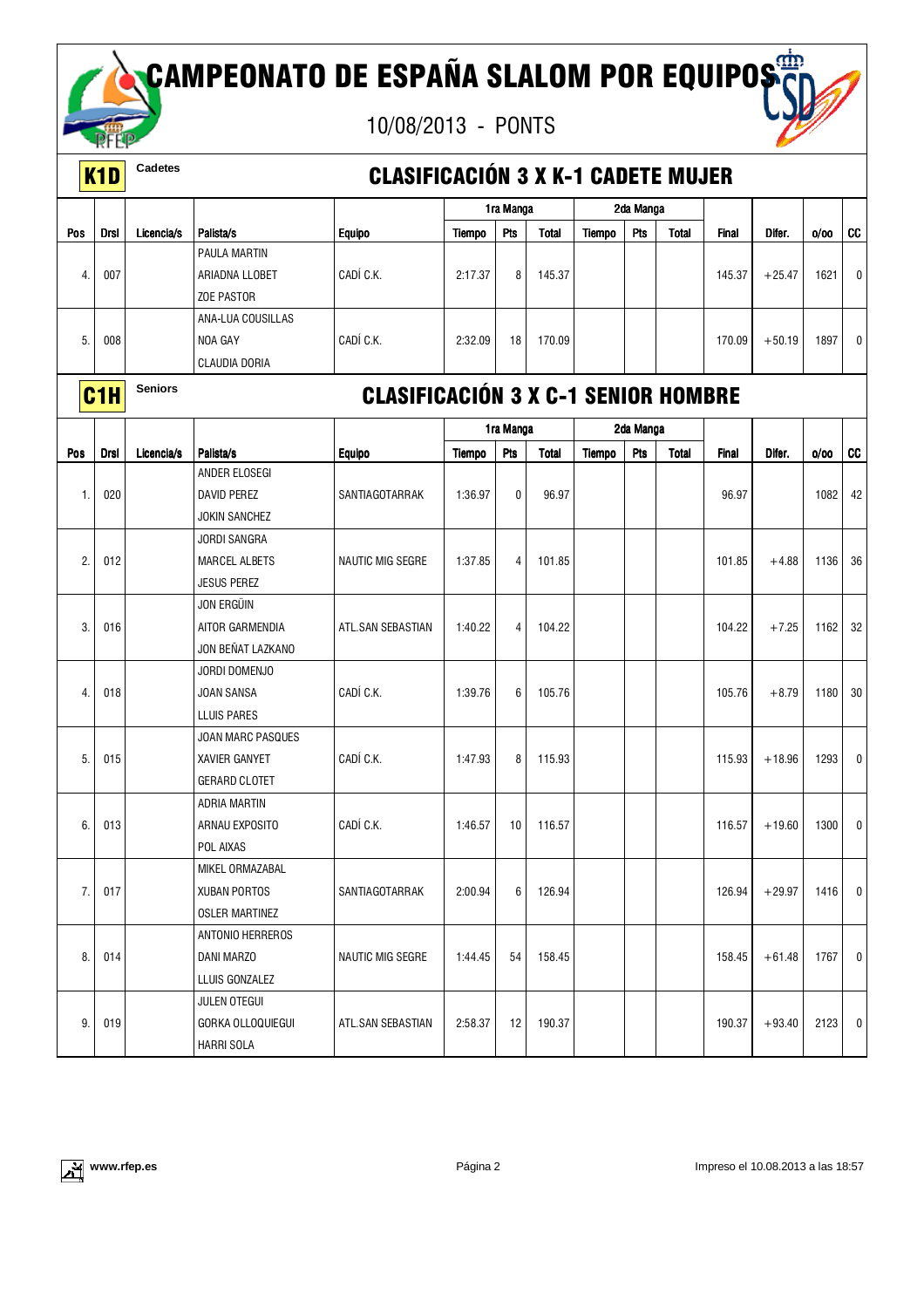### CAMPEONATO DE ESPAÑA SLALOM POR EQUIPOST



| K <sub>1</sub> D |                  | Cadetes        | <b>CLASIFICACIÓN 3 X K-1 CADETE MUJER</b> |                                            |               |                |              |               |            |              |              |          |      |                |
|------------------|------------------|----------------|-------------------------------------------|--------------------------------------------|---------------|----------------|--------------|---------------|------------|--------------|--------------|----------|------|----------------|
|                  |                  |                |                                           |                                            |               | 1ra Manga      |              |               | 2da Manga  |              |              |          |      |                |
| Pos              | <b>Drsl</b>      | Licencia/s     | Palista/s                                 | <b>Equipo</b>                              | <b>Tiempo</b> | Pts            | <b>Total</b> | <b>Tiempo</b> | <b>Pts</b> | <b>Total</b> | <b>Final</b> | Difer.   | 0/00 | CC             |
|                  |                  |                | PAULA MARTIN                              |                                            |               |                |              |               |            |              |              |          |      |                |
| 4.               | 007              |                | ARIADNA LLOBET                            | CADÍ C.K.                                  | 2:17.37       | 8              | 145.37       |               |            |              | 145.37       | $+25.47$ | 1621 | 0              |
|                  |                  |                | <b>ZOE PASTOR</b>                         |                                            |               |                |              |               |            |              |              |          |      |                |
|                  |                  |                | ANA-LUA COUSILLAS                         |                                            |               |                |              |               |            |              |              |          |      |                |
| 5.               | 008              |                | NOA GAY                                   | CADÍ C.K.                                  | 2:32.09       | 18             | 170.09       |               |            |              | 170.09       | $+50.19$ | 1897 | 0 <sup>1</sup> |
|                  |                  |                | CLAUDIA DORIA                             |                                            |               |                |              |               |            |              |              |          |      |                |
|                  | C <sub>1</sub> H | <b>Seniors</b> |                                           | <b>CLASIFICACIÓN 3 X C-1 SENIOR HOMBRE</b> |               |                |              |               |            |              |              |          |      |                |
|                  |                  |                |                                           |                                            |               | 1ra Manga      |              |               | 2da Manga  |              |              |          |      |                |
| Pos              | <b>Drsl</b>      | Licencia/s     | Palista/s                                 | <b>Equipo</b>                              | <b>Tiempo</b> | Pts            | <b>Total</b> | <b>Tiempo</b> | Pts        | <b>Total</b> | <b>Final</b> | Difer.   | 0/00 | CC             |
|                  |                  |                | ANDER ELOSEGI                             |                                            |               |                |              |               |            |              |              |          |      |                |
| 1.               | 020              |                | <b>DAVID PEREZ</b>                        | SANTIAGOTARRAK                             | 1:36.97       | 0              | 96.97        |               |            |              | 96.97        |          | 1082 | 42             |
|                  |                  |                | JOKIN SANCHEZ                             |                                            |               |                |              |               |            |              |              |          |      |                |
|                  |                  |                | <b>JORDI SANGRA</b>                       |                                            |               |                |              |               |            |              |              |          |      |                |
| 2.               | 012              |                | <b>MARCEL ALBETS</b>                      | <b>NAUTIC MIG SEGRE</b>                    | 1:37.85       | $\overline{4}$ | 101.85       |               |            |              | 101.85       | $+4.88$  | 1136 | 36             |
|                  |                  |                | <b>JESUS PEREZ</b>                        |                                            |               |                |              |               |            |              |              |          |      |                |
|                  |                  |                | JON ERGÜIN                                |                                            |               |                |              |               |            |              |              |          |      |                |
| 3.               | 016              |                | AITOR GARMENDIA                           | ATL.SAN SEBASTIAN                          | 1:40.22       | $\overline{4}$ | 104.22       |               |            |              | 104.22       | $+7.25$  | 1162 | 32             |
|                  |                  |                | JON BEÑAT LAZKANO                         |                                            |               |                |              |               |            |              |              |          |      |                |
|                  |                  |                | JORDI DOMENJO                             |                                            |               |                |              |               |            |              |              |          |      |                |
| 4.               | 018              |                | JOAN SANSA                                | CADÍ C.K.                                  | 1:39.76       | 6              | 105.76       |               |            |              | 105.76       | $+8.79$  | 1180 | 30             |
|                  |                  |                | <b>LLUIS PARES</b>                        |                                            |               |                |              |               |            |              |              |          |      |                |
|                  |                  |                | JOAN MARC PASQUES                         |                                            |               |                |              |               |            |              |              |          |      |                |
| 5.               | 015              |                | <b>XAVIER GANYET</b>                      | CADÍ C.K.                                  | 1:47.93       | 8              | 115.93       |               |            |              | 115.93       | $+18.96$ | 1293 | $\overline{0}$ |
|                  |                  |                | <b>GERARD CLOTET</b>                      |                                            |               |                |              |               |            |              |              |          |      |                |
|                  |                  |                | ADRIA MARTIN                              |                                            |               |                |              |               |            |              |              |          |      |                |
| 6.               | 013              |                | ARNAU EXPOSITO                            | CADÍ C.K.                                  | 1:46.57       | 10             | 116.57       |               |            |              | 116.57       | $+19.60$ | 1300 | 0 <sup>1</sup> |
|                  |                  |                | POL AIXAS                                 |                                            |               |                |              |               |            |              |              |          |      |                |
|                  |                  |                | MIKEL ORMAZABAL                           |                                            |               |                |              |               |            |              |              |          |      |                |
| 7.               | 017              |                | XUBAN PORTOS                              | SANTIAGOTARRAK                             | 2:00.94       | 6              | 126.94       |               |            |              | 126.94       | $+29.97$ | 1416 | $\overline{0}$ |
|                  |                  |                | <b>OSLER MARTINEZ</b>                     |                                            |               |                |              |               |            |              |              |          |      |                |
|                  |                  |                | ANTONIO HERREROS                          |                                            |               |                |              |               |            |              |              |          |      |                |
| 8.               | 014              |                | <b>DANI MARZO</b>                         | NAUTIC MIG SEGRE                           | 1:44.45       | 54             | 158.45       |               |            |              | 158.45       | $+61.48$ | 1767 | $\overline{0}$ |
|                  |                  |                | LLUIS GONZALEZ                            |                                            |               |                |              |               |            |              |              |          |      |                |
|                  |                  |                | <b>JULEN OTEGUI</b>                       |                                            |               |                |              |               |            |              |              |          |      |                |
| 9.               | 019              |                | GORKA OLLOQUIEGUI                         | ATL.SAN SEBASTIAN                          | 2:58.37       | 12             | 190.37       |               |            |              | 190.37       | $+93.40$ | 2123 | $\overline{0}$ |
|                  |                  |                | <b>HARRI SOLA</b>                         |                                            |               |                |              |               |            |              |              |          |      |                |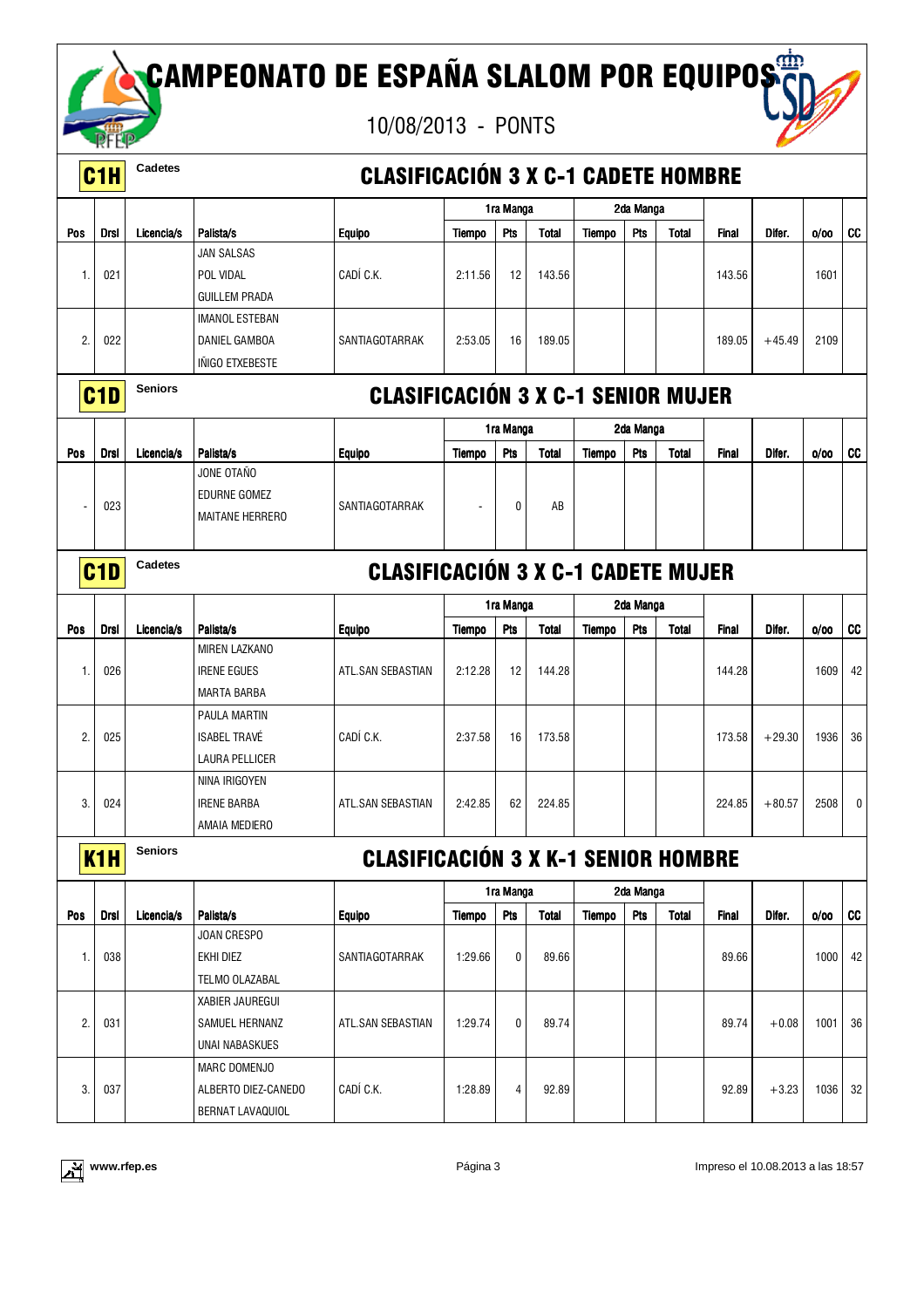# CAMPEONATO DE ESPAÑA SLALOM POR EQUIPOS<mark>ti</mark>n



|                | C <sub>1</sub> H | <b>Cadetes</b> |                       |                                            | <b>CLASIFICACIÓN 3 X C-1 CADETE HOMBRE</b> |              |              |               |           |              |              |          |      |           |
|----------------|------------------|----------------|-----------------------|--------------------------------------------|--------------------------------------------|--------------|--------------|---------------|-----------|--------------|--------------|----------|------|-----------|
|                |                  |                |                       |                                            |                                            | 1ra Manga    |              |               | 2da Manga |              |              |          |      |           |
| Pos            | <b>Drsl</b>      | Licencia/s     | Palista/s             | <b>Equipo</b>                              | <b>Tiempo</b>                              | Pts          | <b>Total</b> | Tiempo        | Pts       | <b>Total</b> | Final        | Difer.   | 0/00 | cc        |
|                |                  |                | <b>JAN SALSAS</b>     |                                            |                                            |              |              |               |           |              |              |          |      |           |
| 1.             | 021              |                | POL VIDAL             | CADÍ C.K.                                  | 2:11.56                                    | 12           | 143.56       |               |           |              | 143.56       |          | 1601 |           |
|                |                  |                | <b>GUILLEM PRADA</b>  |                                            |                                            |              |              |               |           |              |              |          |      |           |
|                |                  |                | <b>IMANOL ESTEBAN</b> |                                            |                                            |              |              |               |           |              |              |          |      |           |
| 2.             | 022              |                | DANIEL GAMBOA         | SANTIAGOTARRAK                             | 2:53.05                                    | 16           | 189.05       |               |           |              | 189.05       | $+45.49$ | 2109 |           |
|                |                  |                | INIGO ETXEBESTE       |                                            |                                            |              |              |               |           |              |              |          |      |           |
|                | C <sub>1</sub> D | <b>Seniors</b> |                       | <b>CLASIFICACIÓN 3 X C-1 SENIOR MUJER</b>  |                                            |              |              |               |           |              |              |          |      |           |
|                |                  |                |                       |                                            |                                            | 1ra Manga    |              |               | 2da Manga |              |              |          |      |           |
| Pos            | Drsl             | Licencia/s     | Palista/s             | <b>Equipo</b>                              | <b>Tiempo</b>                              | Pts          | <b>Total</b> | <b>Tiempo</b> | Pts       | <b>Total</b> | <b>Final</b> | Difer.   | 0/00 | cc        |
|                |                  |                | JONE OTAÑO            |                                            |                                            |              |              |               |           |              |              |          |      |           |
|                |                  |                | <b>EDURNE GOMEZ</b>   |                                            |                                            |              |              |               |           |              |              |          |      |           |
|                | 023              |                | MAITANE HERRERO       | SANTIAGOTARRAK                             | $\overline{\phantom{a}}$                   | 0            | AB           |               |           |              |              |          |      |           |
|                |                  |                |                       |                                            |                                            |              |              |               |           |              |              |          |      |           |
|                |                  | Cadetes        |                       |                                            |                                            |              |              |               |           |              |              |          |      |           |
|                | C <sub>1</sub> D |                |                       | <b>CLASIFICACIÓN 3 X C-1 CADETE MUJER</b>  |                                            |              |              |               |           |              |              |          |      |           |
|                |                  |                |                       |                                            |                                            | 1ra Manga    |              |               | 2da Manga |              |              |          |      |           |
| Pos            | <b>Drsl</b>      | Licencia/s     | Palista/s             | <b>Equipo</b>                              | <b>Tiempo</b>                              | Pts          | <b>Total</b> | <b>Tiempo</b> | Pts       | <b>Total</b> | Final        | Difer.   | 0/00 | <b>CC</b> |
|                |                  |                | <b>MIREN LAZKANO</b>  |                                            |                                            |              |              |               |           |              |              |          |      |           |
| 1.             | 026              |                | <b>IRENE EGUES</b>    | ATL.SAN SEBASTIAN                          | 2:12.28                                    | 12           | 144.28       |               |           |              | 144.28       |          | 1609 | 42        |
|                |                  |                | <b>MARTA BARBA</b>    |                                            |                                            |              |              |               |           |              |              |          |      |           |
|                |                  |                | PAULA MARTIN          |                                            |                                            |              |              |               |           |              |              |          |      |           |
| $\overline{2}$ | 025              |                | <b>ISABEL TRAVÉ</b>   | CADÍ C.K.                                  | 2:37.58                                    | 16           | 173.58       |               |           |              | 173.58       | $+29.30$ | 1936 | 36        |
|                |                  |                | <b>LAURA PELLICER</b> |                                            |                                            |              |              |               |           |              |              |          |      |           |
|                |                  |                | NINA IRIGOYEN         |                                            |                                            |              |              |               |           |              |              |          |      |           |
| 3.             | 024              |                | <b>IRENE BARBA</b>    | ATL.SAN SEBASTIAN                          | 2:42.85                                    | 62           | 224.85       |               |           |              | 224.85       | $+80.57$ | 2508 | 0         |
|                |                  |                | AMAIA MEDIERO         |                                            |                                            |              |              |               |           |              |              |          |      |           |
|                | K <sub>1</sub> H | <b>Seniors</b> |                       | <b>CLASIFICACIÓN 3 X K-1 SENIOR HOMBRE</b> |                                            |              |              |               |           |              |              |          |      |           |
|                |                  |                |                       |                                            |                                            |              |              |               |           |              |              |          |      |           |
|                |                  |                |                       |                                            |                                            | 1ra Manga    |              |               | 2da Manga |              |              |          |      |           |
| Pos            | <b>Drsl</b>      | Licencia/s     | Palista/s             | <b>Equipo</b>                              | <b>Tiempo</b>                              | Pts          | <b>Total</b> | <b>Tiempo</b> | Pts       | <b>Total</b> | <b>Final</b> | Difer.   | 0/00 | cc        |
|                |                  |                | JOAN CRESPO           |                                            |                                            |              |              |               |           |              |              |          |      |           |
| 1.             | 038              |                | EKHI DIEZ             | SANTIAGOTARRAK                             | 1:29.66                                    | $\pmb{0}$    | 89.66        |               |           |              | 89.66        |          | 1000 | 42        |
|                |                  |                | TELMO OLAZABAL        |                                            |                                            |              |              |               |           |              |              |          |      |           |
|                |                  |                | XABIER JAUREGUI       |                                            |                                            |              |              |               |           |              |              |          |      |           |
| 2.             | 031              |                | SAMUEL HERNANZ        | ATL.SAN SEBASTIAN                          | 1:29.74                                    | $\mathbf{0}$ | 89.74        |               |           |              | 89.74        | $+0.08$  | 1001 | 36        |
|                |                  |                | UNAI NABASKUES        |                                            |                                            |              |              |               |           |              |              |          |      |           |
|                |                  |                | MARC DOMENJO          |                                            |                                            |              |              |               |           |              |              |          |      |           |
| 3.             | 037              |                | ALBERTO DIEZ-CANEDO   | CADÍ C.K.                                  | 1:28.89                                    | 4            | 92.89        |               |           |              | 92.89        | $+3.23$  | 1036 | 32        |
|                |                  |                | BERNAT LAVAQUIOL      |                                            |                                            |              |              |               |           |              |              |          |      |           |

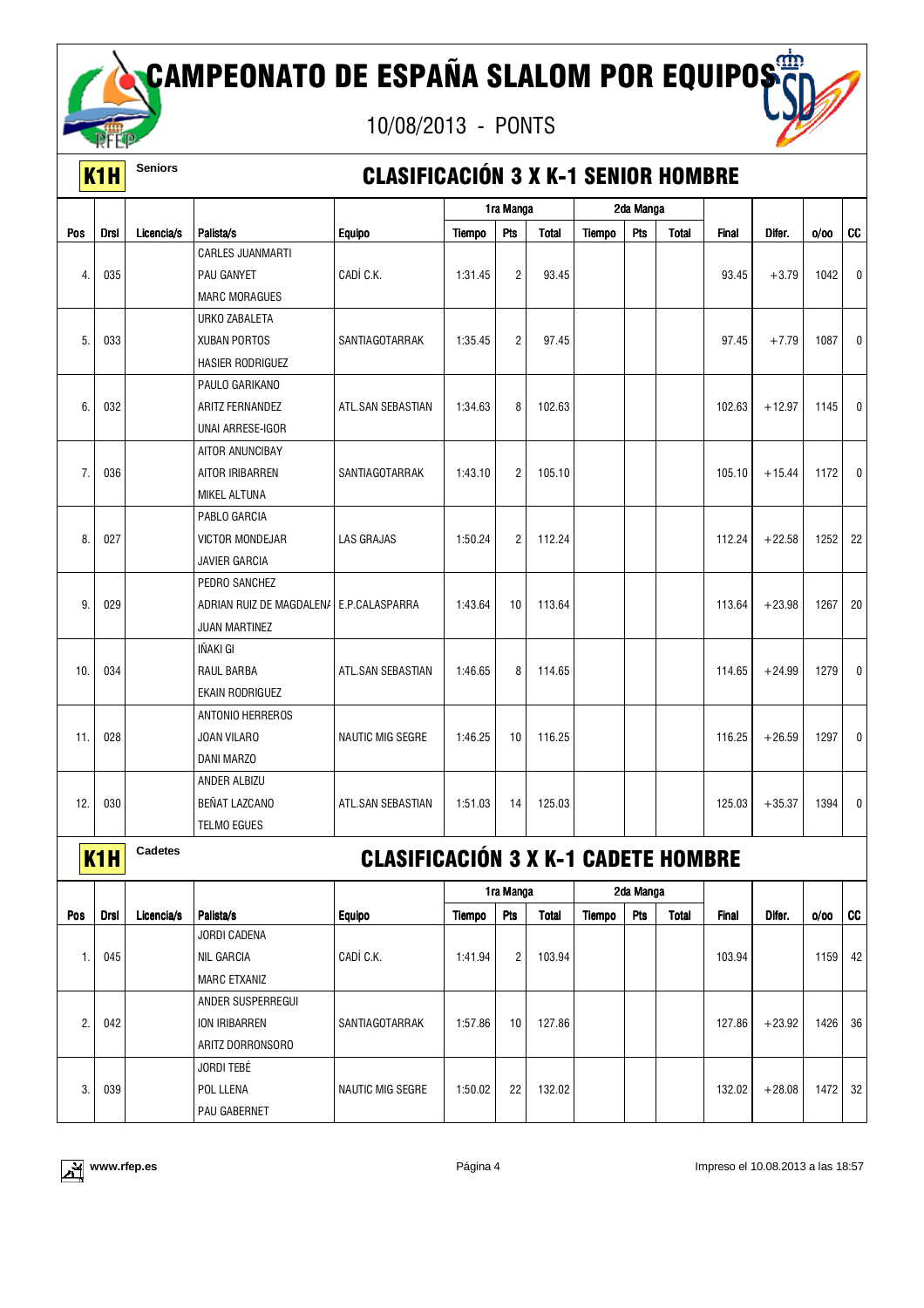# CAMPEONATO DE ESPAÑA SLALOM POR EQUIPOS<mark>ti</mark>n

10/08/2013 - PONTS



### K1H **Seniors** CLASIFICACIÓN 3 X K-1 SENIOR HOMBRE

|     |                  |            |                                         |                                            | 1ra Manga     |                |              | 2da Manga     |           |              |              |          |      |                |
|-----|------------------|------------|-----------------------------------------|--------------------------------------------|---------------|----------------|--------------|---------------|-----------|--------------|--------------|----------|------|----------------|
| Pos | <b>Drsl</b>      | Licencia/s | Palista/s                               | <b>Equipo</b>                              | <b>Tiempo</b> | Pts            | <b>Total</b> | <b>Tiempo</b> | Pts       | <b>Total</b> | <b>Final</b> | Difer.   | 0/00 | CC             |
|     |                  |            | <b>CARLES JUANMARTI</b>                 |                                            |               |                |              |               |           |              |              |          |      |                |
| 4.  | 035              |            | PAU GANYET                              | CADÍ C.K.                                  | 1:31.45       | $\overline{c}$ | 93.45        |               |           |              | 93.45        | $+3.79$  | 1042 | 0              |
|     |                  |            | <b>MARC MORAGUES</b>                    |                                            |               |                |              |               |           |              |              |          |      |                |
|     |                  |            | URKO ZABALETA                           |                                            |               |                |              |               |           |              |              |          |      |                |
| 5.  | 033              |            | <b>XUBAN PORTOS</b>                     | SANTIAGOTARRAK                             | 1:35.45       | 2              | 97.45        |               |           |              | 97.45        | $+7.79$  | 1087 | 0              |
|     |                  |            | <b>HASIER RODRIGUEZ</b>                 |                                            |               |                |              |               |           |              |              |          |      |                |
|     |                  |            | PAULO GARIKANO                          |                                            |               |                |              |               |           |              |              |          |      |                |
| 6.  | 032              |            | ARITZ FERNANDEZ                         | ATL.SAN SEBASTIAN                          | 1:34.63       | 8              | 102.63       |               |           |              | 102.63       | $+12.97$ | 1145 | 0              |
|     |                  |            | UNAI ARRESE-IGOR                        |                                            |               |                |              |               |           |              |              |          |      |                |
|     |                  |            | AITOR ANUNCIBAY                         |                                            |               |                |              |               |           |              |              |          |      |                |
| 7.  | 036              |            | AITOR IRIBARREN                         | SANTIAGOTARRAK                             | 1:43.10       | 2              | 105.10       |               |           |              | 105.10       | $+15.44$ | 1172 | 0              |
|     |                  |            | MIKEL ALTUNA                            |                                            |               |                |              |               |           |              |              |          |      |                |
|     |                  |            | PABLO GARCIA                            |                                            |               |                |              |               |           |              |              |          |      |                |
| 8.  | 027              |            | <b>VICTOR MONDEJAR</b>                  | <b>LAS GRAJAS</b>                          | 1:50.24       | $\overline{2}$ | 112.24       |               |           |              | 112.24       | $+22.58$ | 1252 | 22             |
|     |                  |            | JAVIER GARCIA                           |                                            |               |                |              |               |           |              |              |          |      |                |
|     |                  |            | PEDRO SANCHEZ                           |                                            |               |                |              |               |           |              |              |          |      |                |
| 9.  | 029              |            | ADRIAN RUIZ DE MAGDALEN/ E.P.CALASPARRA |                                            | 1:43.64       | 10             | 113.64       |               |           |              | 113.64       | $+23.98$ | 1267 | 20             |
|     |                  |            | <b>JUAN MARTINEZ</b>                    |                                            |               |                |              |               |           |              |              |          |      |                |
|     |                  |            | IÑAKI GI                                |                                            |               |                |              |               |           |              |              |          |      |                |
| 10. | 034              |            | RAUL BARBA                              | ATL.SAN SEBASTIAN                          | 1:46.65       | 8              | 114.65       |               |           |              | 114.65       | $+24.99$ | 1279 | 0              |
|     |                  |            | EKAIN RODRIGUEZ                         |                                            |               |                |              |               |           |              |              |          |      |                |
|     |                  |            | ANTONIO HERREROS                        |                                            |               |                |              |               |           |              |              |          |      |                |
| 11  | 028              |            | JOAN VILARO                             | <b>NAUTIC MIG SEGRE</b>                    | 1:46.25       | 10             | 116.25       |               |           |              | 116.25       | $+26.59$ | 1297 | $\overline{0}$ |
|     |                  |            | DANI MARZO                              |                                            |               |                |              |               |           |              |              |          |      |                |
|     |                  |            | ANDER ALBIZU                            |                                            |               |                |              |               |           |              |              |          |      |                |
| 12. | 030              |            | BEÑAT LAZCANO                           | ATL.SAN SEBASTIAN                          | 1:51.03       | 14             | 125.03       |               |           |              | 125.03       | $+35.37$ | 1394 | 0              |
|     |                  |            | <b>TELMO EGUES</b>                      |                                            |               |                |              |               |           |              |              |          |      |                |
|     |                  | Cadetes    |                                         |                                            |               |                |              |               |           |              |              |          |      |                |
|     | K <sub>1</sub> H |            |                                         | <b>CLASIFICACIÓN 3 X K-1 CADETE HOMBRE</b> |               |                |              |               |           |              |              |          |      |                |
|     |                  |            |                                         |                                            |               | 1ra Manga      |              |               | 2da Manga |              |              |          |      |                |
| Pos | <b>Drsl</b>      | Licencia/s | Palista/s                               | <b>Equipo</b>                              | Tiempo        | Pts            | Total        | Tiempo        | Pts       | <b>Total</b> | <b>Final</b> | Difer.   | 0/00 | cc             |
|     |                  |            | JORDI CADENA                            |                                            |               |                |              |               |           |              |              |          |      |                |
| 1.  | 045              |            | NIL GARCIA                              | CADÍ C.K.                                  | 1:41.94       | $\overline{c}$ | 103.94       |               |           |              | 103.94       |          | 1159 | 42             |
|     |                  |            | <b>MARC ETXANIZ</b>                     |                                            |               |                |              |               |           |              |              |          |      |                |
|     |                  |            | ANDER SUSPERREGUI                       |                                            |               |                |              |               |           |              |              |          |      |                |
| 2.  | 042              |            | ION IRIBARREN                           | SANTIAGOTARRAK                             | 1:57.86       | 10             | 127.86       |               |           |              | 127.86       | $+23.92$ | 1426 | 36             |
|     |                  |            | ARITZ DORRONSORO                        |                                            |               |                |              |               |           |              |              |          |      |                |



JORDI TEBÉ POL LLENA PAU GABERNET

 $3. 039$ 

NAUTIC MIG SEGRE | 1:50.02 | 22 | 132.02 | | | | | | | | 132.02 | +28.08 | 1472 | 32